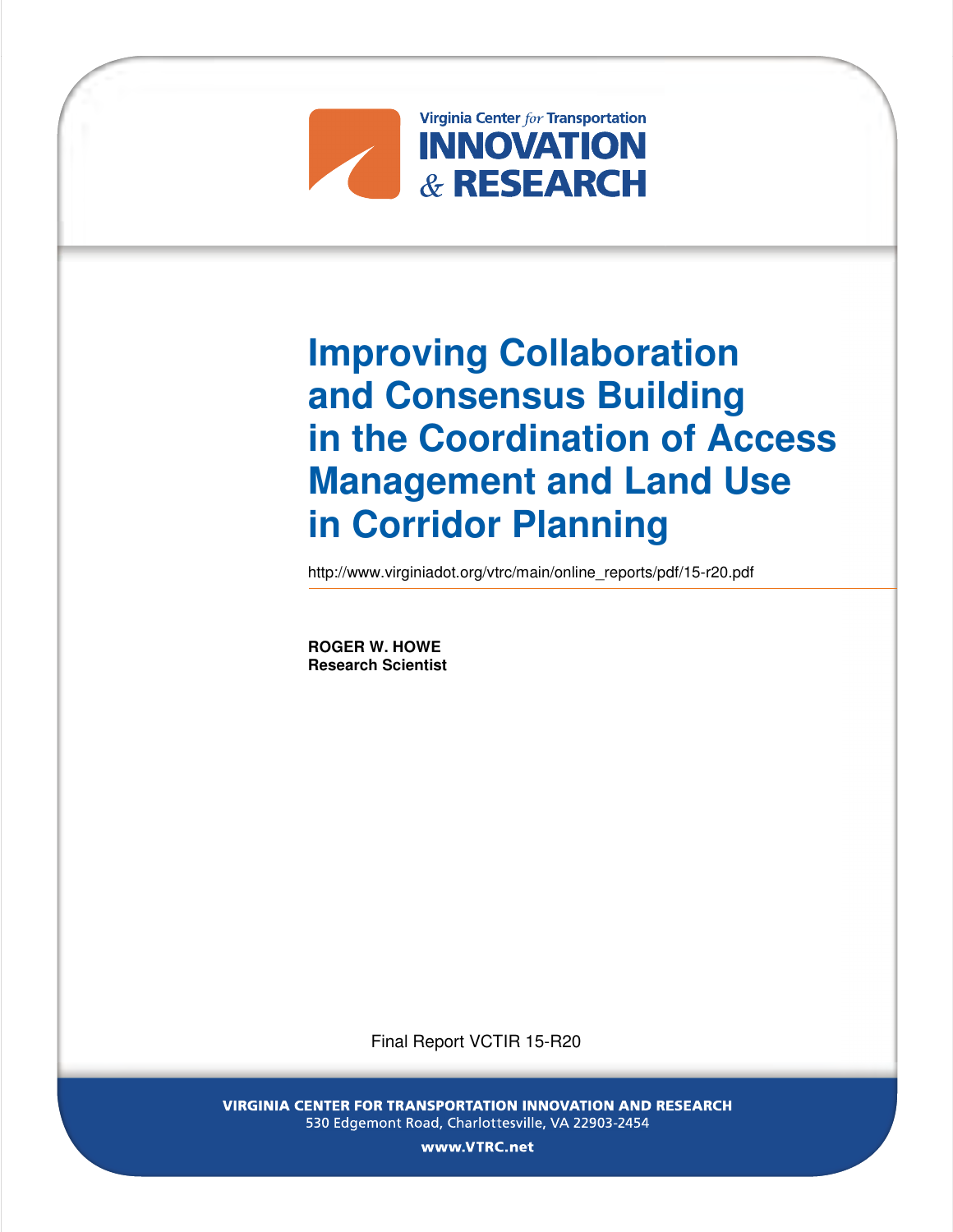

# **Improving Collaboration and Consensus Building in the Coordination of Access Management and Land Use in Corridor Planning**

http://www.virginiadot.org/vtrc/main/online\_reports/pdf/15-r20.pdf

**ROGER W. HOWE Research Scientist** 

Final Report VCTIR 15-R20

VIRGINIA CENTER FOR TRANSPORTATION INNOVATION AND RESEARCH 530 Edgemont Road, Charlottesville, VA 22903-2454

www. VTRC.net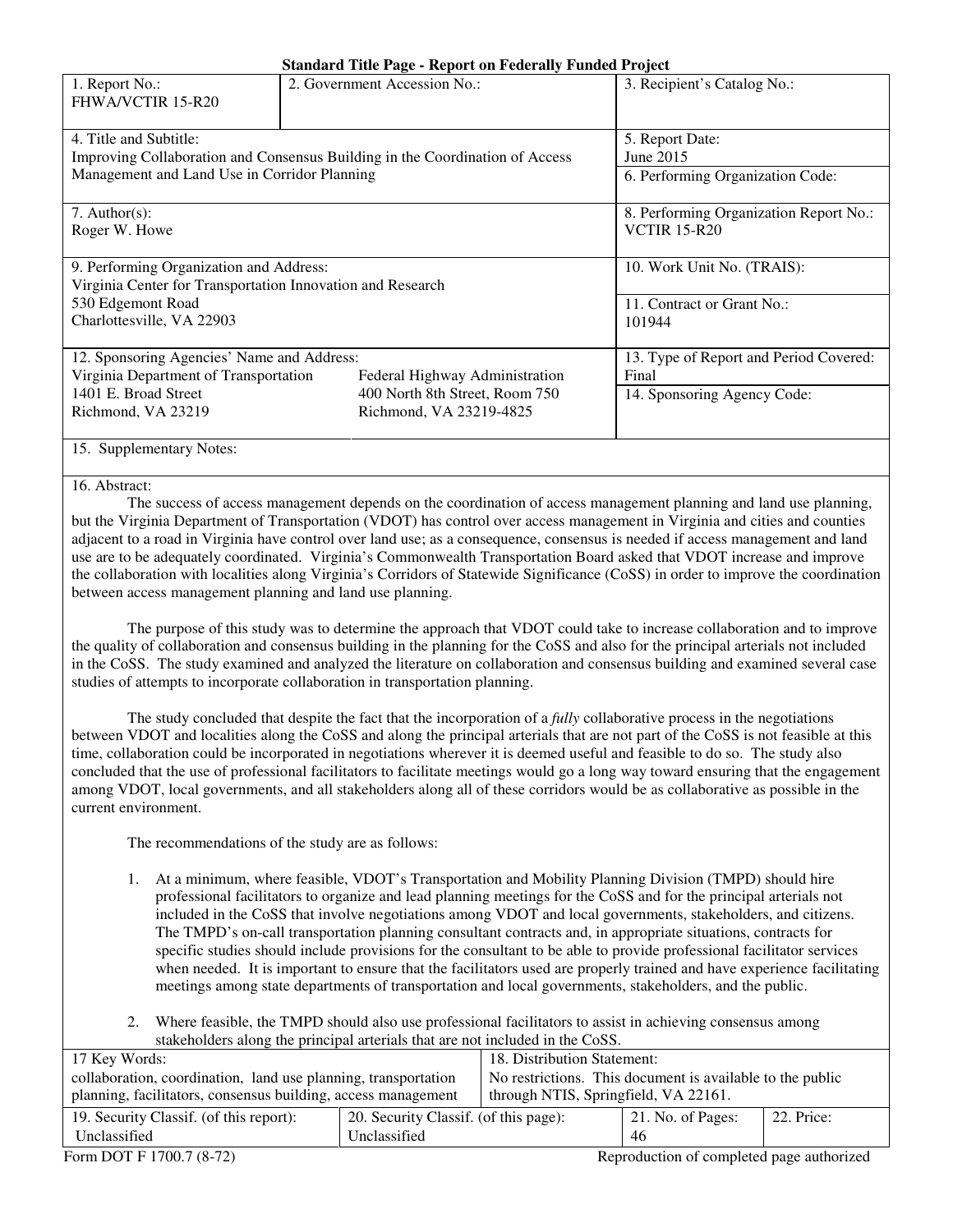| 1. Report No.:<br>FHWA/VCTIR 15-R20                                                                    | 2. Government Accession No.:           | 3. Recipient's Catalog No.: |  |
|--------------------------------------------------------------------------------------------------------|----------------------------------------|-----------------------------|--|
| 4. Title and Subtitle:<br>Improving Collaboration and Consensus Building in the Coordination of Access | 5. Report Date:<br>June 2015           |                             |  |
| Management and Land Use in Corridor Planning                                                           | 6. Performing Organization Code:       |                             |  |
| 7. Author(s):                                                                                          | 8. Performing Organization Report No.: |                             |  |
| Roger W. Howe                                                                                          | <b>VCTIR 15-R20</b>                    |                             |  |
| 9. Performing Organization and Address:                                                                | 10. Work Unit No. (TRAIS):             |                             |  |
| Virginia Center for Transportation Innovation and Research                                             |                                        |                             |  |
| 530 Edgemont Road                                                                                      | 11. Contract or Grant No.:             |                             |  |
| Charlottesville, VA 22903                                                                              | 101944                                 |                             |  |
| 12. Sponsoring Agencies' Name and Address:                                                             | 13. Type of Report and Period Covered: |                             |  |
| Virginia Department of Transportation                                                                  | Federal Highway Administration         | Final                       |  |
| 1401 E. Broad Street                                                                                   | 400 North 8th Street, Room 750         | 14. Sponsoring Agency Code: |  |
| Richmond, VA 23219                                                                                     | Richmond, VA 23219-4825                |                             |  |
| 15. Supplementary Notes:                                                                               |                                        |                             |  |

#### 16. Abstract:

The success of access management depends on the coordination of access management planning and land use planning, but the Virginia Department of Transportation (VDOT) has control over access management in Virginia and cities and counties adjacent to a road in Virginia have control over land use; as a consequence, consensus is needed if access management and land use are to be adequately coordinated. Virginia's Commonwealth Transportation Board asked that VDOT increase and improve the collaboration with localities along Virginia's Corridors of Statewide Significance (CoSS) in order to improve the coordination between access management planning and land use planning.

The purpose of this study was to determine the approach that VDOT could take to increase collaboration and to improve the quality of collaboration and consensus building in the planning for the CoSS and also for the principal arterials not included in the CoSS. The study examined and analyzed the literature on collaboration and consensus building and examined several case studies of attempts to incorporate collaboration in transportation planning.

 The study concluded that despite the fact that the incorporation of a *fully* collaborative process in the negotiations between VDOT and localities along the CoSS and along the principal arterials that are not part of the CoSS is not feasible at this time, collaboration could be incorporated in negotiations wherever it is deemed useful and feasible to do so. The study also concluded that the use of professional facilitators to facilitate meetings would go a long way toward ensuring that the engagement among VDOT, local governments, and all stakeholders along all of these corridors would be as collaborative as possible in the current environment.

The recommendations of the study are as follows:

- 1. At a minimum, where feasible, VDOT's Transportation and Mobility Planning Division (TMPD) should hire professional facilitators to organize and lead planning meetings for the CoSS and for the principal arterials not included in the CoSS that involve negotiations among VDOT and local governments, stakeholders, and citizens. The TMPD's on-call transportation planning consultant contracts and, in appropriate situations, contracts for specific studies should include provisions for the consultant to be able to provide professional facilitator services when needed. It is important to ensure that the facilitators used are properly trained and have experience facilitating meetings among state departments of transportation and local governments, stakeholders, and the public.
- 2. Where feasible, the TMPD should also use professional facilitators to assist in achieving consensus among stakeholders along the principal arterials that are not included in the CoSS.

| 17 Key Words:                                                  | 18. Distribution Statement:                               |  |                           |            |
|----------------------------------------------------------------|-----------------------------------------------------------|--|---------------------------|------------|
| collaboration, coordination, land use planning, transportation | No restrictions. This document is available to the public |  |                           |            |
| planning, facilitators, consensus building, access management  | through NTIS, Springfield, VA 22161.                      |  |                           |            |
| 19. Security Classif. (of this report):                        | 20. Security Classif. (of this page):                     |  | $\vert$ 21. No. of Pages: | 22. Price: |
| Unclassified<br>Unclassified                                   |                                                           |  | 46                        |            |

Form DOT F 1700.7 (8-72) The state of completed page authorized Reproduction of completed page authorized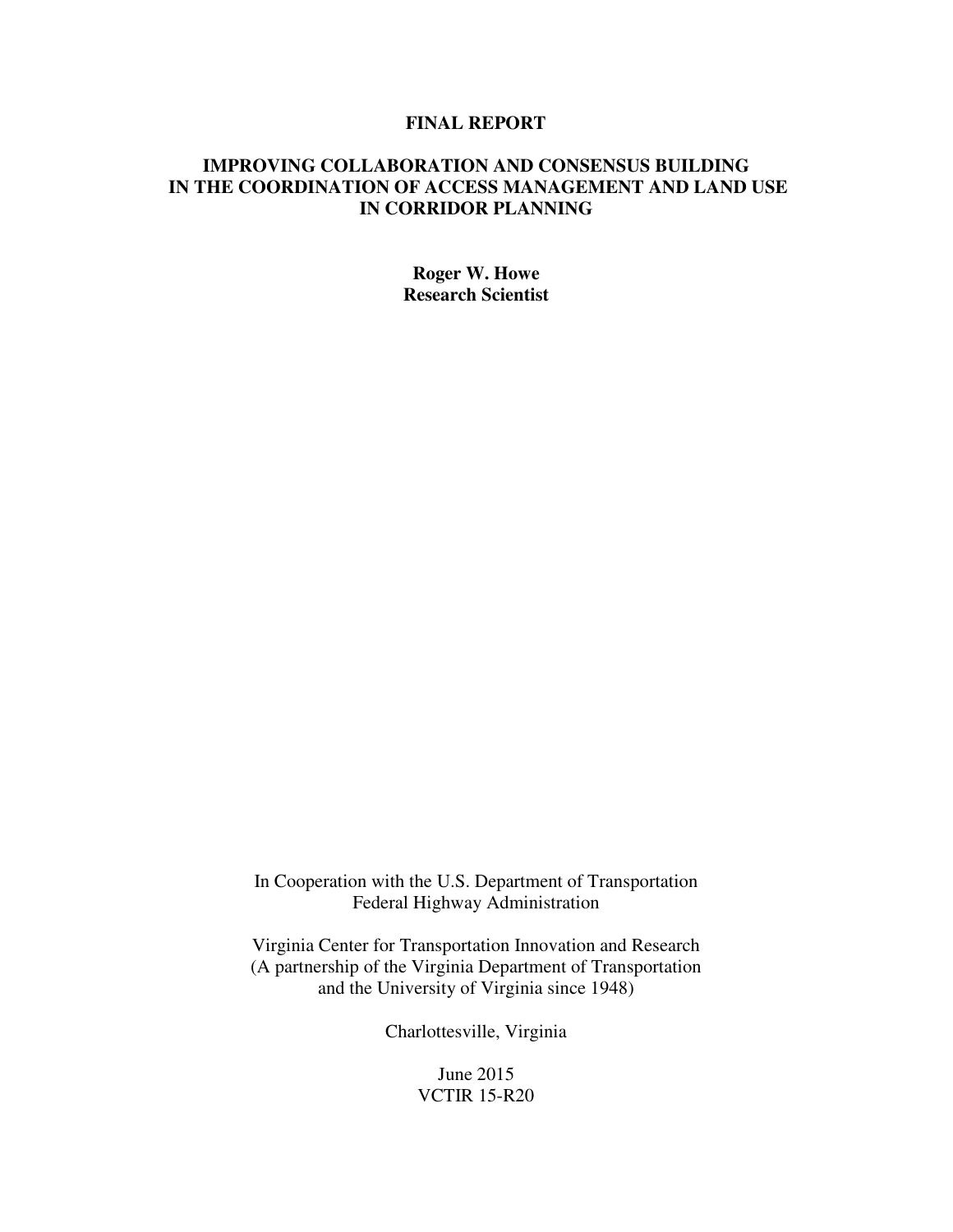## **FINAL REPORT**

## **IMPROVING COLLABORATION AND CONSENSUS BUILDING IN THE COORDINATION OF ACCESS MANAGEMENT AND LAND USE IN CORRIDOR PLANNING**

**Roger W. Howe Research Scientist** 

In Cooperation with the U.S. Department of Transportation Federal Highway Administration

Virginia Center for Transportation Innovation and Research (A partnership of the Virginia Department of Transportation and the University of Virginia since 1948)

Charlottesville, Virginia

June 2015 VCTIR 15-R20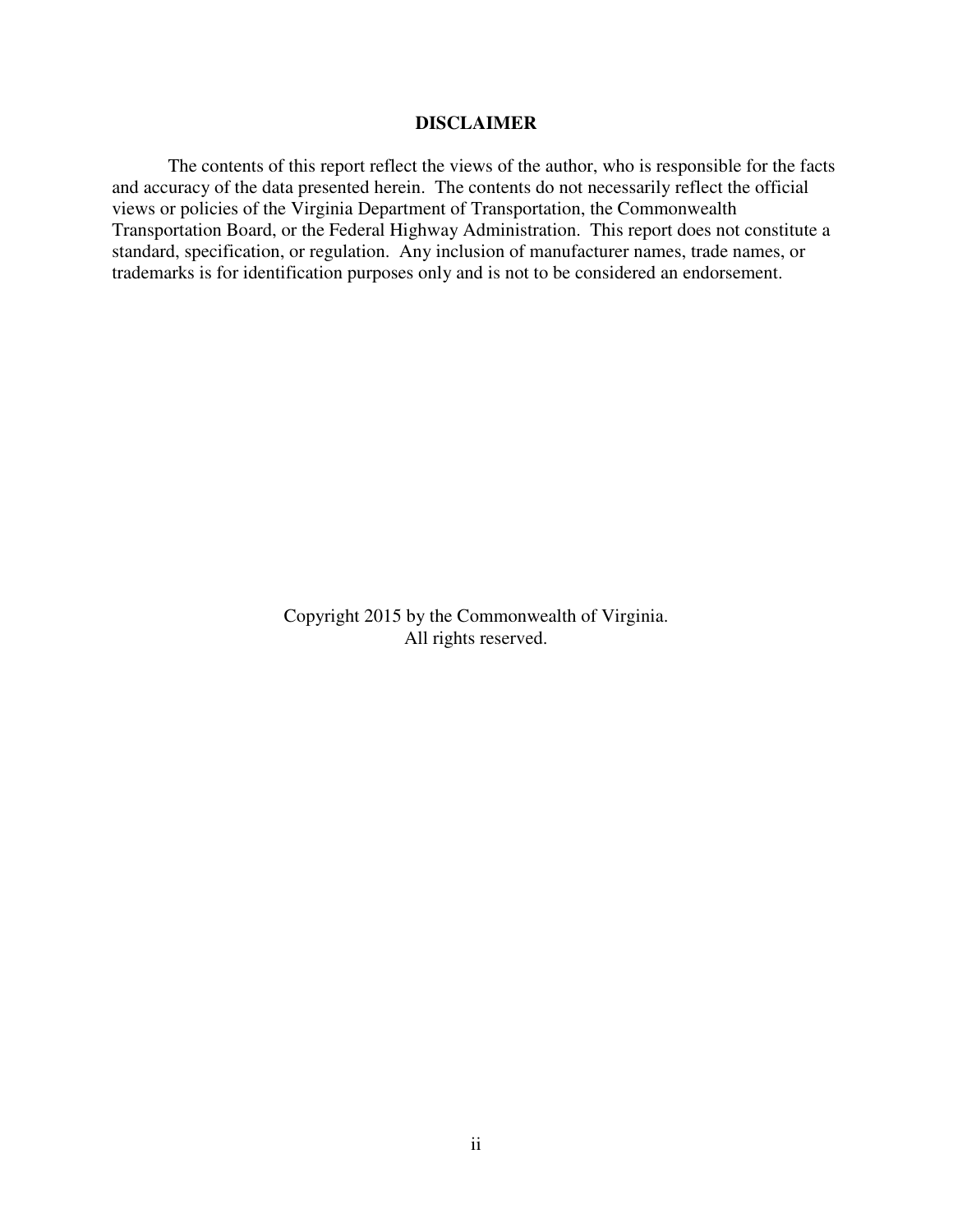#### **DISCLAIMER**

 The contents of this report reflect the views of the author, who is responsible for the facts and accuracy of the data presented herein. The contents do not necessarily reflect the official views or policies of the Virginia Department of Transportation, the Commonwealth Transportation Board, or the Federal Highway Administration. This report does not constitute a standard, specification, or regulation. Any inclusion of manufacturer names, trade names, or trademarks is for identification purposes only and is not to be considered an endorsement.

> Copyright 2015 by the Commonwealth of Virginia. All rights reserved.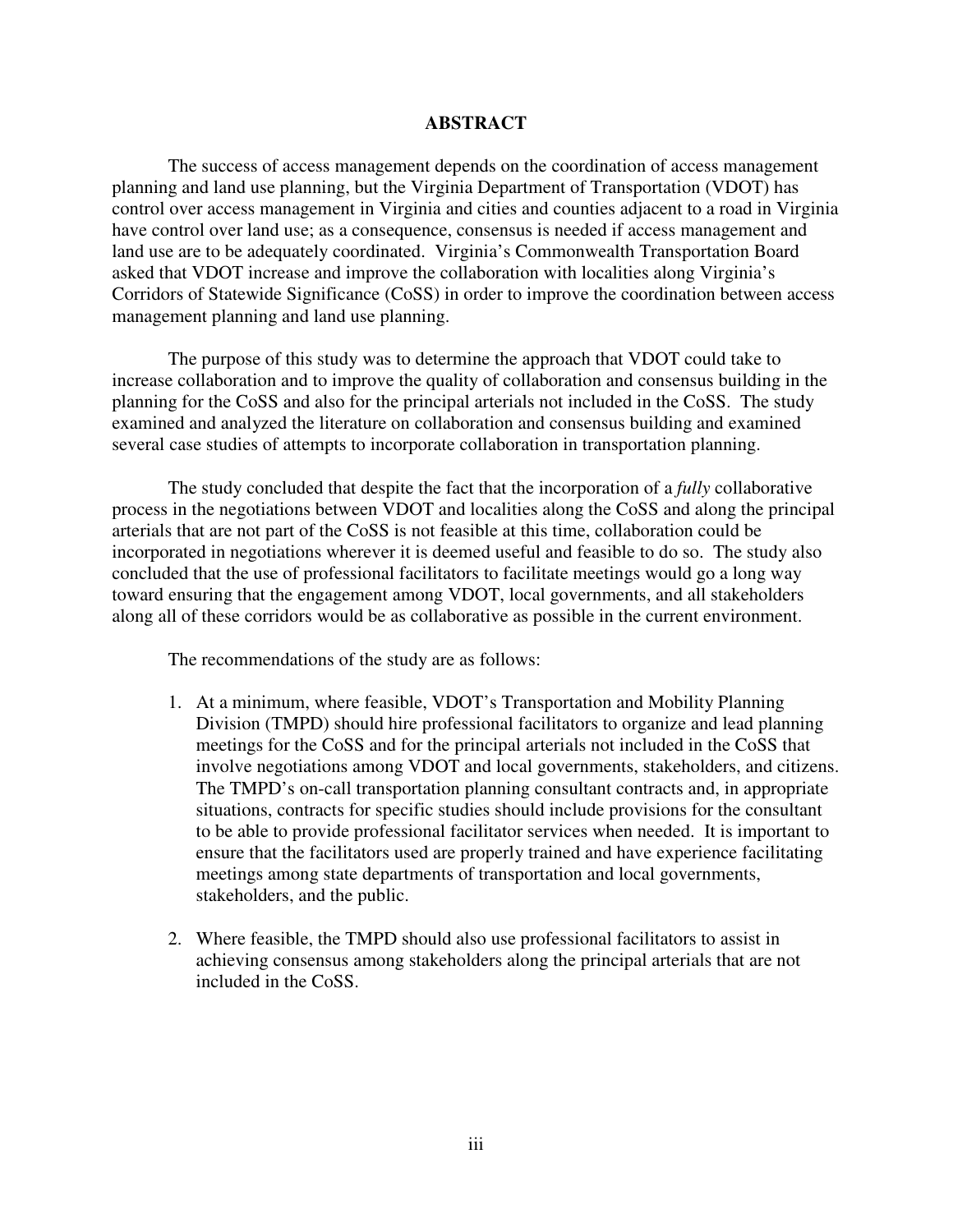#### **ABSTRACT**

The success of access management depends on the coordination of access management planning and land use planning, but the Virginia Department of Transportation (VDOT) has control over access management in Virginia and cities and counties adjacent to a road in Virginia have control over land use; as a consequence, consensus is needed if access management and land use are to be adequately coordinated. Virginia's Commonwealth Transportation Board asked that VDOT increase and improve the collaboration with localities along Virginia's Corridors of Statewide Significance (CoSS) in order to improve the coordination between access management planning and land use planning.

The purpose of this study was to determine the approach that VDOT could take to increase collaboration and to improve the quality of collaboration and consensus building in the planning for the CoSS and also for the principal arterials not included in the CoSS. The study examined and analyzed the literature on collaboration and consensus building and examined several case studies of attempts to incorporate collaboration in transportation planning.

 The study concluded that despite the fact that the incorporation of a *fully* collaborative process in the negotiations between VDOT and localities along the CoSS and along the principal arterials that are not part of the CoSS is not feasible at this time, collaboration could be incorporated in negotiations wherever it is deemed useful and feasible to do so. The study also concluded that the use of professional facilitators to facilitate meetings would go a long way toward ensuring that the engagement among VDOT, local governments, and all stakeholders along all of these corridors would be as collaborative as possible in the current environment.

The recommendations of the study are as follows:

- 1. At a minimum, where feasible, VDOT's Transportation and Mobility Planning Division (TMPD) should hire professional facilitators to organize and lead planning meetings for the CoSS and for the principal arterials not included in the CoSS that involve negotiations among VDOT and local governments, stakeholders, and citizens. The TMPD's on-call transportation planning consultant contracts and, in appropriate situations, contracts for specific studies should include provisions for the consultant to be able to provide professional facilitator services when needed. It is important to ensure that the facilitators used are properly trained and have experience facilitating meetings among state departments of transportation and local governments, stakeholders, and the public.
- 2. Where feasible, the TMPD should also use professional facilitators to assist in achieving consensus among stakeholders along the principal arterials that are not included in the CoSS.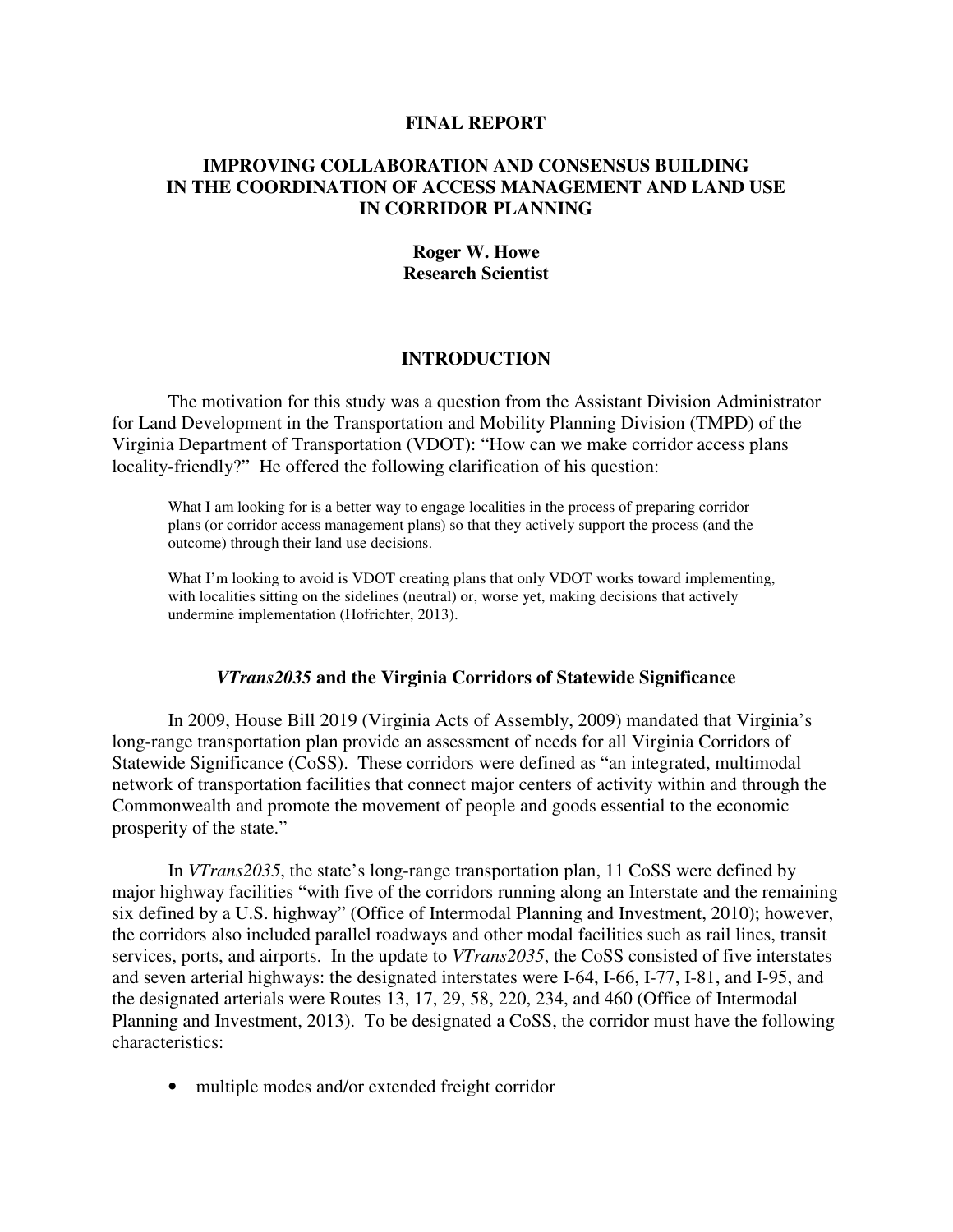#### **FINAL REPORT**

## **IMPROVING COLLABORATION AND CONSENSUS BUILDING IN THE COORDINATION OF ACCESS MANAGEMENT AND LAND USE IN CORRIDOR PLANNING**

## **Roger W. Howe Research Scientist**

#### **INTRODUCTION**

 The motivation for this study was a question from the Assistant Division Administrator for Land Development in the Transportation and Mobility Planning Division (TMPD) of the Virginia Department of Transportation (VDOT): "How can we make corridor access plans locality-friendly?" He offered the following clarification of his question:

What I am looking for is a better way to engage localities in the process of preparing corridor plans (or corridor access management plans) so that they actively support the process (and the outcome) through their land use decisions.

What I'm looking to avoid is VDOT creating plans that only VDOT works toward implementing, with localities sitting on the sidelines (neutral) or, worse yet, making decisions that actively undermine implementation (Hofrichter, 2013).

#### *VTrans2035* **and the Virginia Corridors of Statewide Significance**

In 2009, House Bill 2019 (Virginia Acts of Assembly, 2009) mandated that Virginia's long-range transportation plan provide an assessment of needs for all Virginia Corridors of Statewide Significance (CoSS). These corridors were defined as "an integrated, multimodal network of transportation facilities that connect major centers of activity within and through the Commonwealth and promote the movement of people and goods essential to the economic prosperity of the state."

In *VTrans2035*, the state's long-range transportation plan, 11 CoSS were defined by major highway facilities "with five of the corridors running along an Interstate and the remaining six defined by a U.S. highway" (Office of Intermodal Planning and Investment, 2010); however, the corridors also included parallel roadways and other modal facilities such as rail lines, transit services, ports, and airports. In the update to *VTrans2035*, the CoSS consisted of five interstates and seven arterial highways: the designated interstates were I-64, I-66, I-77, I-81, and I-95, and the designated arterials were Routes 13, 17, 29, 58, 220, 234, and 460 (Office of Intermodal Planning and Investment, 2013). To be designated a CoSS, the corridor must have the following characteristics:

• multiple modes and/or extended freight corridor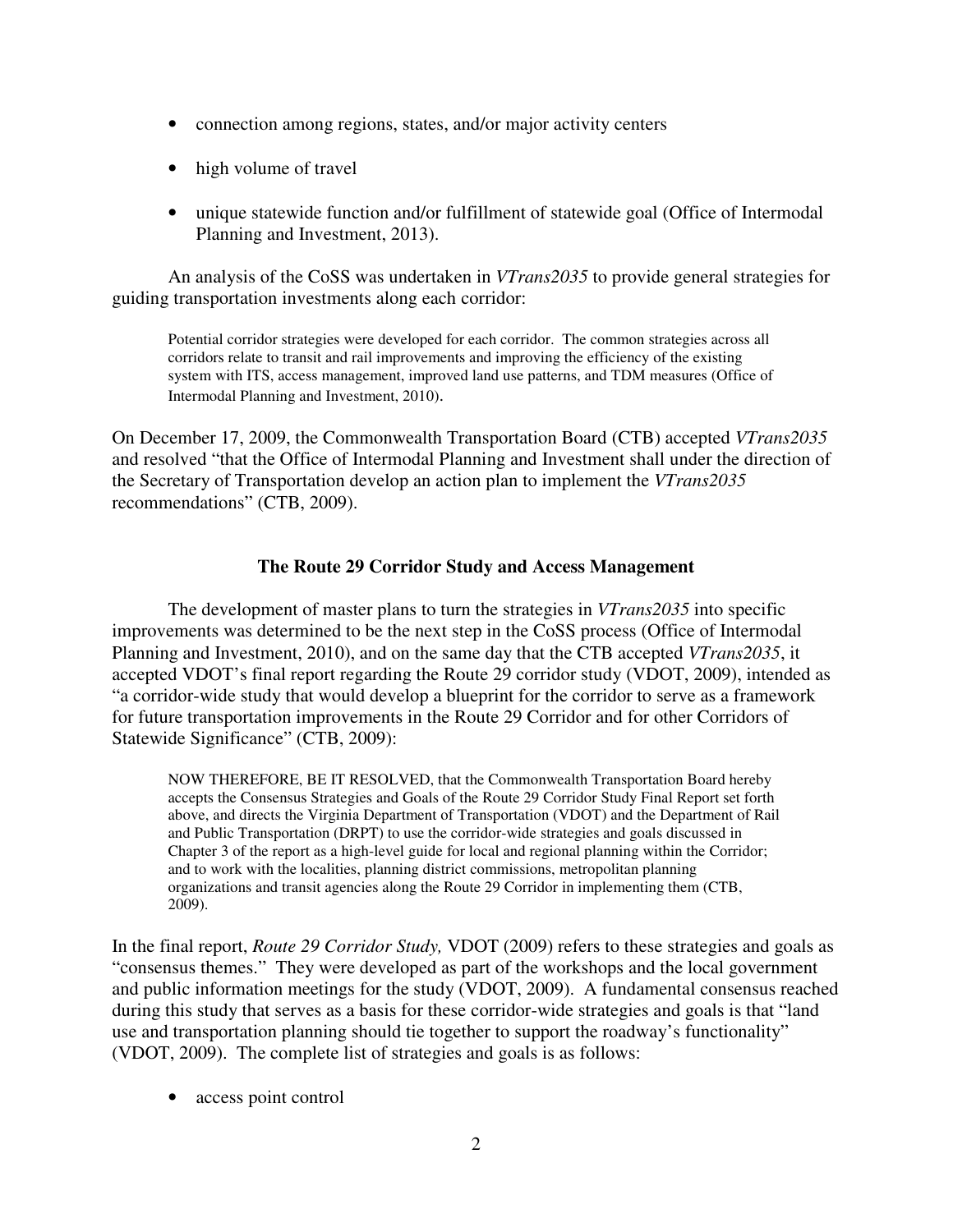- connection among regions, states, and/or major activity centers
- high volume of travel
- unique statewide function and/or fulfillment of statewide goal (Office of Intermodal Planning and Investment, 2013).

An analysis of the CoSS was undertaken in *VTrans2035* to provide general strategies for guiding transportation investments along each corridor:

Potential corridor strategies were developed for each corridor. The common strategies across all corridors relate to transit and rail improvements and improving the efficiency of the existing system with ITS, access management, improved land use patterns, and TDM measures (Office of Intermodal Planning and Investment, 2010).

On December 17, 2009, the Commonwealth Transportation Board (CTB) accepted *VTrans2035* and resolved "that the Office of Intermodal Planning and Investment shall under the direction of the Secretary of Transportation develop an action plan to implement the *VTrans2035* recommendations" (CTB, 2009).

#### **The Route 29 Corridor Study and Access Management**

The development of master plans to turn the strategies in *VTrans2035* into specific improvements was determined to be the next step in the CoSS process (Office of Intermodal Planning and Investment, 2010), and on the same day that the CTB accepted *VTrans2035*, it accepted VDOT's final report regarding the Route 29 corridor study (VDOT, 2009), intended as "a corridor-wide study that would develop a blueprint for the corridor to serve as a framework for future transportation improvements in the Route 29 Corridor and for other Corridors of Statewide Significance" (CTB, 2009):

NOW THEREFORE, BE IT RESOLVED, that the Commonwealth Transportation Board hereby accepts the Consensus Strategies and Goals of the Route 29 Corridor Study Final Report set forth above, and directs the Virginia Department of Transportation (VDOT) and the Department of Rail and Public Transportation (DRPT) to use the corridor-wide strategies and goals discussed in Chapter 3 of the report as a high-level guide for local and regional planning within the Corridor; and to work with the localities, planning district commissions, metropolitan planning organizations and transit agencies along the Route 29 Corridor in implementing them (CTB, 2009).

In the final report, *Route 29 Corridor Study,* VDOT (2009) refers to these strategies and goals as "consensus themes." They were developed as part of the workshops and the local government and public information meetings for the study (VDOT, 2009). A fundamental consensus reached during this study that serves as a basis for these corridor-wide strategies and goals is that "land use and transportation planning should tie together to support the roadway's functionality" (VDOT, 2009). The complete list of strategies and goals is as follows:

• access point control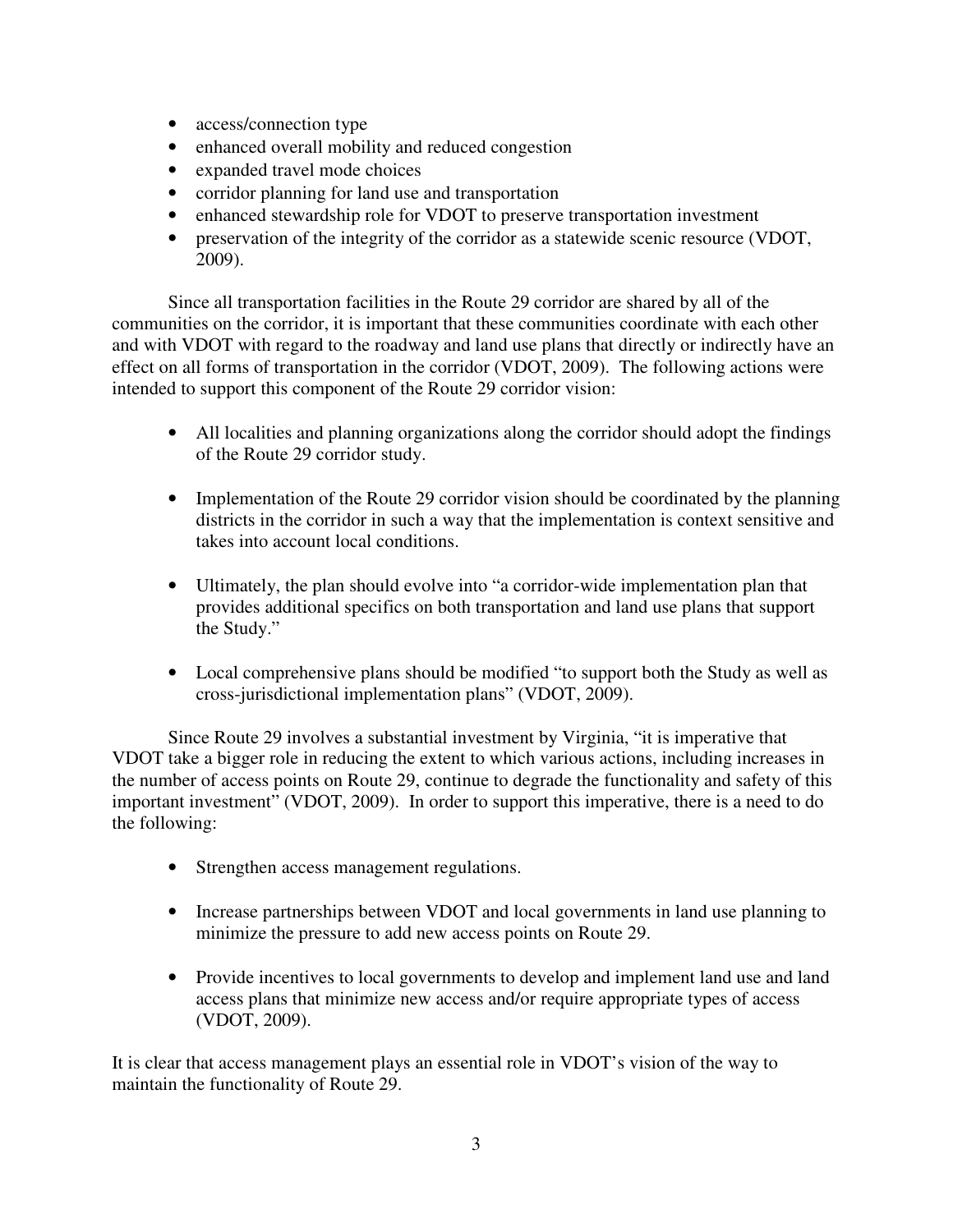- access/connection type
- enhanced overall mobility and reduced congestion
- expanded travel mode choices
- corridor planning for land use and transportation
- enhanced stewardship role for VDOT to preserve transportation investment
- preservation of the integrity of the corridor as a statewide scenic resource (VDOT, 2009).

Since all transportation facilities in the Route 29 corridor are shared by all of the communities on the corridor, it is important that these communities coordinate with each other and with VDOT with regard to the roadway and land use plans that directly or indirectly have an effect on all forms of transportation in the corridor (VDOT, 2009). The following actions were intended to support this component of the Route 29 corridor vision:

- All localities and planning organizations along the corridor should adopt the findings of the Route 29 corridor study.
- Implementation of the Route 29 corridor vision should be coordinated by the planning districts in the corridor in such a way that the implementation is context sensitive and takes into account local conditions.
- Ultimately, the plan should evolve into "a corridor-wide implementation plan that provides additional specifics on both transportation and land use plans that support the Study."
- Local comprehensive plans should be modified "to support both the Study as well as cross-jurisdictional implementation plans" (VDOT, 2009).

 Since Route 29 involves a substantial investment by Virginia, "it is imperative that VDOT take a bigger role in reducing the extent to which various actions, including increases in the number of access points on Route 29, continue to degrade the functionality and safety of this important investment" (VDOT, 2009). In order to support this imperative, there is a need to do the following:

- Strengthen access management regulations.
- Increase partnerships between VDOT and local governments in land use planning to minimize the pressure to add new access points on Route 29.
- Provide incentives to local governments to develop and implement land use and land access plans that minimize new access and/or require appropriate types of access (VDOT, 2009).

It is clear that access management plays an essential role in VDOT's vision of the way to maintain the functionality of Route 29.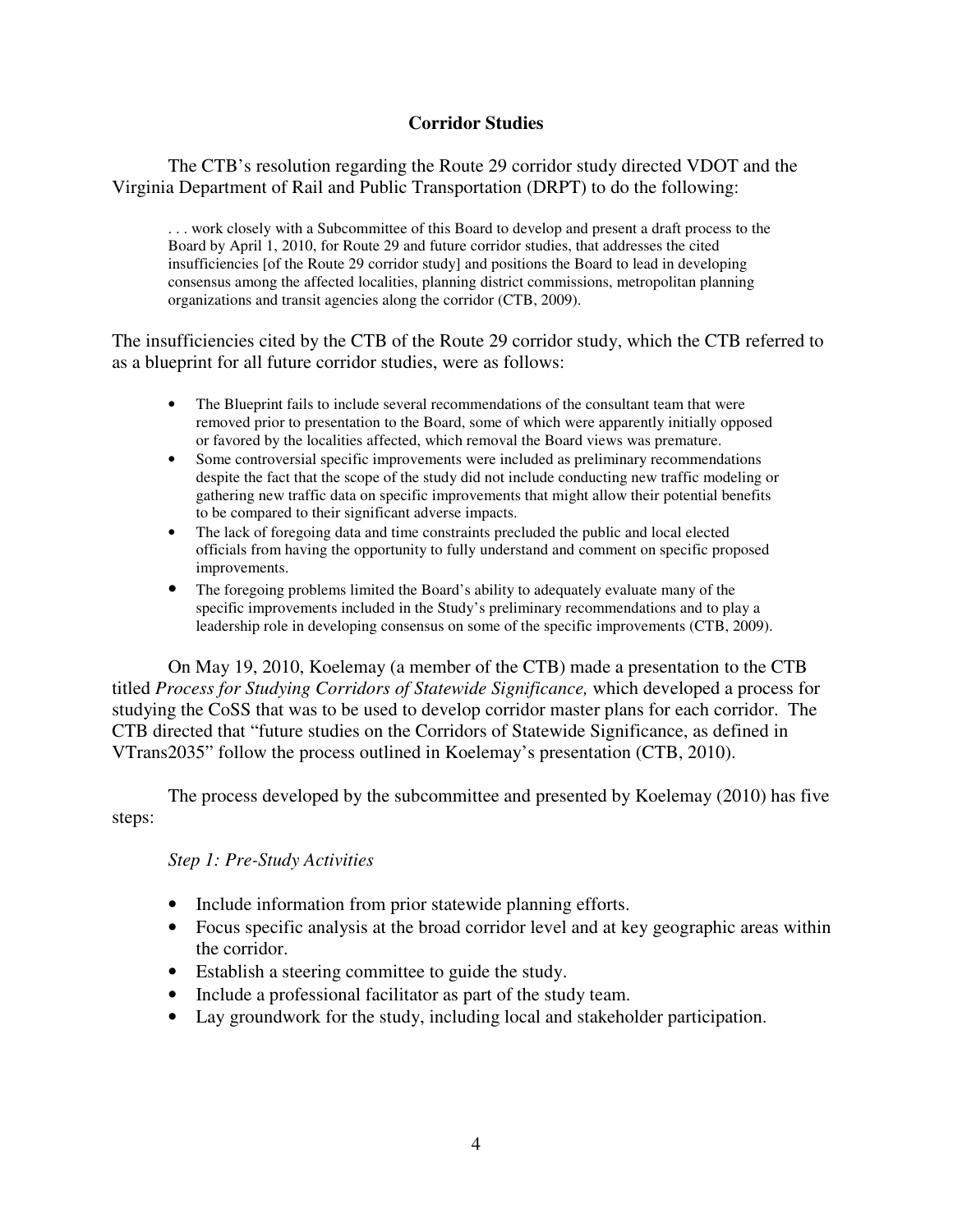# **Corridor Studies**

 The CTB's resolution regarding the Route 29 corridor study directed VDOT and the Virginia Department of Rail and Public Transportation (DRPT) to do the following:

. . . work closely with a Subcommittee of this Board to develop and present a draft process to the Board by April 1, 2010, for Route 29 and future corridor studies, that addresses the cited insufficiencies [of the Route 29 corridor study] and positions the Board to lead in developing consensus among the affected localities, planning district commissions, metropolitan planning organizations and transit agencies along the corridor (CTB, 2009).

The insufficiencies cited by the CTB of the Route 29 corridor study, which the CTB referred to as a blueprint for all future corridor studies, were as follows:

- The Blueprint fails to include several recommendations of the consultant team that were removed prior to presentation to the Board, some of which were apparently initially opposed or favored by the localities affected, which removal the Board views was premature.
- Some controversial specific improvements were included as preliminary recommendations despite the fact that the scope of the study did not include conducting new traffic modeling or gathering new traffic data on specific improvements that might allow their potential benefits to be compared to their significant adverse impacts.
- The lack of foregoing data and time constraints precluded the public and local elected officials from having the opportunity to fully understand and comment on specific proposed improvements.
- The foregoing problems limited the Board's ability to adequately evaluate many of the specific improvements included in the Study's preliminary recommendations and to play a leadership role in developing consensus on some of the specific improvements (CTB, 2009).

 On May 19, 2010, Koelemay (a member of the CTB) made a presentation to the CTB titled *Process for Studying Corridors of Statewide Significance,* which developed a process for studying the CoSS that was to be used to develop corridor master plans for each corridor. The CTB directed that "future studies on the Corridors of Statewide Significance, as defined in VTrans2035" follow the process outlined in Koelemay's presentation (CTB, 2010).

The process developed by the subcommittee and presented by Koelemay (2010) has five steps:

## *Step 1: Pre-Study Activities*

- Include information from prior statewide planning efforts.
- Focus specific analysis at the broad corridor level and at key geographic areas within the corridor.
- Establish a steering committee to guide the study.
- Include a professional facilitator as part of the study team.
- Lay groundwork for the study, including local and stakeholder participation.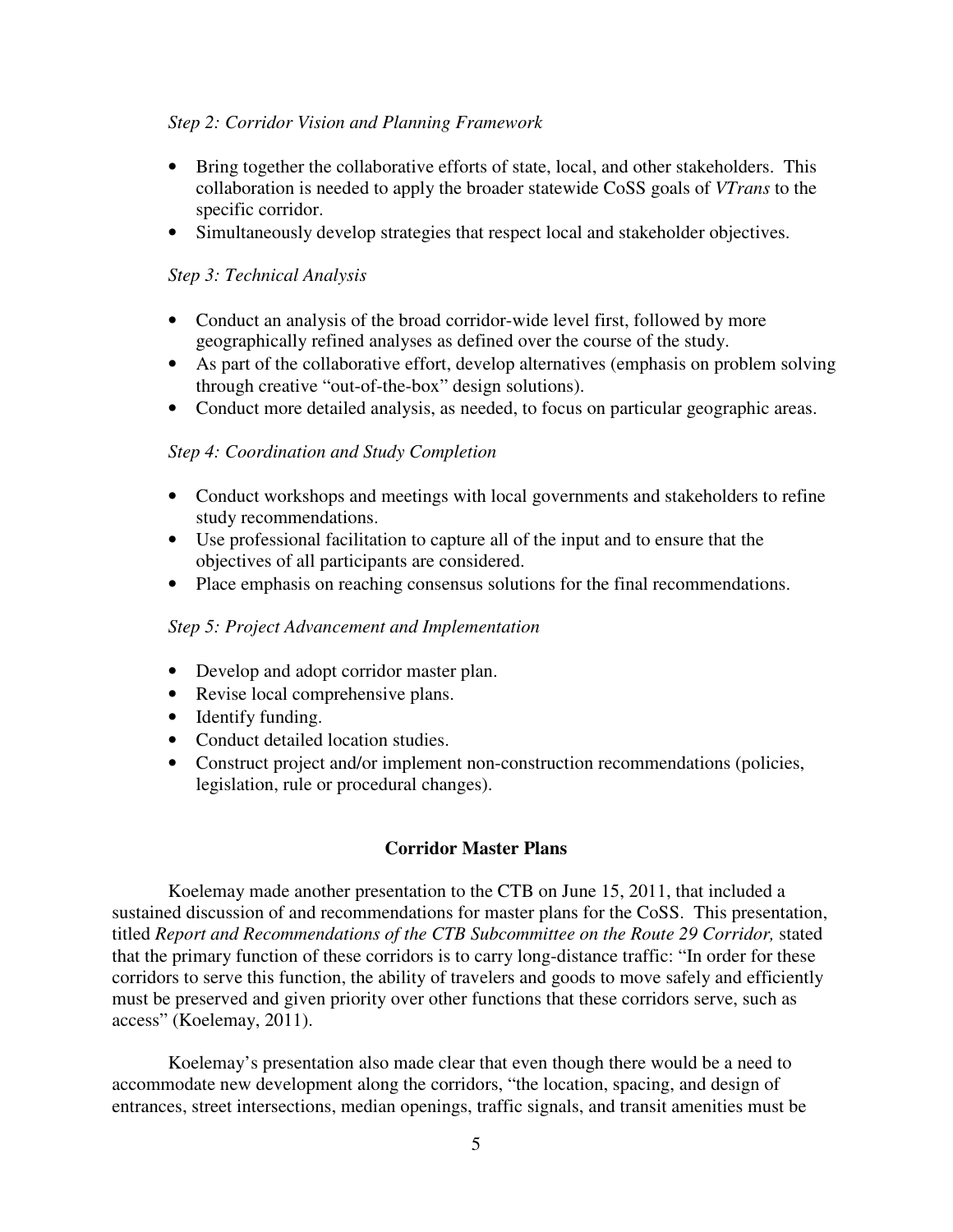## *Step 2: Corridor Vision and Planning Framework*

- Bring together the collaborative efforts of state, local, and other stakeholders. This collaboration is needed to apply the broader statewide CoSS goals of *VTrans* to the specific corridor.
- Simultaneously develop strategies that respect local and stakeholder objectives.

# *Step 3: Technical Analysis*

- Conduct an analysis of the broad corridor-wide level first, followed by more geographically refined analyses as defined over the course of the study.
- As part of the collaborative effort, develop alternatives (emphasis on problem solving through creative "out-of-the-box" design solutions).
- Conduct more detailed analysis, as needed, to focus on particular geographic areas.

## *Step 4: Coordination and Study Completion*

- Conduct workshops and meetings with local governments and stakeholders to refine study recommendations.
- Use professional facilitation to capture all of the input and to ensure that the objectives of all participants are considered.
- Place emphasis on reaching consensus solutions for the final recommendations.

## *Step 5: Project Advancement and Implementation*

- Develop and adopt corridor master plan.
- Revise local comprehensive plans.
- Identify funding.
- Conduct detailed location studies.
- Construct project and/or implement non-construction recommendations (policies, legislation, rule or procedural changes).

## **Corridor Master Plans**

Koelemay made another presentation to the CTB on June 15, 2011, that included a sustained discussion of and recommendations for master plans for the CoSS. This presentation, titled *Report and Recommendations of the CTB Subcommittee on the Route 29 Corridor,* stated that the primary function of these corridors is to carry long-distance traffic: "In order for these corridors to serve this function, the ability of travelers and goods to move safely and efficiently must be preserved and given priority over other functions that these corridors serve, such as access" (Koelemay, 2011).

Koelemay's presentation also made clear that even though there would be a need to accommodate new development along the corridors, "the location, spacing, and design of entrances, street intersections, median openings, traffic signals, and transit amenities must be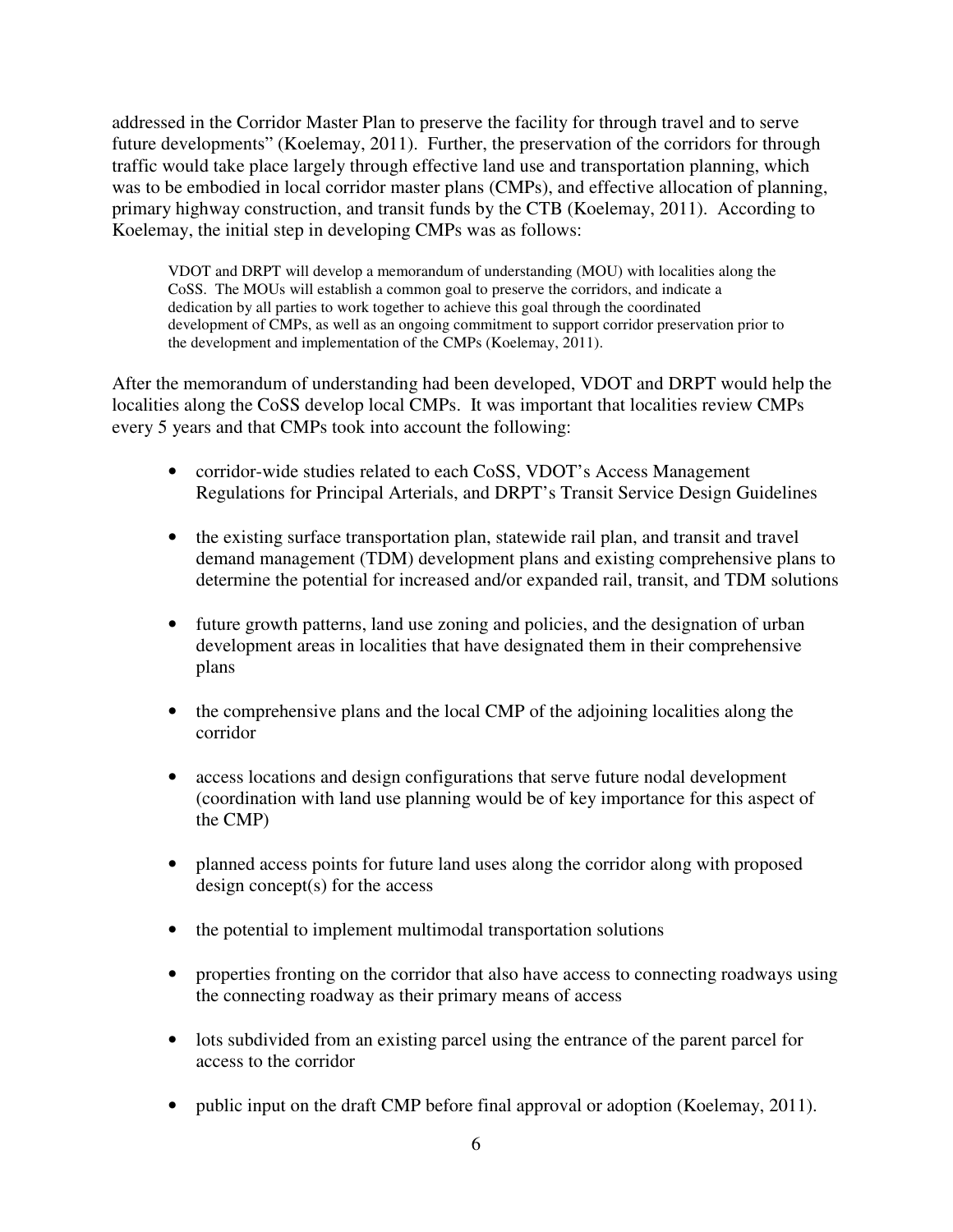addressed in the Corridor Master Plan to preserve the facility for through travel and to serve future developments" (Koelemay, 2011). Further, the preservation of the corridors for through traffic would take place largely through effective land use and transportation planning, which was to be embodied in local corridor master plans (CMPs), and effective allocation of planning, primary highway construction, and transit funds by the CTB (Koelemay, 2011). According to Koelemay, the initial step in developing CMPs was as follows:

VDOT and DRPT will develop a memorandum of understanding (MOU) with localities along the CoSS. The MOUs will establish a common goal to preserve the corridors, and indicate a dedication by all parties to work together to achieve this goal through the coordinated development of CMPs, as well as an ongoing commitment to support corridor preservation prior to the development and implementation of the CMPs (Koelemay, 2011).

After the memorandum of understanding had been developed, VDOT and DRPT would help the localities along the CoSS develop local CMPs. It was important that localities review CMPs every 5 years and that CMPs took into account the following:

- corridor-wide studies related to each CoSS, VDOT's Access Management Regulations for Principal Arterials, and DRPT's Transit Service Design Guidelines
- the existing surface transportation plan, statewide rail plan, and transit and travel demand management (TDM) development plans and existing comprehensive plans to determine the potential for increased and/or expanded rail, transit, and TDM solutions
- future growth patterns, land use zoning and policies, and the designation of urban development areas in localities that have designated them in their comprehensive plans
- the comprehensive plans and the local CMP of the adjoining localities along the corridor
- access locations and design configurations that serve future nodal development (coordination with land use planning would be of key importance for this aspect of the CMP)
- planned access points for future land uses along the corridor along with proposed design concept(s) for the access
- the potential to implement multimodal transportation solutions
- properties fronting on the corridor that also have access to connecting roadways using the connecting roadway as their primary means of access
- lots subdivided from an existing parcel using the entrance of the parent parcel for access to the corridor
- public input on the draft CMP before final approval or adoption (Koelemay, 2011).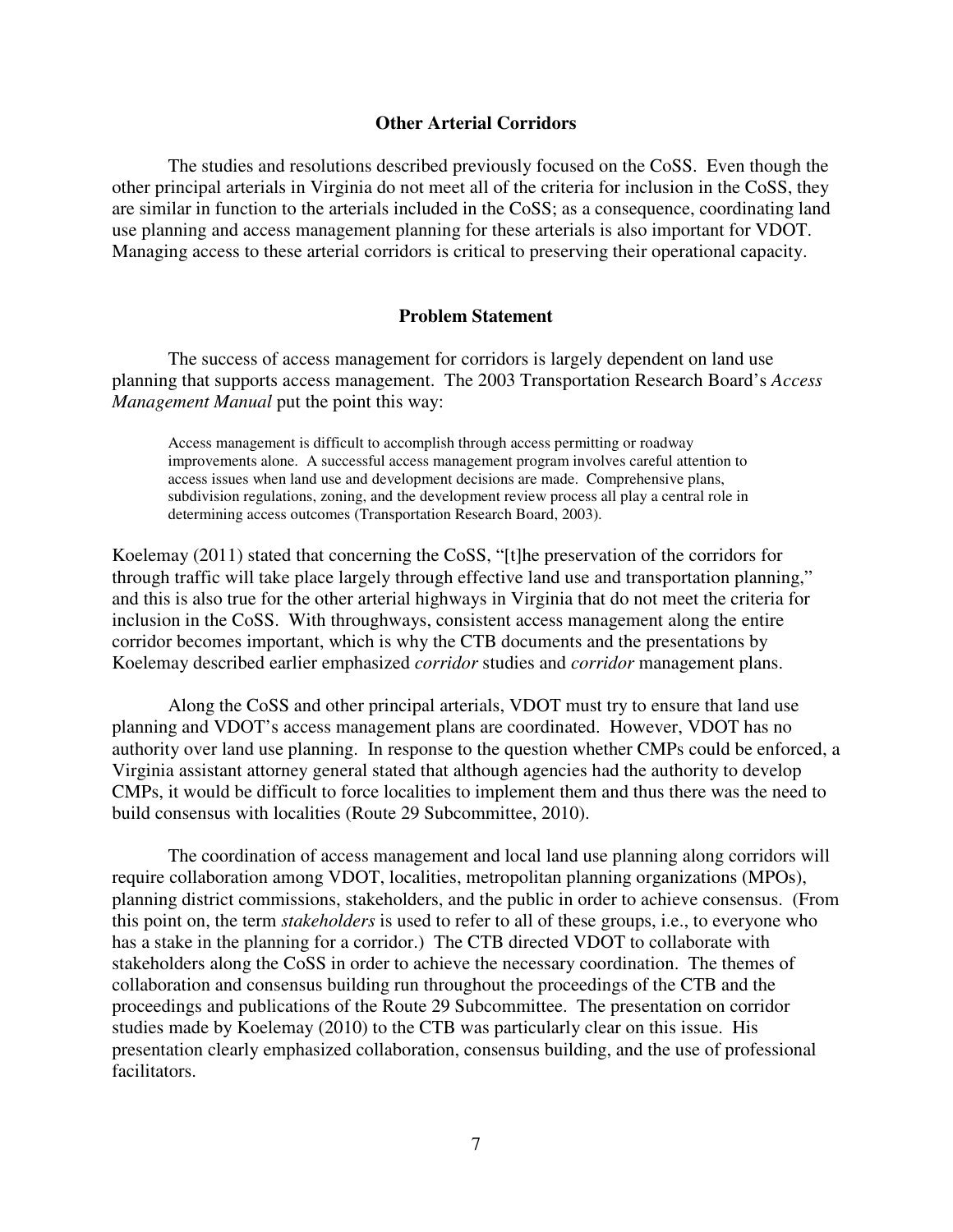#### **Other Arterial Corridors**

 The studies and resolutions described previously focused on the CoSS. Even though the other principal arterials in Virginia do not meet all of the criteria for inclusion in the CoSS, they are similar in function to the arterials included in the CoSS; as a consequence, coordinating land use planning and access management planning for these arterials is also important for VDOT. Managing access to these arterial corridors is critical to preserving their operational capacity.

#### **Problem Statement**

The success of access management for corridors is largely dependent on land use planning that supports access management. The 2003 Transportation Research Board's *Access Management Manual* put the point this way:

Access management is difficult to accomplish through access permitting or roadway improvements alone. A successful access management program involves careful attention to access issues when land use and development decisions are made. Comprehensive plans, subdivision regulations, zoning, and the development review process all play a central role in determining access outcomes (Transportation Research Board, 2003).

Koelemay (2011) stated that concerning the CoSS, "[t]he preservation of the corridors for through traffic will take place largely through effective land use and transportation planning," and this is also true for the other arterial highways in Virginia that do not meet the criteria for inclusion in the CoSS. With throughways, consistent access management along the entire corridor becomes important, which is why the CTB documents and the presentations by Koelemay described earlier emphasized *corridor* studies and *corridor* management plans.

Along the CoSS and other principal arterials, VDOT must try to ensure that land use planning and VDOT's access management plans are coordinated. However, VDOT has no authority over land use planning. In response to the question whether CMPs could be enforced, a Virginia assistant attorney general stated that although agencies had the authority to develop CMPs, it would be difficult to force localities to implement them and thus there was the need to build consensus with localities (Route 29 Subcommittee, 2010).

The coordination of access management and local land use planning along corridors will require collaboration among VDOT, localities, metropolitan planning organizations (MPOs), planning district commissions, stakeholders, and the public in order to achieve consensus. (From this point on, the term *stakeholders* is used to refer to all of these groups, i.e., to everyone who has a stake in the planning for a corridor.) The CTB directed VDOT to collaborate with stakeholders along the CoSS in order to achieve the necessary coordination. The themes of collaboration and consensus building run throughout the proceedings of the CTB and the proceedings and publications of the Route 29 Subcommittee. The presentation on corridor studies made by Koelemay (2010) to the CTB was particularly clear on this issue. His presentation clearly emphasized collaboration, consensus building, and the use of professional facilitators.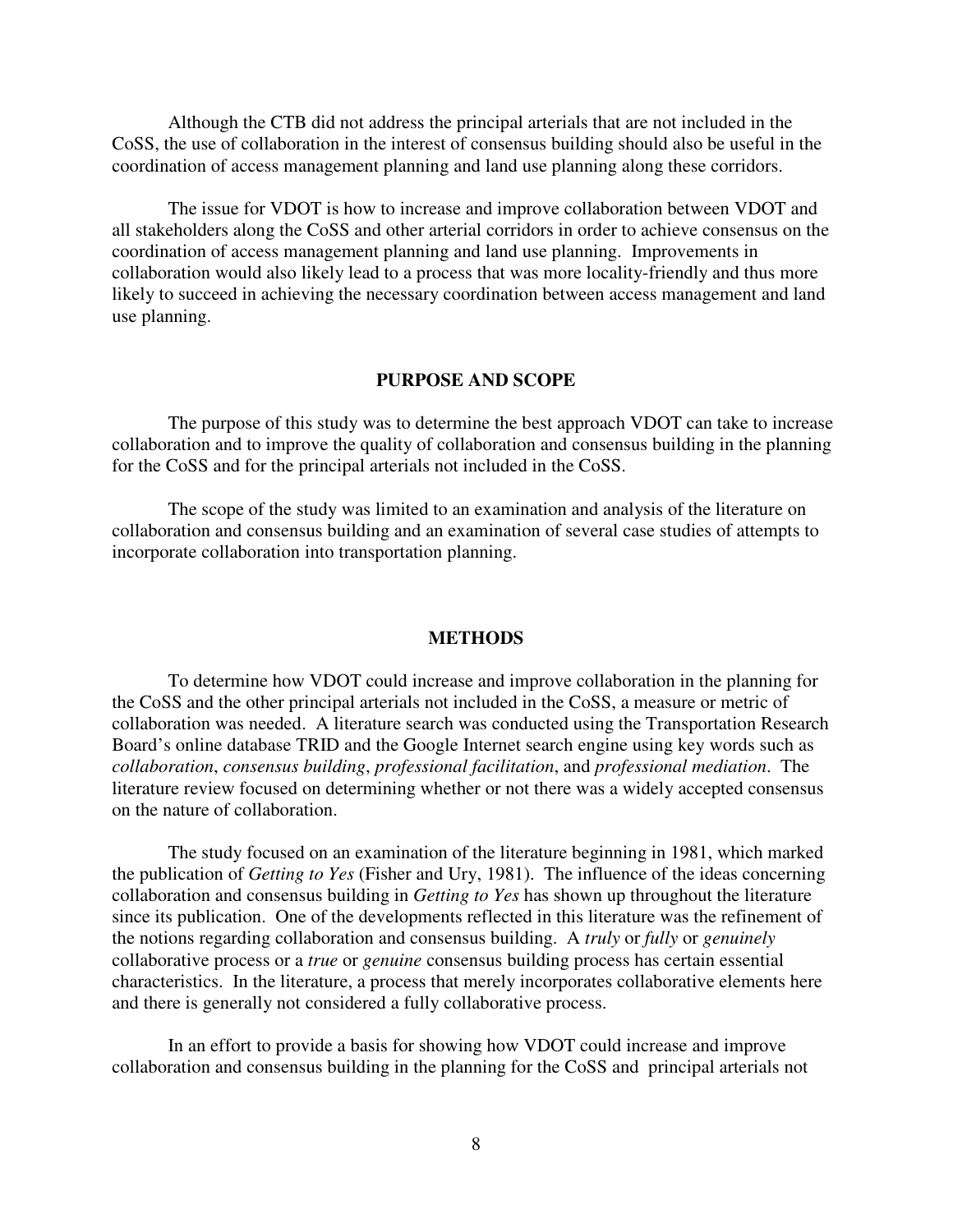Although the CTB did not address the principal arterials that are not included in the CoSS, the use of collaboration in the interest of consensus building should also be useful in the coordination of access management planning and land use planning along these corridors.

 The issue for VDOT is how to increase and improve collaboration between VDOT and all stakeholders along the CoSS and other arterial corridors in order to achieve consensus on the coordination of access management planning and land use planning. Improvements in collaboration would also likely lead to a process that was more locality-friendly and thus more likely to succeed in achieving the necessary coordination between access management and land use planning.

#### **PURPOSE AND SCOPE**

The purpose of this study was to determine the best approach VDOT can take to increase collaboration and to improve the quality of collaboration and consensus building in the planning for the CoSS and for the principal arterials not included in the CoSS.

The scope of the study was limited to an examination and analysis of the literature on collaboration and consensus building and an examination of several case studies of attempts to incorporate collaboration into transportation planning.

#### **METHODS**

To determine how VDOT could increase and improve collaboration in the planning for the CoSS and the other principal arterials not included in the CoSS, a measure or metric of collaboration was needed. A literature search was conducted using the Transportation Research Board's online database TRID and the Google Internet search engine using key words such as *collaboration*, *consensus building*, *professional facilitation*, and *professional mediation*. The literature review focused on determining whether or not there was a widely accepted consensus on the nature of collaboration.

 The study focused on an examination of the literature beginning in 1981, which marked the publication of *Getting to Yes* (Fisher and Ury, 1981).The influence of the ideas concerning collaboration and consensus building in *Getting to Yes* has shown up throughout the literature since its publication. One of the developments reflected in this literature was the refinement of the notions regarding collaboration and consensus building. A *truly* or *fully* or *genuinely* collaborative process or a *true* or *genuine* consensus building process has certain essential characteristics. In the literature, a process that merely incorporates collaborative elements here and there is generally not considered a fully collaborative process.

 In an effort to provide a basis for showing how VDOT could increase and improve collaboration and consensus building in the planning for the CoSS and principal arterials not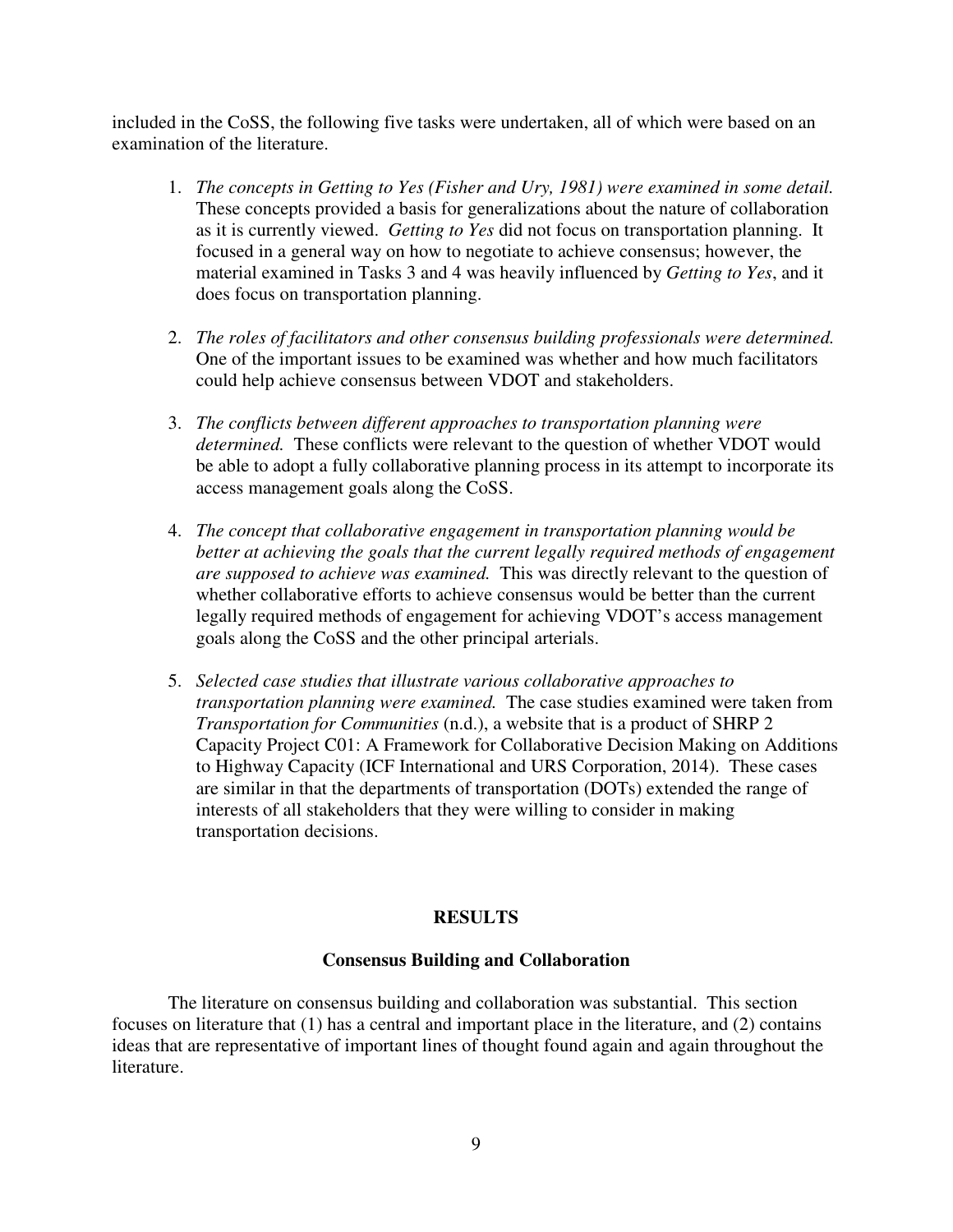included in the CoSS, the following five tasks were undertaken, all of which were based on an examination of the literature.

- 1. *The concepts in Getting to Yes (Fisher and Ury, 1981) were examined in some detail.* These concepts provided a basis for generalizations about the nature of collaboration as it is currently viewed. *Getting to Yes* did not focus on transportation planning. It focused in a general way on how to negotiate to achieve consensus; however, the material examined in Tasks 3 and 4 was heavily influenced by *Getting to Yes*, and it does focus on transportation planning.
- 2. *The roles of facilitators and other consensus building professionals were determined.* One of the important issues to be examined was whether and how much facilitators could help achieve consensus between VDOT and stakeholders.
- 3. *The conflicts between different approaches to transportation planning were determined.* These conflicts were relevant to the question of whether VDOT would be able to adopt a fully collaborative planning process in its attempt to incorporate its access management goals along the CoSS.
- 4. *The concept that collaborative engagement in transportation planning would be better at achieving the goals that the current legally required methods of engagement are supposed to achieve was examined.* This was directly relevant to the question of whether collaborative efforts to achieve consensus would be better than the current legally required methods of engagement for achieving VDOT's access management goals along the CoSS and the other principal arterials.
- 5. *Selected case studies that illustrate various collaborative approaches to transportation planning were examined.* The case studies examined were taken from *Transportation for Communities* (n.d.), a website that is a product of SHRP 2 Capacity Project C01: A Framework for Collaborative Decision Making on Additions to Highway Capacity (ICF International and URS Corporation, 2014). These cases are similar in that the departments of transportation (DOTs) extended the range of interests of all stakeholders that they were willing to consider in making transportation decisions.

## **RESULTS**

#### **Consensus Building and Collaboration**

The literature on consensus building and collaboration was substantial. This section focuses on literature that (1) has a central and important place in the literature, and (2) contains ideas that are representative of important lines of thought found again and again throughout the literature.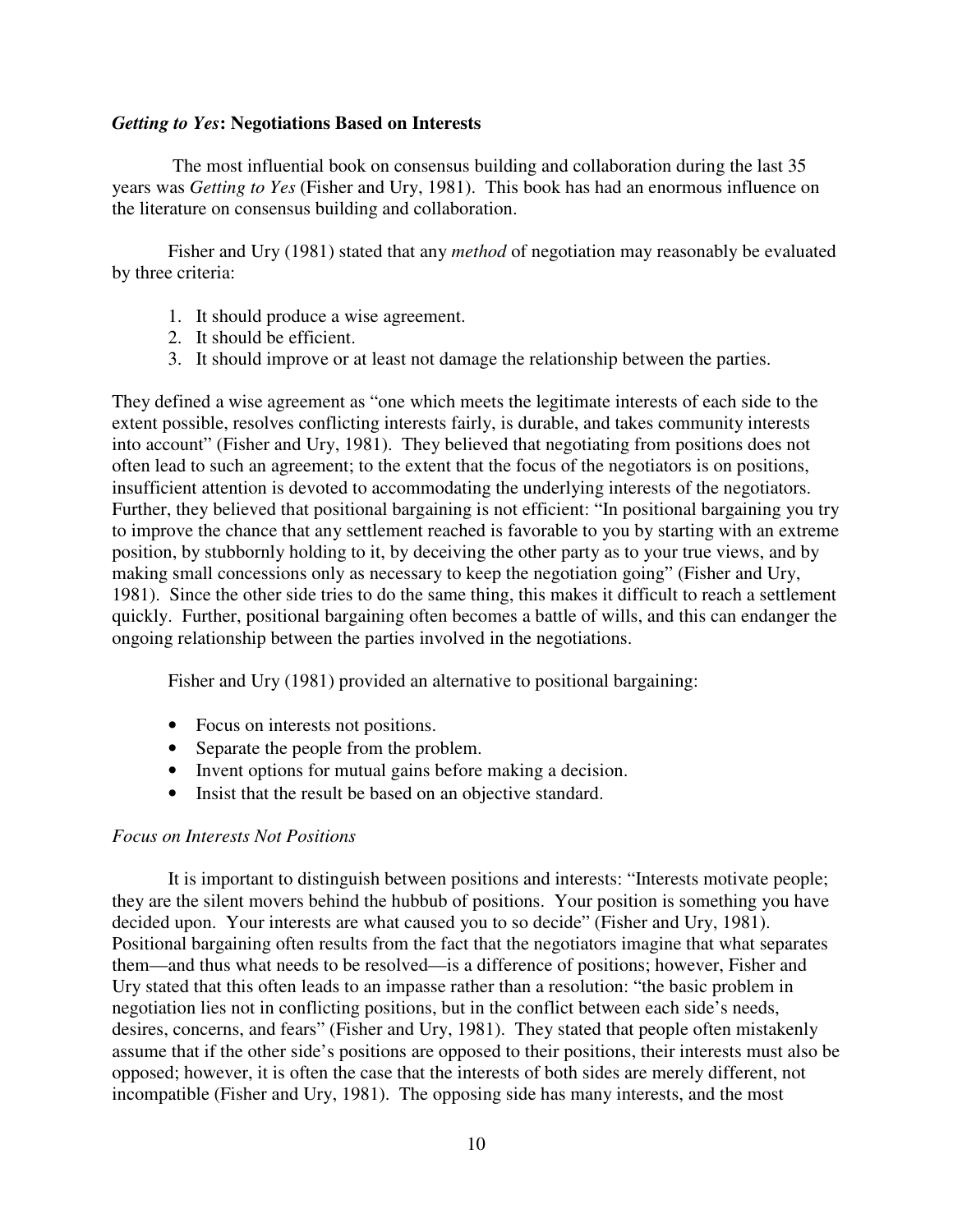#### *Getting to Yes***: Negotiations Based on Interests**

 The most influential book on consensus building and collaboration during the last 35 years was *Getting to Yes* (Fisher and Ury, 1981). This book has had an enormous influence on the literature on consensus building and collaboration.

Fisher and Ury (1981) stated that any *method* of negotiation may reasonably be evaluated by three criteria:

- 1. It should produce a wise agreement.
- 2. It should be efficient.
- 3. It should improve or at least not damage the relationship between the parties.

They defined a wise agreement as "one which meets the legitimate interests of each side to the extent possible, resolves conflicting interests fairly, is durable, and takes community interests into account" (Fisher and Ury, 1981). They believed that negotiating from positions does not often lead to such an agreement; to the extent that the focus of the negotiators is on positions, insufficient attention is devoted to accommodating the underlying interests of the negotiators. Further, they believed that positional bargaining is not efficient: "In positional bargaining you try to improve the chance that any settlement reached is favorable to you by starting with an extreme position, by stubbornly holding to it, by deceiving the other party as to your true views, and by making small concessions only as necessary to keep the negotiation going" (Fisher and Ury, 1981). Since the other side tries to do the same thing, this makes it difficult to reach a settlement quickly. Further, positional bargaining often becomes a battle of wills, and this can endanger the ongoing relationship between the parties involved in the negotiations.

Fisher and Ury (1981) provided an alternative to positional bargaining:

- Focus on interests not positions.
- Separate the people from the problem.
- Invent options for mutual gains before making a decision.
- Insist that the result be based on an objective standard.

#### *Focus on Interests Not Positions*

It is important to distinguish between positions and interests: "Interests motivate people; they are the silent movers behind the hubbub of positions. Your position is something you have decided upon. Your interests are what caused you to so decide" (Fisher and Ury, 1981). Positional bargaining often results from the fact that the negotiators imagine that what separates them—and thus what needs to be resolved—is a difference of positions; however, Fisher and Ury stated that this often leads to an impasse rather than a resolution: "the basic problem in negotiation lies not in conflicting positions, but in the conflict between each side's needs, desires, concerns, and fears" (Fisher and Ury, 1981). They stated that people often mistakenly assume that if the other side's positions are opposed to their positions, their interests must also be opposed; however, it is often the case that the interests of both sides are merely different, not incompatible (Fisher and Ury, 1981). The opposing side has many interests, and the most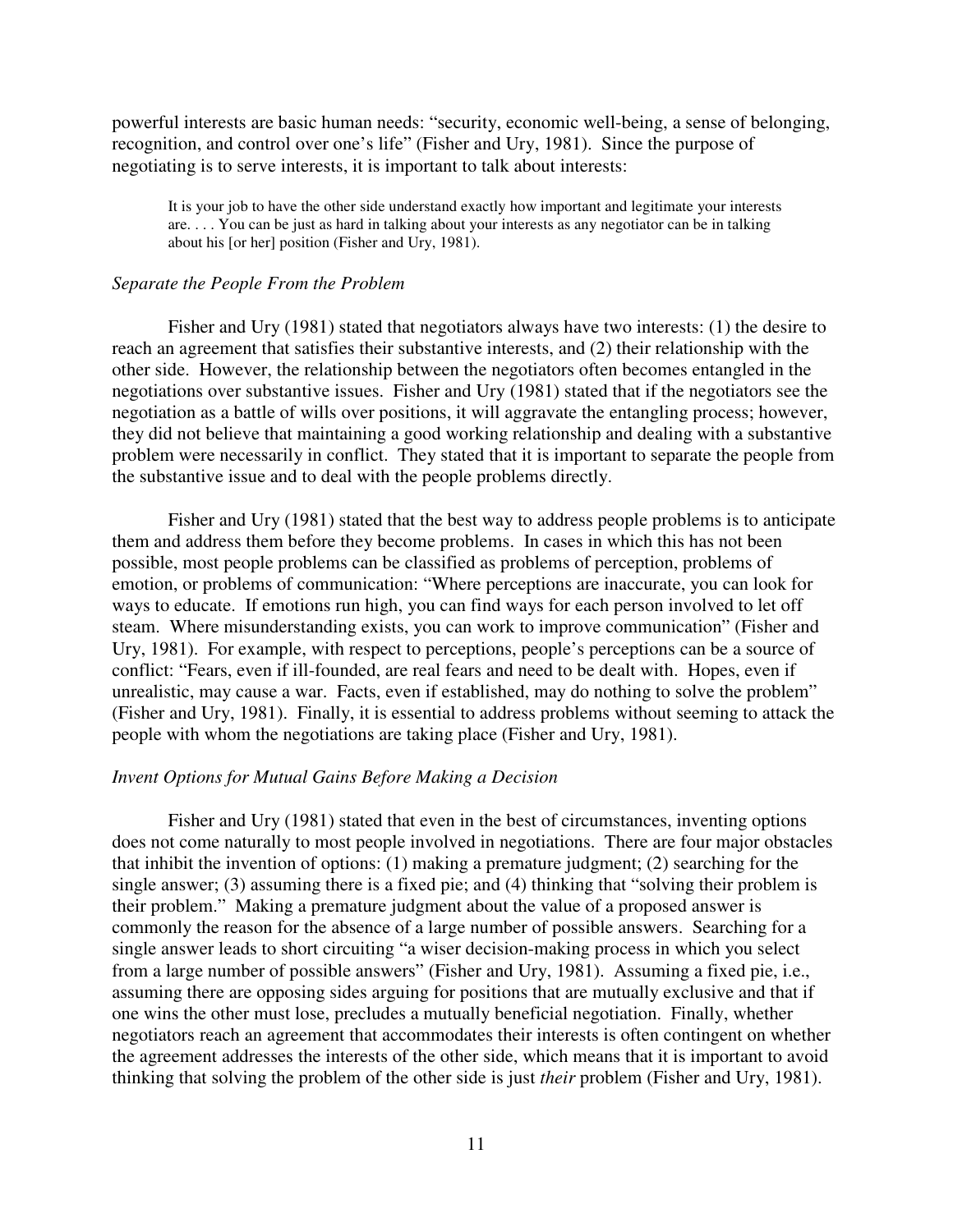powerful interests are basic human needs: "security, economic well-being, a sense of belonging, recognition, and control over one's life" (Fisher and Ury, 1981). Since the purpose of negotiating is to serve interests, it is important to talk about interests:

It is your job to have the other side understand exactly how important and legitimate your interests are. . . . You can be just as hard in talking about your interests as any negotiator can be in talking about his [or her] position (Fisher and Ury, 1981).

#### *Separate the People From the Problem*

Fisher and Ury (1981) stated that negotiators always have two interests: (1) the desire to reach an agreement that satisfies their substantive interests, and (2) their relationship with the other side. However, the relationship between the negotiators often becomes entangled in the negotiations over substantive issues. Fisher and Ury (1981) stated that if the negotiators see the negotiation as a battle of wills over positions, it will aggravate the entangling process; however, they did not believe that maintaining a good working relationship and dealing with a substantive problem were necessarily in conflict. They stated that it is important to separate the people from the substantive issue and to deal with the people problems directly.

 Fisher and Ury (1981) stated that the best way to address people problems is to anticipate them and address them before they become problems. In cases in which this has not been possible, most people problems can be classified as problems of perception, problems of emotion, or problems of communication: "Where perceptions are inaccurate, you can look for ways to educate. If emotions run high, you can find ways for each person involved to let off steam. Where misunderstanding exists, you can work to improve communication" (Fisher and Ury, 1981). For example, with respect to perceptions, people's perceptions can be a source of conflict: "Fears, even if ill-founded, are real fears and need to be dealt with. Hopes, even if unrealistic, may cause a war. Facts, even if established, may do nothing to solve the problem" (Fisher and Ury, 1981). Finally, it is essential to address problems without seeming to attack the people with whom the negotiations are taking place (Fisher and Ury, 1981).

#### *Invent Options for Mutual Gains Before Making a Decision*

Fisher and Ury (1981) stated that even in the best of circumstances, inventing options does not come naturally to most people involved in negotiations. There are four major obstacles that inhibit the invention of options: (1) making a premature judgment; (2) searching for the single answer; (3) assuming there is a fixed pie; and (4) thinking that "solving their problem is their problem." Making a premature judgment about the value of a proposed answer is commonly the reason for the absence of a large number of possible answers. Searching for a single answer leads to short circuiting "a wiser decision-making process in which you select from a large number of possible answers" (Fisher and Ury, 1981). Assuming a fixed pie, i.e., assuming there are opposing sides arguing for positions that are mutually exclusive and that if one wins the other must lose, precludes a mutually beneficial negotiation. Finally, whether negotiators reach an agreement that accommodates their interests is often contingent on whether the agreement addresses the interests of the other side, which means that it is important to avoid thinking that solving the problem of the other side is just *their* problem (Fisher and Ury, 1981).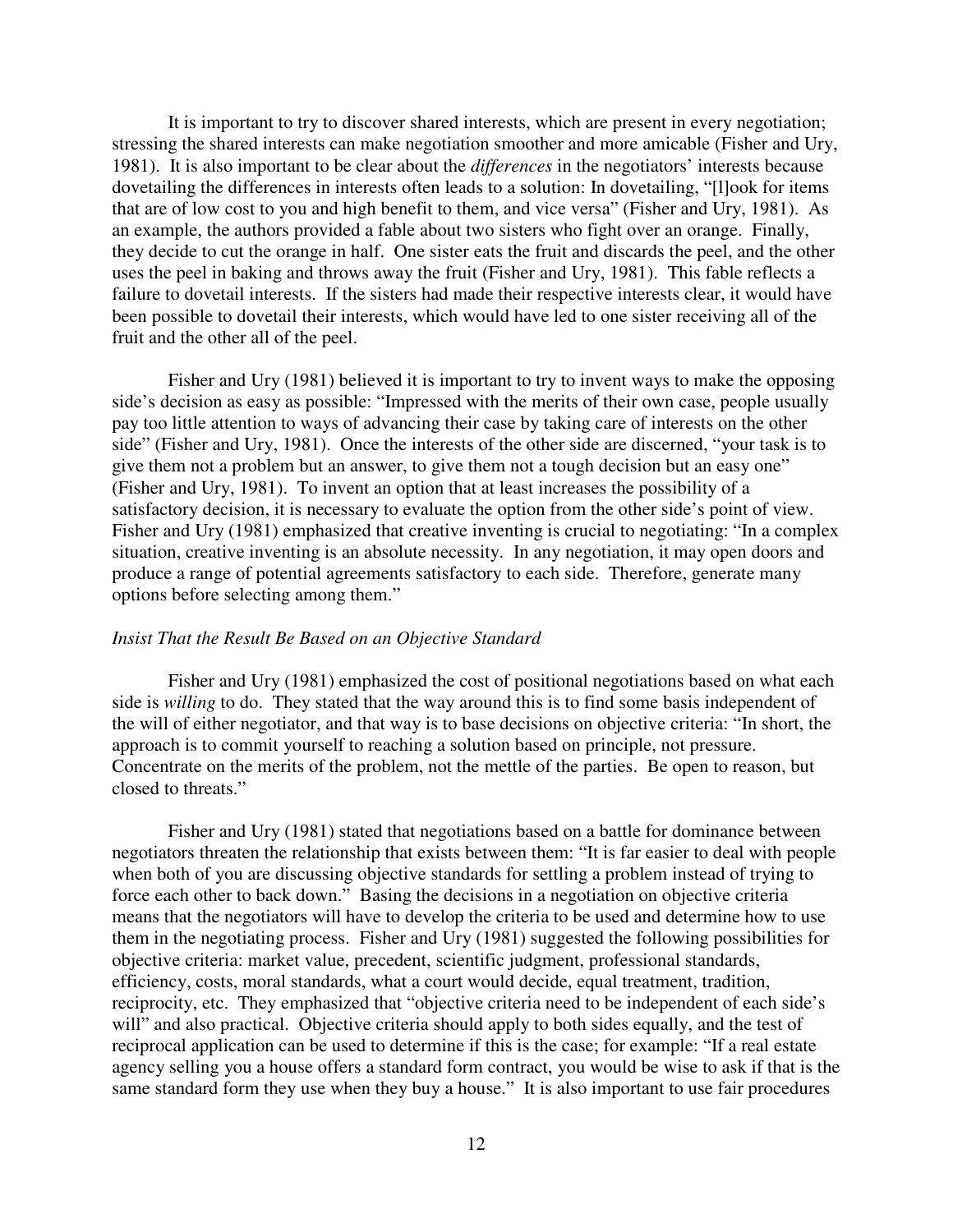It is important to try to discover shared interests, which are present in every negotiation; stressing the shared interests can make negotiation smoother and more amicable (Fisher and Ury, 1981). It is also important to be clear about the *differences* in the negotiators' interests because dovetailing the differences in interests often leads to a solution: In dovetailing, "[l]ook for items that are of low cost to you and high benefit to them, and vice versa" (Fisher and Ury, 1981). As an example, the authors provided a fable about two sisters who fight over an orange. Finally, they decide to cut the orange in half. One sister eats the fruit and discards the peel, and the other uses the peel in baking and throws away the fruit (Fisher and Ury, 1981). This fable reflects a failure to dovetail interests. If the sisters had made their respective interests clear, it would have been possible to dovetail their interests, which would have led to one sister receiving all of the fruit and the other all of the peel.

 Fisher and Ury (1981) believed it is important to try to invent ways to make the opposing side's decision as easy as possible: "Impressed with the merits of their own case, people usually pay too little attention to ways of advancing their case by taking care of interests on the other side" (Fisher and Ury, 1981).Once the interests of the other side are discerned, "your task is to give them not a problem but an answer, to give them not a tough decision but an easy one" (Fisher and Ury, 1981). To invent an option that at least increases the possibility of a satisfactory decision, it is necessary to evaluate the option from the other side's point of view. Fisher and Ury (1981) emphasized that creative inventing is crucial to negotiating: "In a complex situation, creative inventing is an absolute necessity. In any negotiation, it may open doors and produce a range of potential agreements satisfactory to each side. Therefore, generate many options before selecting among them."

#### *Insist That the Result Be Based on an Objective Standard*

 Fisher and Ury (1981) emphasized the cost of positional negotiations based on what each side is *willing* to do. They stated that the way around this is to find some basis independent of the will of either negotiator, and that way is to base decisions on objective criteria: "In short, the approach is to commit yourself to reaching a solution based on principle, not pressure. Concentrate on the merits of the problem, not the mettle of the parties. Be open to reason, but closed to threats."

Fisher and Ury (1981) stated that negotiations based on a battle for dominance between negotiators threaten the relationship that exists between them: "It is far easier to deal with people when both of you are discussing objective standards for settling a problem instead of trying to force each other to back down." Basing the decisions in a negotiation on objective criteria means that the negotiators will have to develop the criteria to be used and determine how to use them in the negotiating process. Fisher and Ury (1981) suggested the following possibilities for objective criteria: market value, precedent, scientific judgment, professional standards, efficiency, costs, moral standards, what a court would decide, equal treatment, tradition, reciprocity, etc. They emphasized that "objective criteria need to be independent of each side's will" and also practical. Objective criteria should apply to both sides equally, and the test of reciprocal application can be used to determine if this is the case; for example: "If a real estate agency selling you a house offers a standard form contract, you would be wise to ask if that is the same standard form they use when they buy a house." It is also important to use fair procedures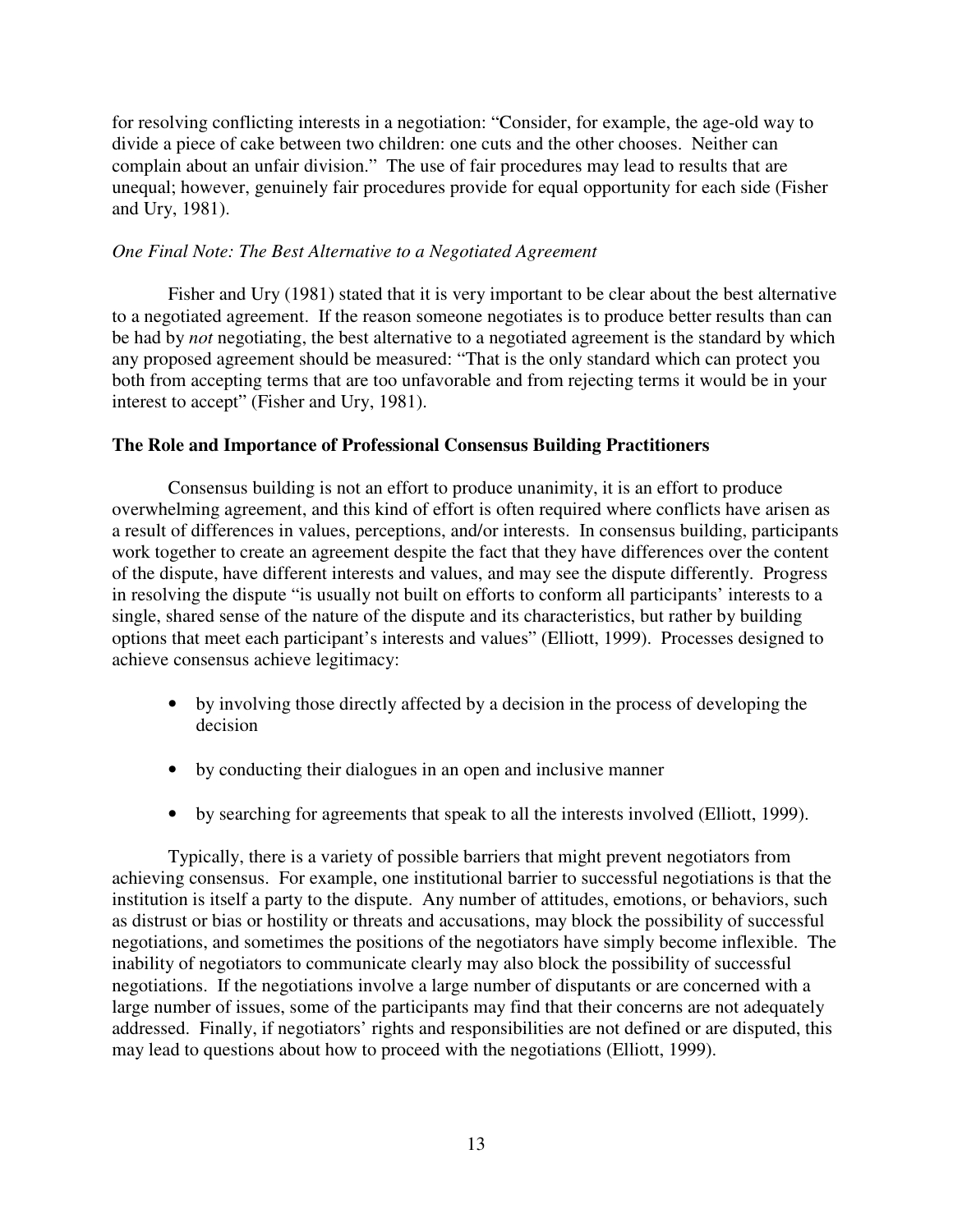for resolving conflicting interests in a negotiation: "Consider, for example, the age-old way to divide a piece of cake between two children: one cuts and the other chooses. Neither can complain about an unfair division." The use of fair procedures may lead to results that are unequal; however, genuinely fair procedures provide for equal opportunity for each side (Fisher and Ury, 1981).

## *One Final Note: The Best Alternative to a Negotiated Agreement*

 Fisher and Ury (1981) stated that it is very important to be clear about the best alternative to a negotiated agreement. If the reason someone negotiates is to produce better results than can be had by *not* negotiating, the best alternative to a negotiated agreement is the standard by which any proposed agreement should be measured: "That is the only standard which can protect you both from accepting terms that are too unfavorable and from rejecting terms it would be in your interest to accept" (Fisher and Ury, 1981).

## **The Role and Importance of Professional Consensus Building Practitioners**

 Consensus building is not an effort to produce unanimity, it is an effort to produce overwhelming agreement, and this kind of effort is often required where conflicts have arisen as a result of differences in values, perceptions, and/or interests. In consensus building, participants work together to create an agreement despite the fact that they have differences over the content of the dispute, have different interests and values, and may see the dispute differently. Progress in resolving the dispute "is usually not built on efforts to conform all participants' interests to a single, shared sense of the nature of the dispute and its characteristics, but rather by building options that meet each participant's interests and values" (Elliott, 1999). Processes designed to achieve consensus achieve legitimacy:

- by involving those directly affected by a decision in the process of developing the decision
- by conducting their dialogues in an open and inclusive manner
- by searching for agreements that speak to all the interests involved (Elliott, 1999).

 Typically, there is a variety of possible barriers that might prevent negotiators from achieving consensus. For example, one institutional barrier to successful negotiations is that the institution is itself a party to the dispute. Any number of attitudes, emotions, or behaviors, such as distrust or bias or hostility or threats and accusations, may block the possibility of successful negotiations, and sometimes the positions of the negotiators have simply become inflexible. The inability of negotiators to communicate clearly may also block the possibility of successful negotiations. If the negotiations involve a large number of disputants or are concerned with a large number of issues, some of the participants may find that their concerns are not adequately addressed. Finally, if negotiators' rights and responsibilities are not defined or are disputed, this may lead to questions about how to proceed with the negotiations (Elliott, 1999).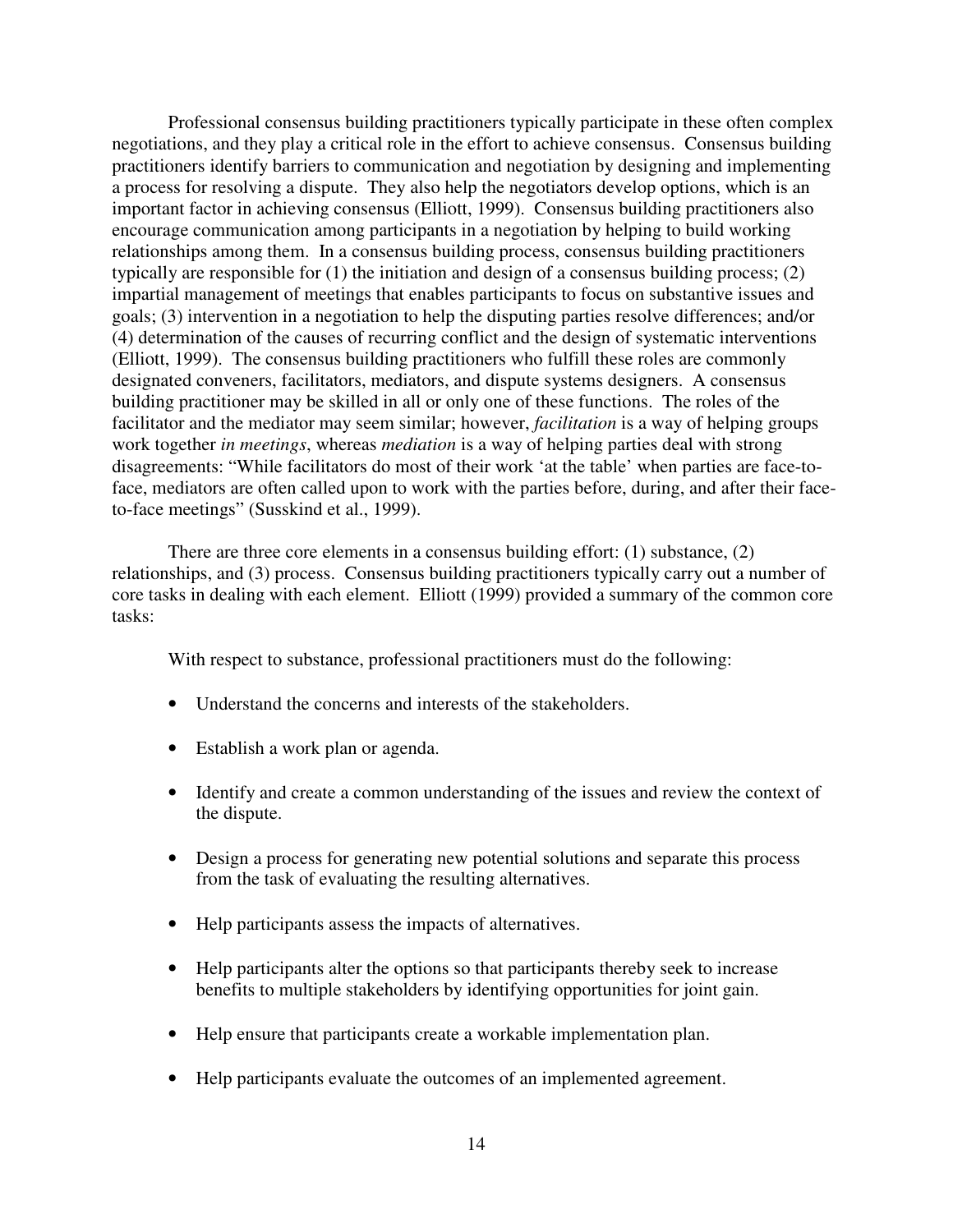Professional consensus building practitioners typically participate in these often complex negotiations, and they play a critical role in the effort to achieve consensus. Consensus building practitioners identify barriers to communication and negotiation by designing and implementing a process for resolving a dispute. They also help the negotiators develop options, which is an important factor in achieving consensus (Elliott, 1999). Consensus building practitioners also encourage communication among participants in a negotiation by helping to build working relationships among them. In a consensus building process, consensus building practitioners typically are responsible for (1) the initiation and design of a consensus building process; (2) impartial management of meetings that enables participants to focus on substantive issues and goals; (3) intervention in a negotiation to help the disputing parties resolve differences; and/or (4) determination of the causes of recurring conflict and the design of systematic interventions (Elliott, 1999). The consensus building practitioners who fulfill these roles are commonly designated conveners, facilitators, mediators, and dispute systems designers. A consensus building practitioner may be skilled in all or only one of these functions. The roles of the facilitator and the mediator may seem similar; however, *facilitation* is a way of helping groups work together *in meetings*, whereas *mediation* is a way of helping parties deal with strong disagreements: "While facilitators do most of their work 'at the table' when parties are face-toface, mediators are often called upon to work with the parties before, during, and after their faceto-face meetings" (Susskind et al., 1999).

There are three core elements in a consensus building effort: (1) substance, (2) relationships, and (3) process. Consensus building practitioners typically carry out a number of core tasks in dealing with each element. Elliott (1999) provided a summary of the common core tasks:

With respect to substance, professional practitioners must do the following:

- Understand the concerns and interests of the stakeholders.
- Establish a work plan or agenda.
- Identify and create a common understanding of the issues and review the context of the dispute.
- Design a process for generating new potential solutions and separate this process from the task of evaluating the resulting alternatives.
- Help participants assess the impacts of alternatives.
- Help participants alter the options so that participants thereby seek to increase benefits to multiple stakeholders by identifying opportunities for joint gain.
- Help ensure that participants create a workable implementation plan.
- Help participants evaluate the outcomes of an implemented agreement.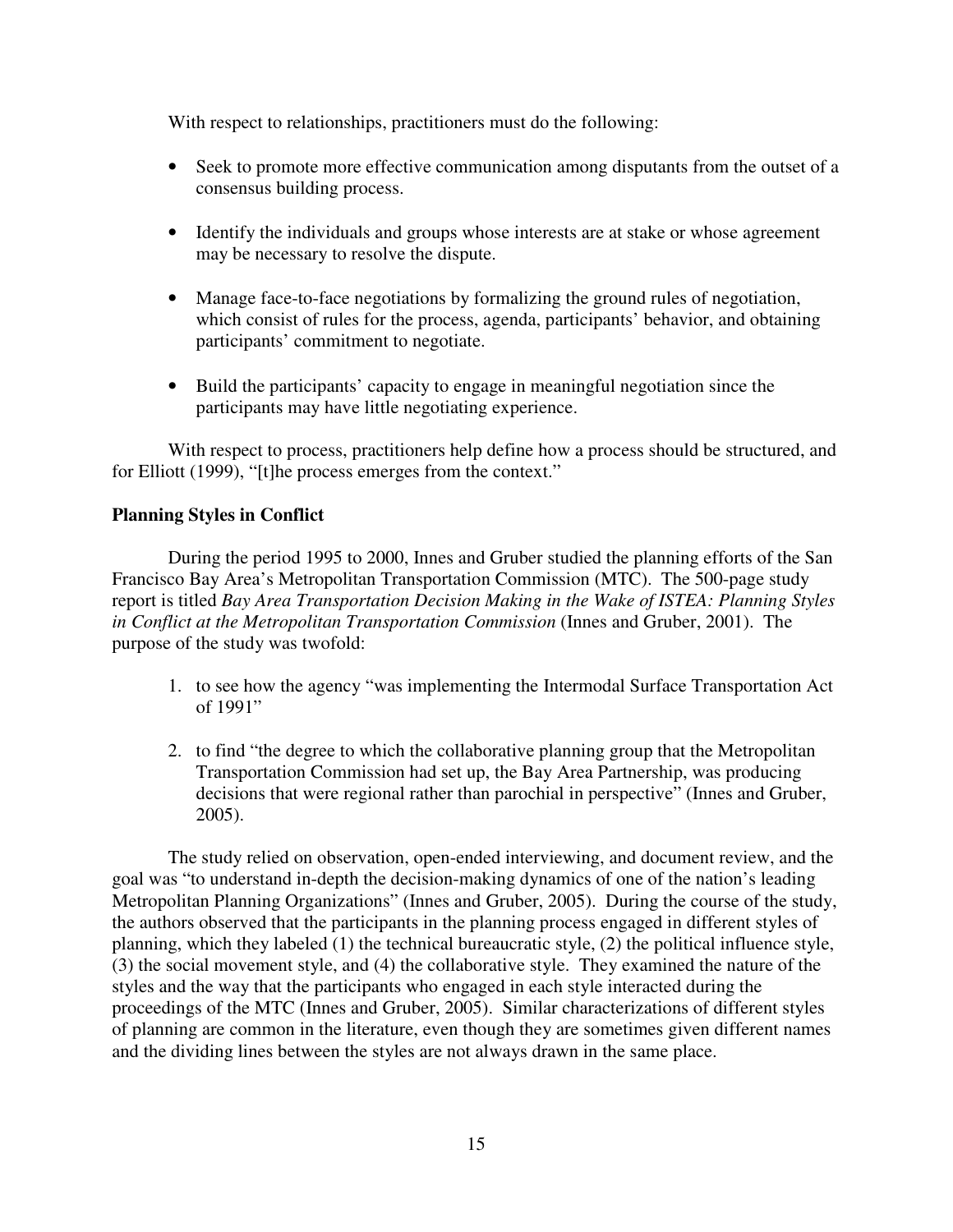With respect to relationships, practitioners must do the following:

- Seek to promote more effective communication among disputants from the outset of a consensus building process.
- Identify the individuals and groups whose interests are at stake or whose agreement may be necessary to resolve the dispute.
- Manage face-to-face negotiations by formalizing the ground rules of negotiation, which consist of rules for the process, agenda, participants' behavior, and obtaining participants' commitment to negotiate.
- Build the participants' capacity to engage in meaningful negotiation since the participants may have little negotiating experience.

With respect to process, practitioners help define how a process should be structured, and for Elliott (1999), "[t]he process emerges from the context."

# **Planning Styles in Conflict**

 During the period 1995 to 2000, Innes and Gruber studied the planning efforts of the San Francisco Bay Area's Metropolitan Transportation Commission (MTC). The 500-page study report is titled *Bay Area Transportation Decision Making in the Wake of ISTEA: Planning Styles in Conflict at the Metropolitan Transportation Commission* (Innes and Gruber, 2001). The purpose of the study was twofold:

- 1. to see how the agency "was implementing the Intermodal Surface Transportation Act of 1991"
- 2. to find "the degree to which the collaborative planning group that the Metropolitan Transportation Commission had set up, the Bay Area Partnership, was producing decisions that were regional rather than parochial in perspective" (Innes and Gruber, 2005).

The study relied on observation, open-ended interviewing, and document review, and the goal was "to understand in-depth the decision-making dynamics of one of the nation's leading Metropolitan Planning Organizations" (Innes and Gruber, 2005). During the course of the study, the authors observed that the participants in the planning process engaged in different styles of planning, which they labeled (1) the technical bureaucratic style, (2) the political influence style, (3) the social movement style, and (4) the collaborative style. They examined the nature of the styles and the way that the participants who engaged in each style interacted during the proceedings of the MTC (Innes and Gruber, 2005). Similar characterizations of different styles of planning are common in the literature, even though they are sometimes given different names and the dividing lines between the styles are not always drawn in the same place.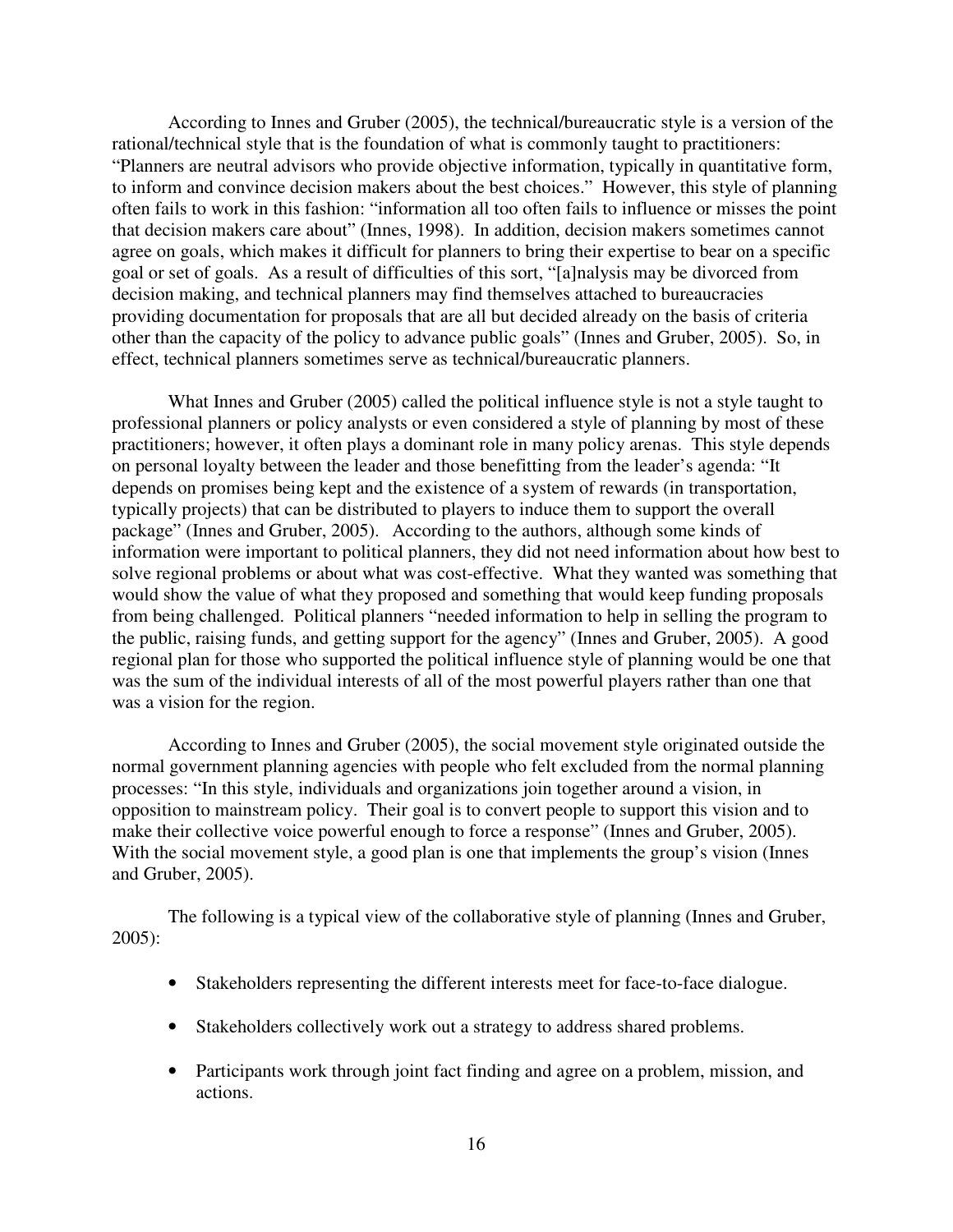According to Innes and Gruber (2005), the technical/bureaucratic style is a version of the rational/technical style that is the foundation of what is commonly taught to practitioners: "Planners are neutral advisors who provide objective information, typically in quantitative form, to inform and convince decision makers about the best choices." However, this style of planning often fails to work in this fashion: "information all too often fails to influence or misses the point that decision makers care about" (Innes, 1998). In addition, decision makers sometimes cannot agree on goals, which makes it difficult for planners to bring their expertise to bear on a specific goal or set of goals. As a result of difficulties of this sort, "[a]nalysis may be divorced from decision making, and technical planners may find themselves attached to bureaucracies providing documentation for proposals that are all but decided already on the basis of criteria other than the capacity of the policy to advance public goals" (Innes and Gruber, 2005). So, in effect, technical planners sometimes serve as technical/bureaucratic planners.

 What Innes and Gruber (2005) called the political influence style is not a style taught to professional planners or policy analysts or even considered a style of planning by most of these practitioners; however, it often plays a dominant role in many policy arenas. This style depends on personal loyalty between the leader and those benefitting from the leader's agenda: "It depends on promises being kept and the existence of a system of rewards (in transportation, typically projects) that can be distributed to players to induce them to support the overall package" (Innes and Gruber, 2005). According to the authors, although some kinds of information were important to political planners, they did not need information about how best to solve regional problems or about what was cost-effective. What they wanted was something that would show the value of what they proposed and something that would keep funding proposals from being challenged. Political planners "needed information to help in selling the program to the public, raising funds, and getting support for the agency" (Innes and Gruber, 2005). A good regional plan for those who supported the political influence style of planning would be one that was the sum of the individual interests of all of the most powerful players rather than one that was a vision for the region.

 According to Innes and Gruber (2005), the social movement style originated outside the normal government planning agencies with people who felt excluded from the normal planning processes: "In this style, individuals and organizations join together around a vision, in opposition to mainstream policy. Their goal is to convert people to support this vision and to make their collective voice powerful enough to force a response" (Innes and Gruber, 2005). With the social movement style, a good plan is one that implements the group's vision (Innes and Gruber, 2005).

 The following is a typical view of the collaborative style of planning (Innes and Gruber, 2005):

- Stakeholders representing the different interests meet for face-to-face dialogue.
- Stakeholders collectively work out a strategy to address shared problems.
- Participants work through joint fact finding and agree on a problem, mission, and actions.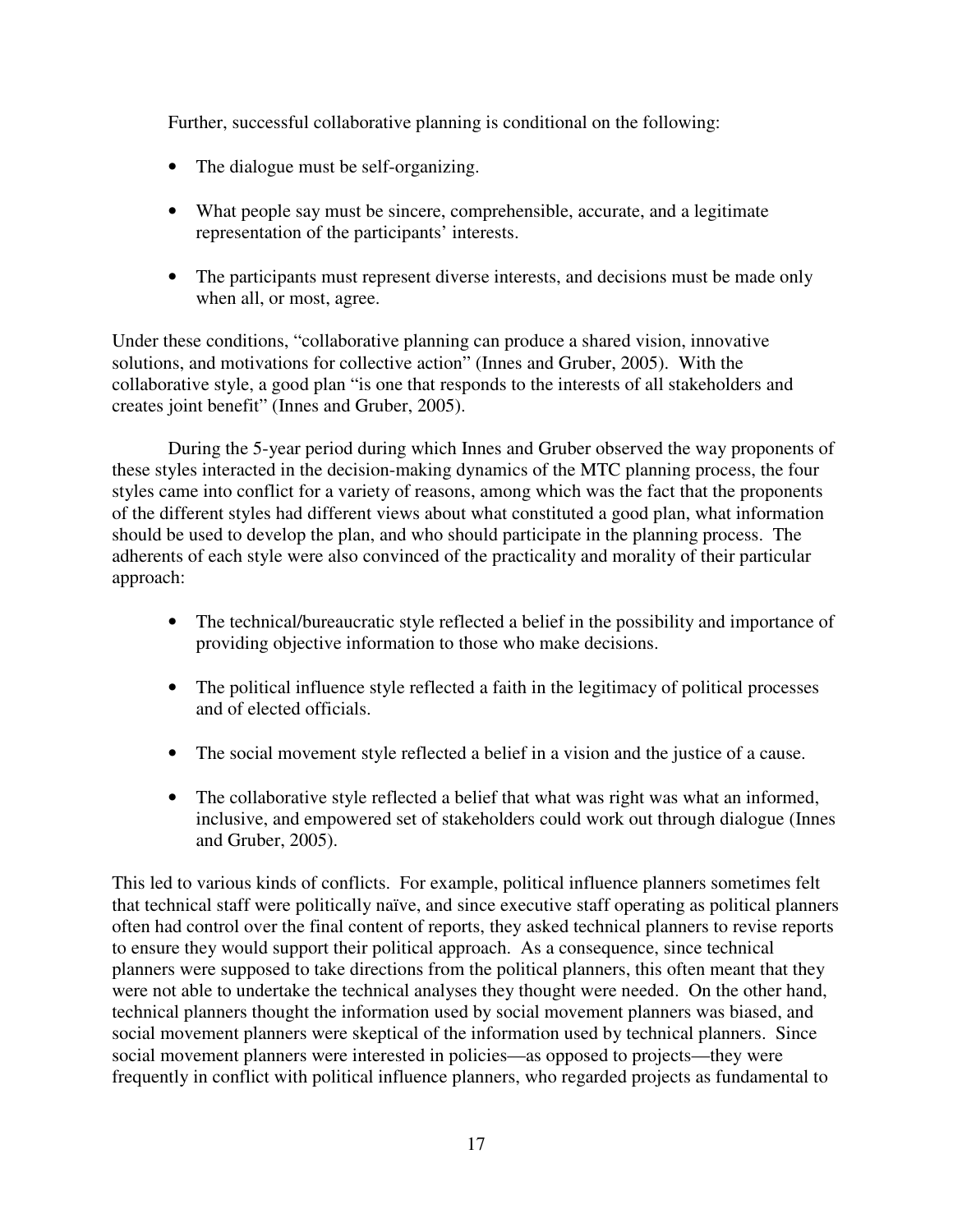Further, successful collaborative planning is conditional on the following:

- The dialogue must be self-organizing.
- What people say must be sincere, comprehensible, accurate, and a legitimate representation of the participants' interests.
- The participants must represent diverse interests, and decisions must be made only when all, or most, agree.

Under these conditions, "collaborative planning can produce a shared vision, innovative solutions, and motivations for collective action" (Innes and Gruber, 2005). With the collaborative style, a good plan "is one that responds to the interests of all stakeholders and creates joint benefit" (Innes and Gruber, 2005).

 During the 5-year period during which Innes and Gruber observed the way proponents of these styles interacted in the decision-making dynamics of the MTC planning process, the four styles came into conflict for a variety of reasons, among which was the fact that the proponents of the different styles had different views about what constituted a good plan, what information should be used to develop the plan, and who should participate in the planning process. The adherents of each style were also convinced of the practicality and morality of their particular approach:

- The technical/bureaucratic style reflected a belief in the possibility and importance of providing objective information to those who make decisions.
- The political influence style reflected a faith in the legitimacy of political processes and of elected officials.
- The social movement style reflected a belief in a vision and the justice of a cause.
- The collaborative style reflected a belief that what was right was what an informed, inclusive, and empowered set of stakeholders could work out through dialogue (Innes and Gruber, 2005).

This led to various kinds of conflicts. For example, political influence planners sometimes felt that technical staff were politically naïve, and since executive staff operating as political planners often had control over the final content of reports, they asked technical planners to revise reports to ensure they would support their political approach. As a consequence, since technical planners were supposed to take directions from the political planners, this often meant that they were not able to undertake the technical analyses they thought were needed. On the other hand, technical planners thought the information used by social movement planners was biased, and social movement planners were skeptical of the information used by technical planners. Since social movement planners were interested in policies—as opposed to projects—they were frequently in conflict with political influence planners, who regarded projects as fundamental to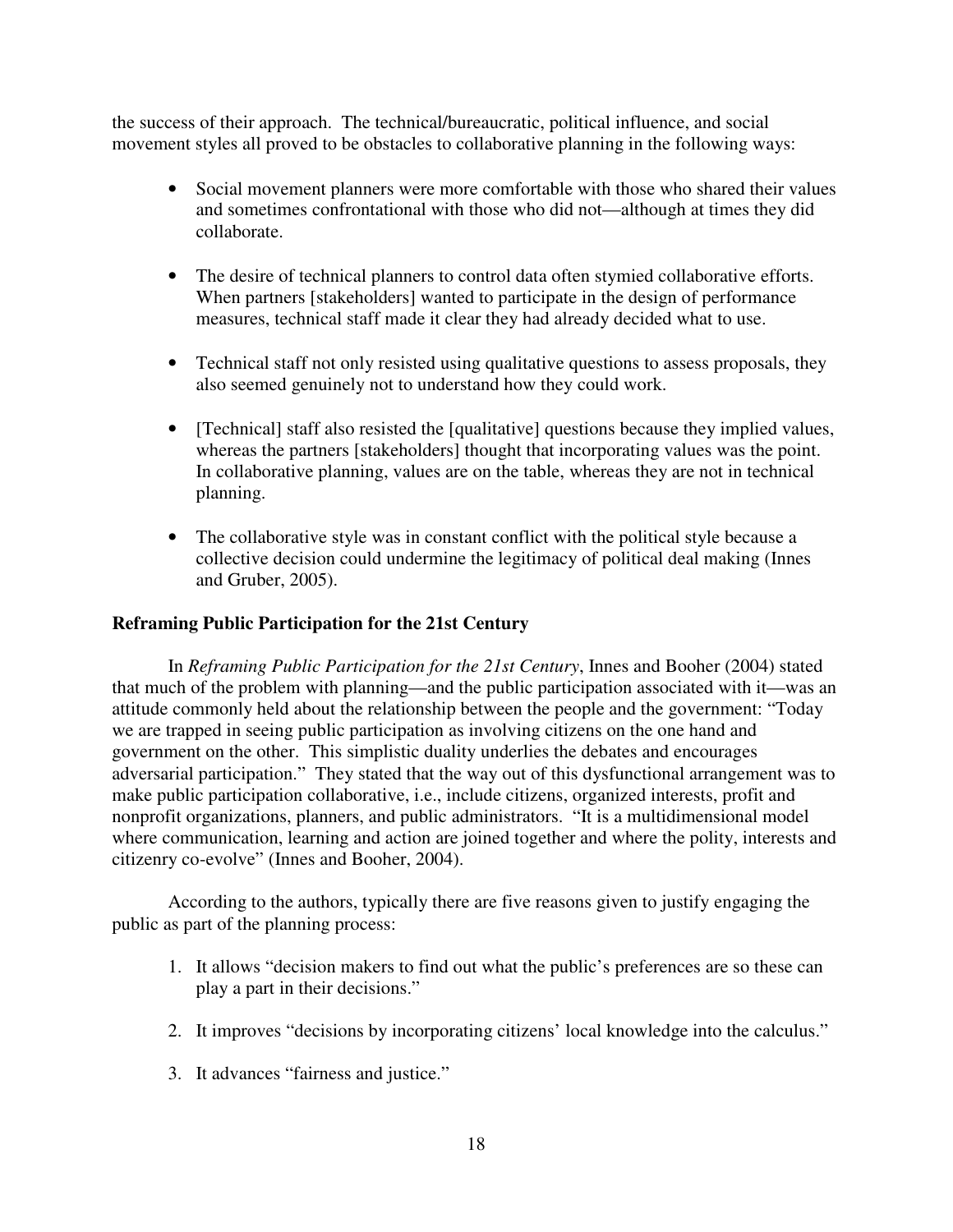the success of their approach. The technical/bureaucratic, political influence, and social movement styles all proved to be obstacles to collaborative planning in the following ways:

- Social movement planners were more comfortable with those who shared their values and sometimes confrontational with those who did not—although at times they did collaborate.
- The desire of technical planners to control data often stymied collaborative efforts. When partners [stakeholders] wanted to participate in the design of performance measures, technical staff made it clear they had already decided what to use.
- Technical staff not only resisted using qualitative questions to assess proposals, they also seemed genuinely not to understand how they could work.
- [Technical] staff also resisted the [qualitative] questions because they implied values, whereas the partners [stakeholders] thought that incorporating values was the point. In collaborative planning, values are on the table, whereas they are not in technical planning.
- The collaborative style was in constant conflict with the political style because a collective decision could undermine the legitimacy of political deal making (Innes and Gruber, 2005).

# **Reframing Public Participation for the 21st Century**

 In *Reframing Public Participation for the 21st Century*, Innes and Booher (2004) stated that much of the problem with planning—and the public participation associated with it—was an attitude commonly held about the relationship between the people and the government: "Today we are trapped in seeing public participation as involving citizens on the one hand and government on the other. This simplistic duality underlies the debates and encourages adversarial participation." They stated that the way out of this dysfunctional arrangement was to make public participation collaborative, i.e., include citizens, organized interests, profit and nonprofit organizations, planners, and public administrators. "It is a multidimensional model where communication, learning and action are joined together and where the polity, interests and citizenry co-evolve" (Innes and Booher, 2004).

According to the authors, typically there are five reasons given to justify engaging the public as part of the planning process:

- 1. It allows "decision makers to find out what the public's preferences are so these can play a part in their decisions."
- 2. It improves "decisions by incorporating citizens' local knowledge into the calculus."
- 3. It advances "fairness and justice."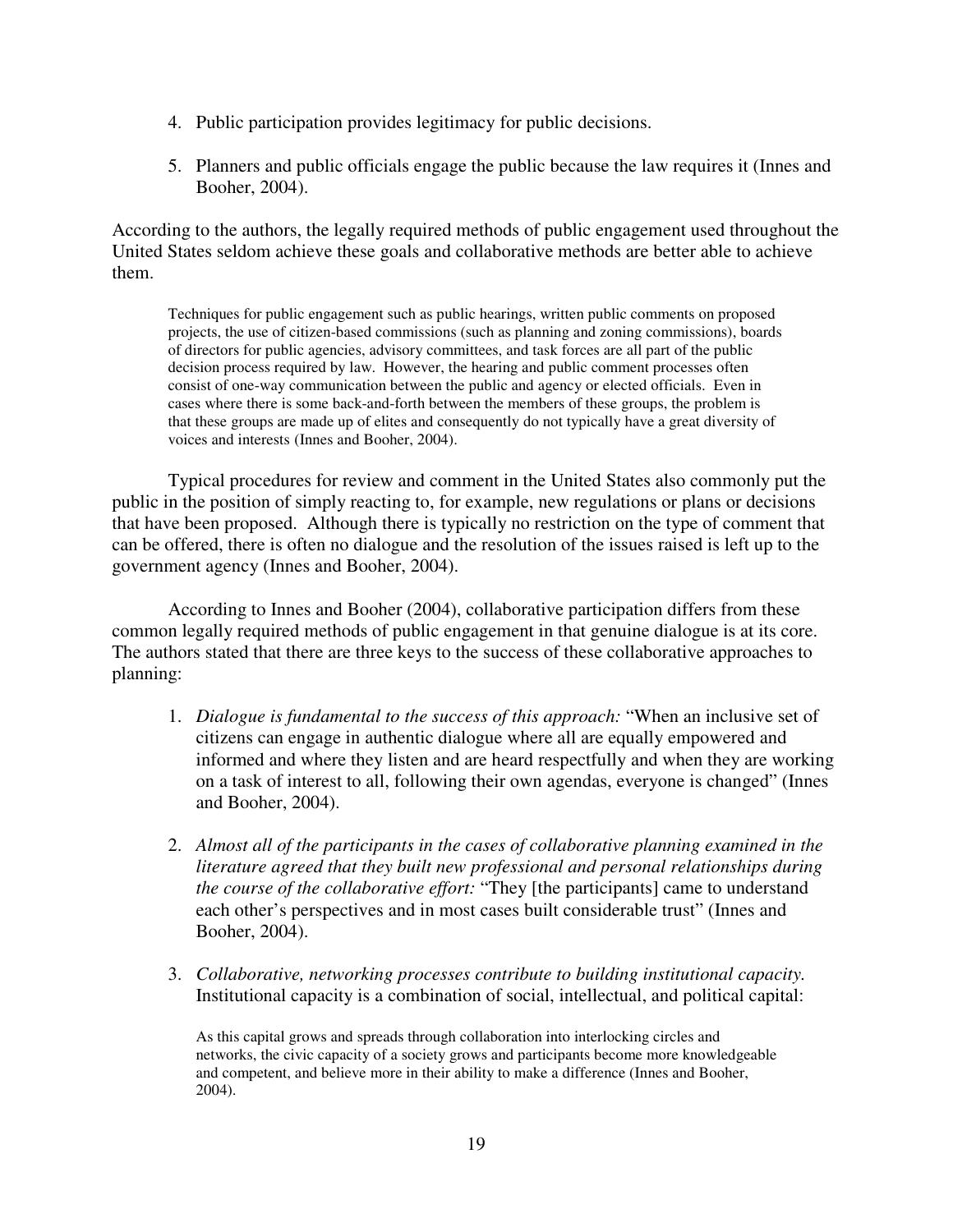- 4. Public participation provides legitimacy for public decisions.
- 5. Planners and public officials engage the public because the law requires it (Innes and Booher, 2004).

According to the authors, the legally required methods of public engagement used throughout the United States seldom achieve these goals and collaborative methods are better able to achieve them.

Techniques for public engagement such as public hearings, written public comments on proposed projects, the use of citizen-based commissions (such as planning and zoning commissions), boards of directors for public agencies, advisory committees, and task forces are all part of the public decision process required by law. However, the hearing and public comment processes often consist of one-way communication between the public and agency or elected officials. Even in cases where there is some back-and-forth between the members of these groups, the problem is that these groups are made up of elites and consequently do not typically have a great diversity of voices and interests (Innes and Booher, 2004).

 Typical procedures for review and comment in the United States also commonly put the public in the position of simply reacting to, for example, new regulations or plans or decisions that have been proposed. Although there is typically no restriction on the type of comment that can be offered, there is often no dialogue and the resolution of the issues raised is left up to the government agency (Innes and Booher, 2004).

 According to Innes and Booher (2004), collaborative participation differs from these common legally required methods of public engagement in that genuine dialogue is at its core. The authors stated that there are three keys to the success of these collaborative approaches to planning:

- 1. *Dialogue is fundamental to the success of this approach:* "When an inclusive set of citizens can engage in authentic dialogue where all are equally empowered and informed and where they listen and are heard respectfully and when they are working on a task of interest to all, following their own agendas, everyone is changed" (Innes and Booher, 2004).
- 2. *Almost all of the participants in the cases of collaborative planning examined in the literature agreed that they built new professional and personal relationships during the course of the collaborative effort:* "They [the participants] came to understand each other's perspectives and in most cases built considerable trust" (Innes and Booher, 2004).
- 3. *Collaborative, networking processes contribute to building institutional capacity.*  Institutional capacity is a combination of social, intellectual, and political capital:

As this capital grows and spreads through collaboration into interlocking circles and networks, the civic capacity of a society grows and participants become more knowledgeable and competent, and believe more in their ability to make a difference (Innes and Booher, 2004).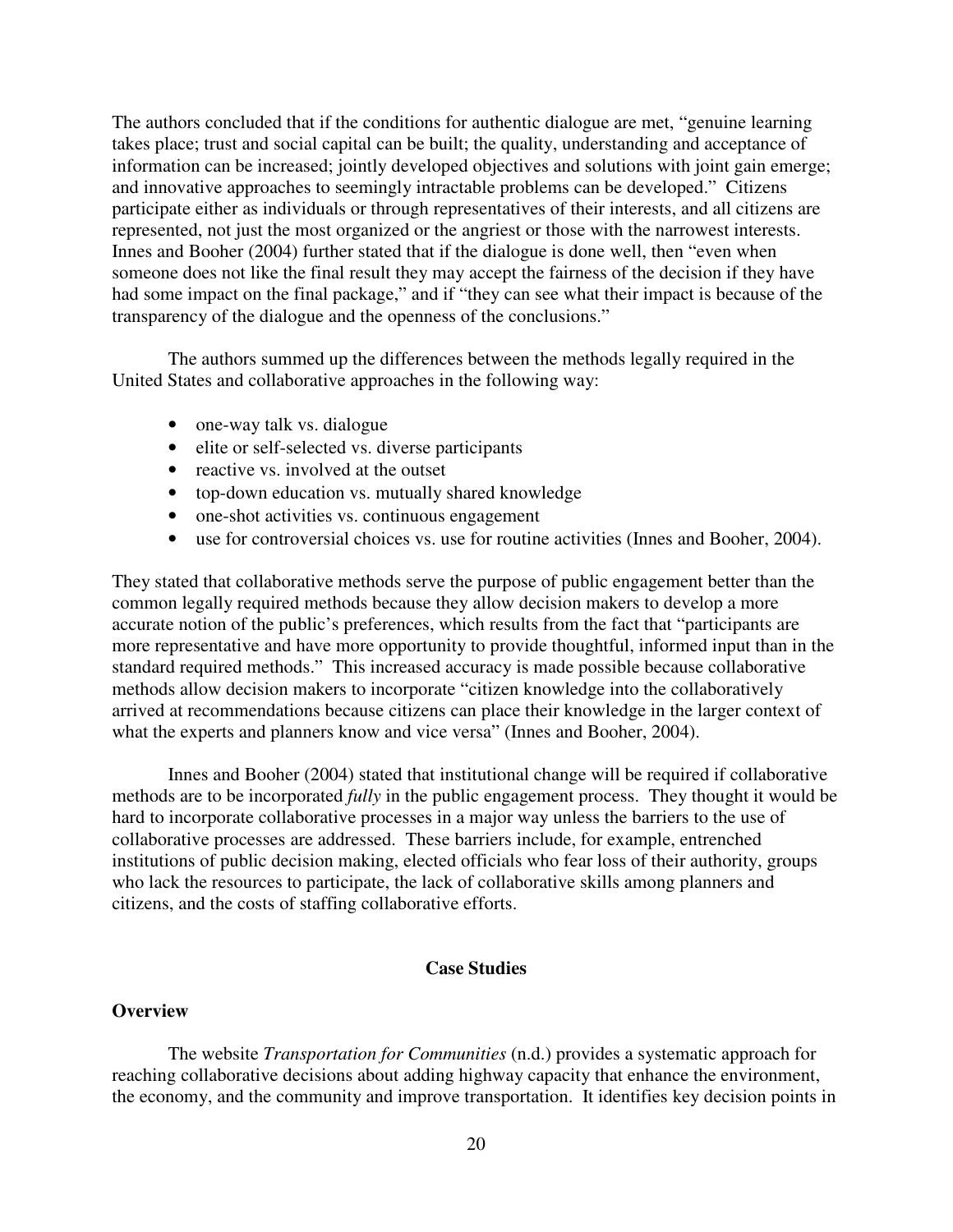The authors concluded that if the conditions for authentic dialogue are met, "genuine learning takes place; trust and social capital can be built; the quality, understanding and acceptance of information can be increased; jointly developed objectives and solutions with joint gain emerge; and innovative approaches to seemingly intractable problems can be developed." Citizens participate either as individuals or through representatives of their interests, and all citizens are represented, not just the most organized or the angriest or those with the narrowest interests. Innes and Booher (2004) further stated that if the dialogue is done well, then "even when someone does not like the final result they may accept the fairness of the decision if they have had some impact on the final package," and if "they can see what their impact is because of the transparency of the dialogue and the openness of the conclusions."

 The authors summed up the differences between the methods legally required in the United States and collaborative approaches in the following way:

- one-way talk vs. dialogue
- elite or self-selected vs. diverse participants
- reactive vs. involved at the outset
- top-down education vs. mutually shared knowledge
- one-shot activities vs. continuous engagement
- use for controversial choices vs. use for routine activities (Innes and Booher, 2004).

They stated that collaborative methods serve the purpose of public engagement better than the common legally required methods because they allow decision makers to develop a more accurate notion of the public's preferences, which results from the fact that "participants are more representative and have more opportunity to provide thoughtful, informed input than in the standard required methods." This increased accuracy is made possible because collaborative methods allow decision makers to incorporate "citizen knowledge into the collaboratively arrived at recommendations because citizens can place their knowledge in the larger context of what the experts and planners know and vice versa" (Innes and Booher, 2004).

 Innes and Booher (2004) stated that institutional change will be required if collaborative methods are to be incorporated *fully* in the public engagement process. They thought it would be hard to incorporate collaborative processes in a major way unless the barriers to the use of collaborative processes are addressed. These barriers include, for example, entrenched institutions of public decision making, elected officials who fear loss of their authority, groups who lack the resources to participate, the lack of collaborative skills among planners and citizens, and the costs of staffing collaborative efforts.

## **Case Studies**

#### **Overview**

The website *Transportation for Communities* (n.d.) provides a systematic approach for reaching collaborative decisions about adding highway capacity that enhance the environment, the economy, and the community and improve transportation. It identifies key decision points in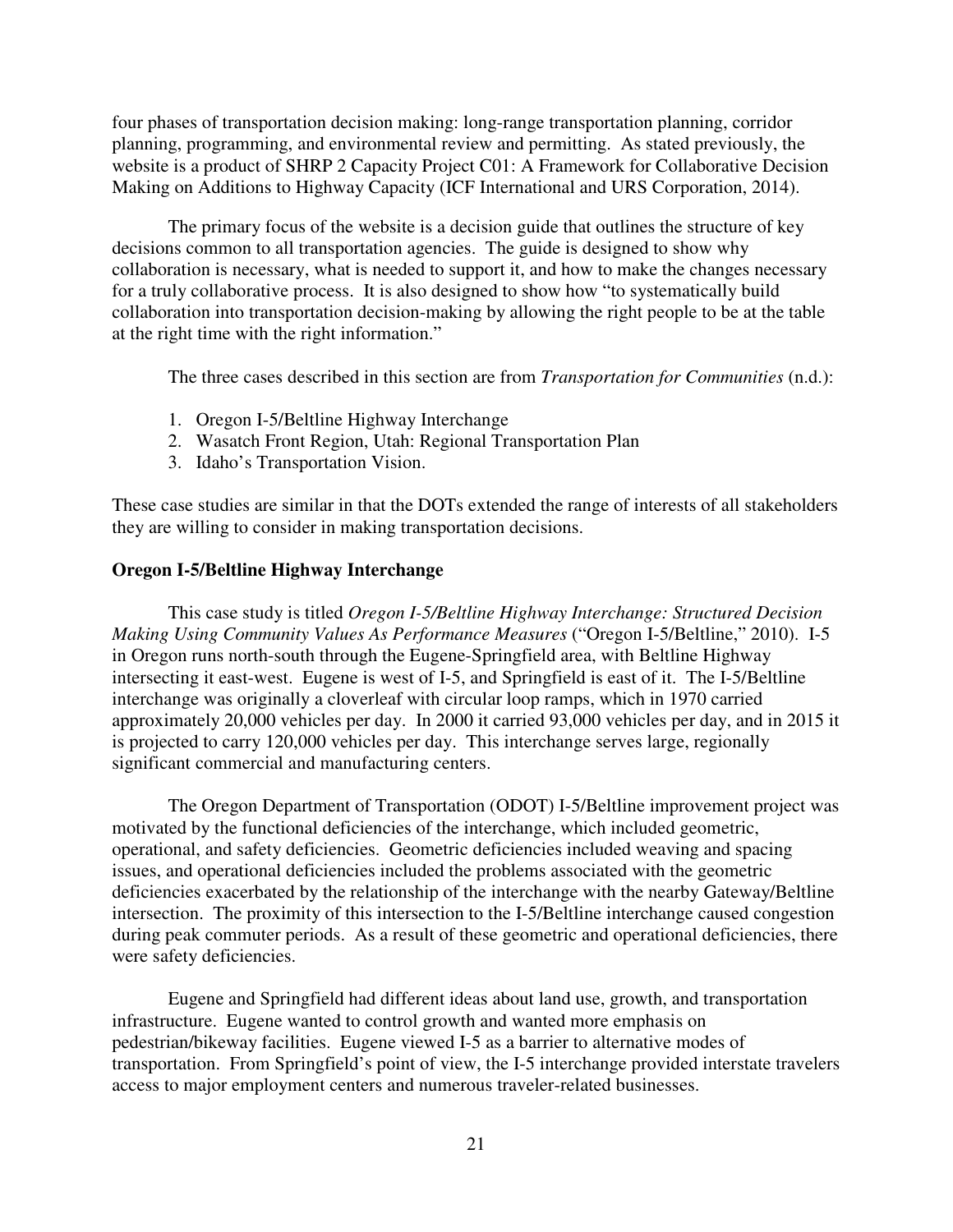four phases of transportation decision making: long-range transportation planning, corridor planning, programming, and environmental review and permitting. As stated previously, the website is a product of SHRP 2 Capacity Project C01: A Framework for Collaborative Decision Making on Additions to Highway Capacity (ICF International and URS Corporation, 2014).

The primary focus of the website is a decision guide that outlines the structure of key decisions common to all transportation agencies. The guide is designed to show why collaboration is necessary, what is needed to support it, and how to make the changes necessary for a truly collaborative process. It is also designed to show how "to systematically build collaboration into transportation decision-making by allowing the right people to be at the table at the right time with the right information."

The three cases described in this section are from *Transportation for Communities* (n.d.):

- 1. Oregon I-5/Beltline Highway Interchange
- 2. Wasatch Front Region, Utah: Regional Transportation Plan
- 3. Idaho's Transportation Vision.

These case studies are similar in that the DOTs extended the range of interests of all stakeholders they are willing to consider in making transportation decisions.

#### **Oregon I-5/Beltline Highway Interchange**

This case study is titled *Oregon I-5/Beltline Highway Interchange: Structured Decision Making Using Community Values As Performance Measures* ("Oregon I-5/Beltline," 2010). I-5 in Oregon runs north-south through the Eugene-Springfield area, with Beltline Highway intersecting it east-west. Eugene is west of I-5, and Springfield is east of it. The I-5/Beltline interchange was originally a cloverleaf with circular loop ramps, which in 1970 carried approximately 20,000 vehicles per day. In 2000 it carried 93,000 vehicles per day, and in 2015 it is projected to carry 120,000 vehicles per day. This interchange serves large, regionally significant commercial and manufacturing centers.

The Oregon Department of Transportation (ODOT) I-5/Beltline improvement project was motivated by the functional deficiencies of the interchange, which included geometric, operational, and safety deficiencies. Geometric deficiencies included weaving and spacing issues, and operational deficiencies included the problems associated with the geometric deficiencies exacerbated by the relationship of the interchange with the nearby Gateway/Beltline intersection. The proximity of this intersection to the I-5/Beltline interchange caused congestion during peak commuter periods. As a result of these geometric and operational deficiencies, there were safety deficiencies.

Eugene and Springfield had different ideas about land use, growth, and transportation infrastructure. Eugene wanted to control growth and wanted more emphasis on pedestrian/bikeway facilities. Eugene viewed I-5 as a barrier to alternative modes of transportation. From Springfield's point of view, the I-5 interchange provided interstate travelers access to major employment centers and numerous traveler-related businesses.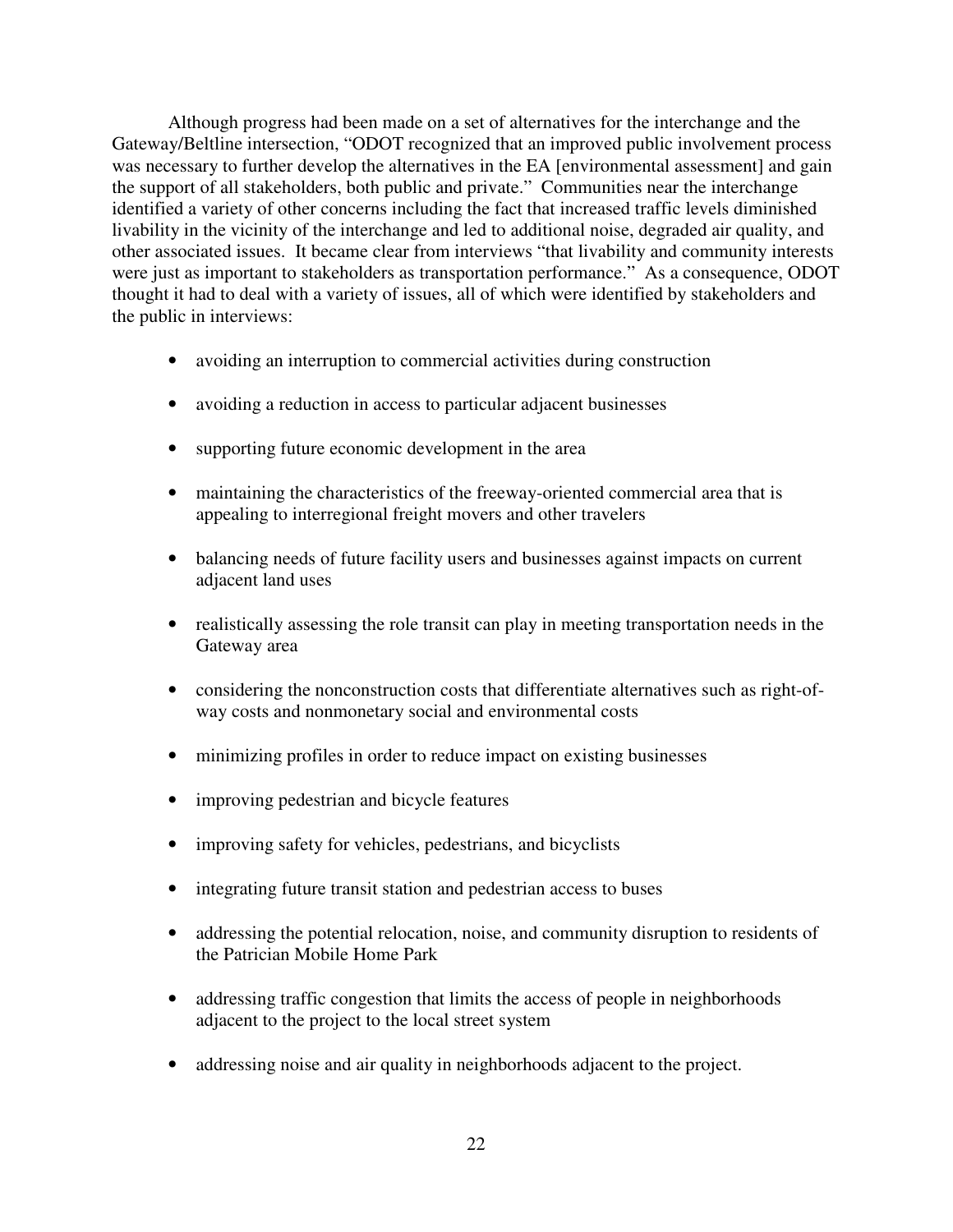Although progress had been made on a set of alternatives for the interchange and the Gateway/Beltline intersection, "ODOT recognized that an improved public involvement process was necessary to further develop the alternatives in the EA [environmental assessment] and gain the support of all stakeholders, both public and private." Communities near the interchange identified a variety of other concerns including the fact that increased traffic levels diminished livability in the vicinity of the interchange and led to additional noise, degraded air quality, and other associated issues. It became clear from interviews "that livability and community interests were just as important to stakeholders as transportation performance." As a consequence, ODOT thought it had to deal with a variety of issues, all of which were identified by stakeholders and the public in interviews:

- avoiding an interruption to commercial activities during construction
- avoiding a reduction in access to particular adjacent businesses
- supporting future economic development in the area
- maintaining the characteristics of the freeway-oriented commercial area that is appealing to interregional freight movers and other travelers
- balancing needs of future facility users and businesses against impacts on current adjacent land uses
- realistically assessing the role transit can play in meeting transportation needs in the Gateway area
- considering the nonconstruction costs that differentiate alternatives such as right-ofway costs and nonmonetary social and environmental costs
- minimizing profiles in order to reduce impact on existing businesses
- improving pedestrian and bicycle features
- improving safety for vehicles, pedestrians, and bicyclists
- integrating future transit station and pedestrian access to buses
- addressing the potential relocation, noise, and community disruption to residents of the Patrician Mobile Home Park
- addressing traffic congestion that limits the access of people in neighborhoods adjacent to the project to the local street system
- addressing noise and air quality in neighborhoods adjacent to the project.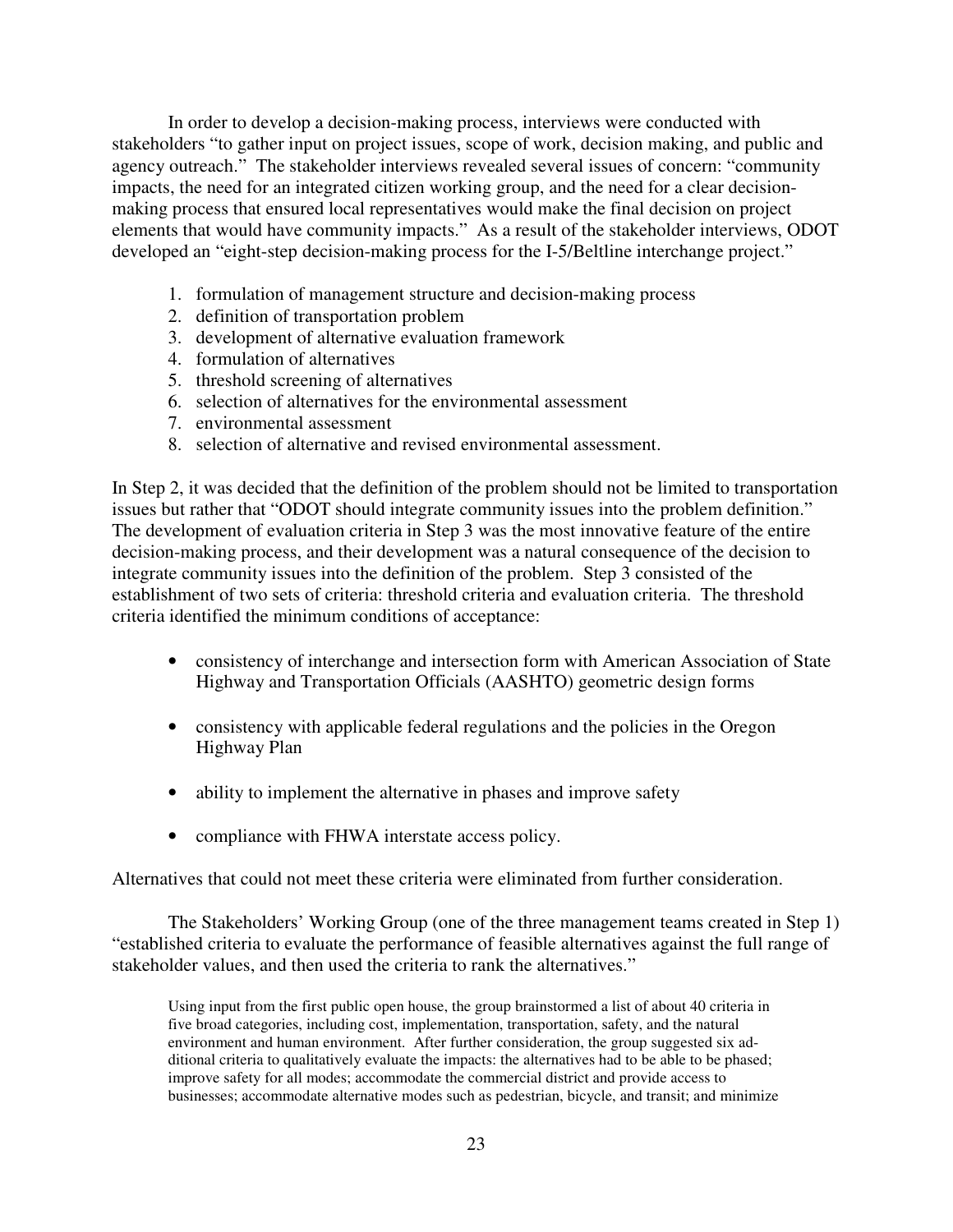In order to develop a decision-making process, interviews were conducted with stakeholders "to gather input on project issues, scope of work, decision making, and public and agency outreach." The stakeholder interviews revealed several issues of concern: "community impacts, the need for an integrated citizen working group, and the need for a clear decisionmaking process that ensured local representatives would make the final decision on project elements that would have community impacts." As a result of the stakeholder interviews, ODOT developed an "eight-step decision-making process for the I-5/Beltline interchange project."

- 1. formulation of management structure and decision-making process
- 2. definition of transportation problem
- 3. development of alternative evaluation framework
- 4. formulation of alternatives
- 5. threshold screening of alternatives
- 6. selection of alternatives for the environmental assessment
- 7. environmental assessment
- 8. selection of alternative and revised environmental assessment.

In Step 2, it was decided that the definition of the problem should not be limited to transportation issues but rather that "ODOT should integrate community issues into the problem definition." The development of evaluation criteria in Step 3 was the most innovative feature of the entire decision-making process, and their development was a natural consequence of the decision to integrate community issues into the definition of the problem. Step 3 consisted of the establishment of two sets of criteria: threshold criteria and evaluation criteria. The threshold criteria identified the minimum conditions of acceptance:

- consistency of interchange and intersection form with American Association of State Highway and Transportation Officials (AASHTO) geometric design forms
- consistency with applicable federal regulations and the policies in the Oregon Highway Plan
- ability to implement the alternative in phases and improve safety
- compliance with FHWA interstate access policy.

Alternatives that could not meet these criteria were eliminated from further consideration.

The Stakeholders' Working Group (one of the three management teams created in Step 1) "established criteria to evaluate the performance of feasible alternatives against the full range of stakeholder values, and then used the criteria to rank the alternatives."

Using input from the first public open house, the group brainstormed a list of about 40 criteria in five broad categories, including cost, implementation, transportation, safety, and the natural environment and human environment. After further consideration, the group suggested six additional criteria to qualitatively evaluate the impacts: the alternatives had to be able to be phased; improve safety for all modes; accommodate the commercial district and provide access to businesses; accommodate alternative modes such as pedestrian, bicycle, and transit; and minimize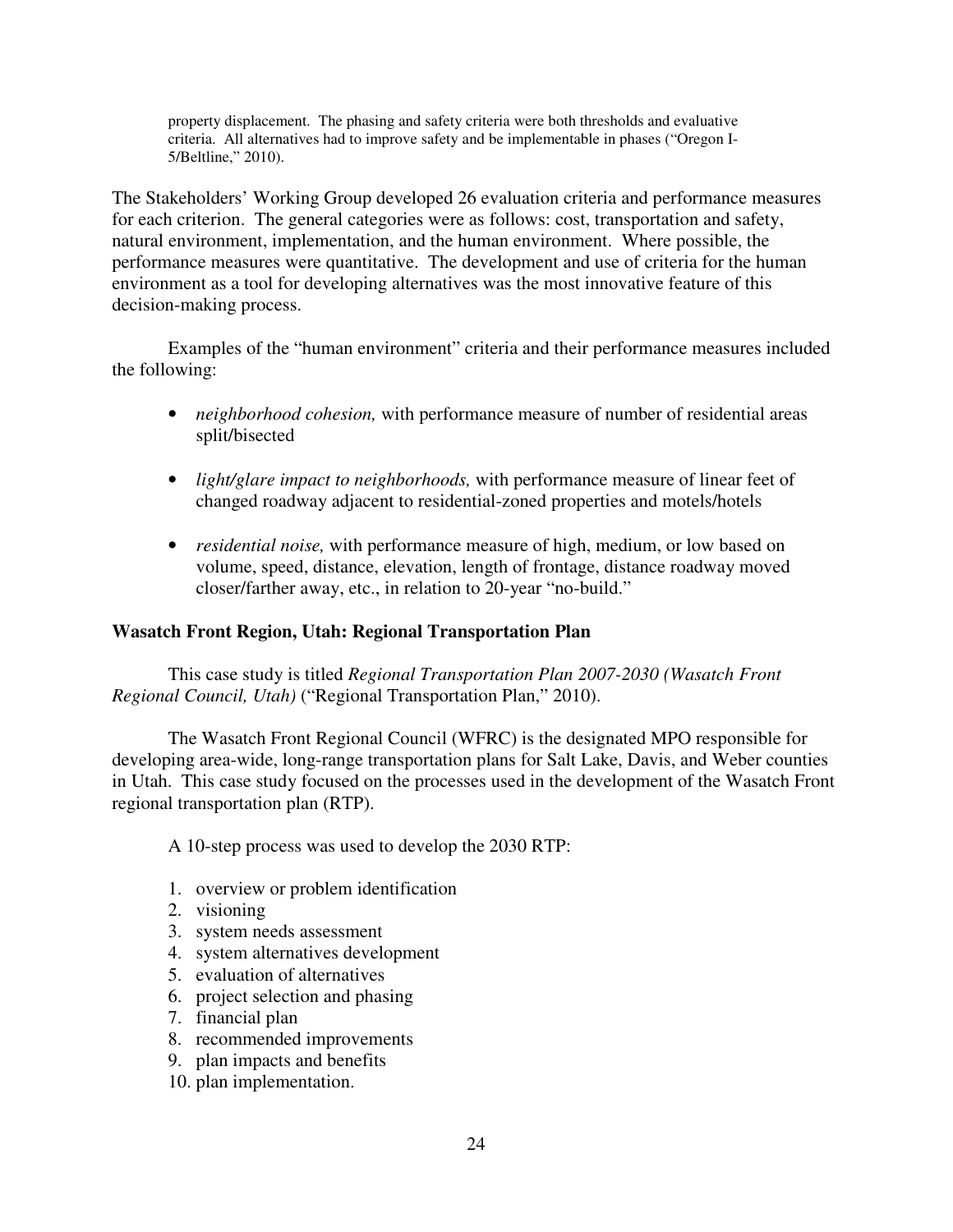property displacement. The phasing and safety criteria were both thresholds and evaluative criteria. All alternatives had to improve safety and be implementable in phases ("Oregon I-5/Beltline," 2010).

The Stakeholders' Working Group developed 26 evaluation criteria and performance measures for each criterion. The general categories were as follows: cost, transportation and safety, natural environment, implementation, and the human environment. Where possible, the performance measures were quantitative. The development and use of criteria for the human environment as a tool for developing alternatives was the most innovative feature of this decision-making process.

Examples of the "human environment" criteria and their performance measures included the following:

- *neighborhood cohesion*, with performance measure of number of residential areas split/bisected
- *light/glare impact to neighborhoods,* with performance measure of linear feet of changed roadway adjacent to residential-zoned properties and motels/hotels
- *residential noise,* with performance measure of high, medium, or low based on volume, speed, distance, elevation, length of frontage, distance roadway moved closer/farther away, etc., in relation to 20-year "no-build."

## **Wasatch Front Region, Utah: Regional Transportation Plan**

This case study is titled *Regional Transportation Plan 2007-2030 (Wasatch Front Regional Council, Utah)* ("Regional Transportation Plan," 2010).

The Wasatch Front Regional Council (WFRC) is the designated MPO responsible for developing area-wide, long-range transportation plans for Salt Lake, Davis, and Weber counties in Utah. This case study focused on the processes used in the development of the Wasatch Front regional transportation plan (RTP).

A 10-step process was used to develop the 2030 RTP:

- 1. overview or problem identification
- 2. visioning
- 3. system needs assessment
- 4. system alternatives development
- 5. evaluation of alternatives
- 6. project selection and phasing
- 7. financial plan
- 8. recommended improvements
- 9. plan impacts and benefits
- 10. plan implementation.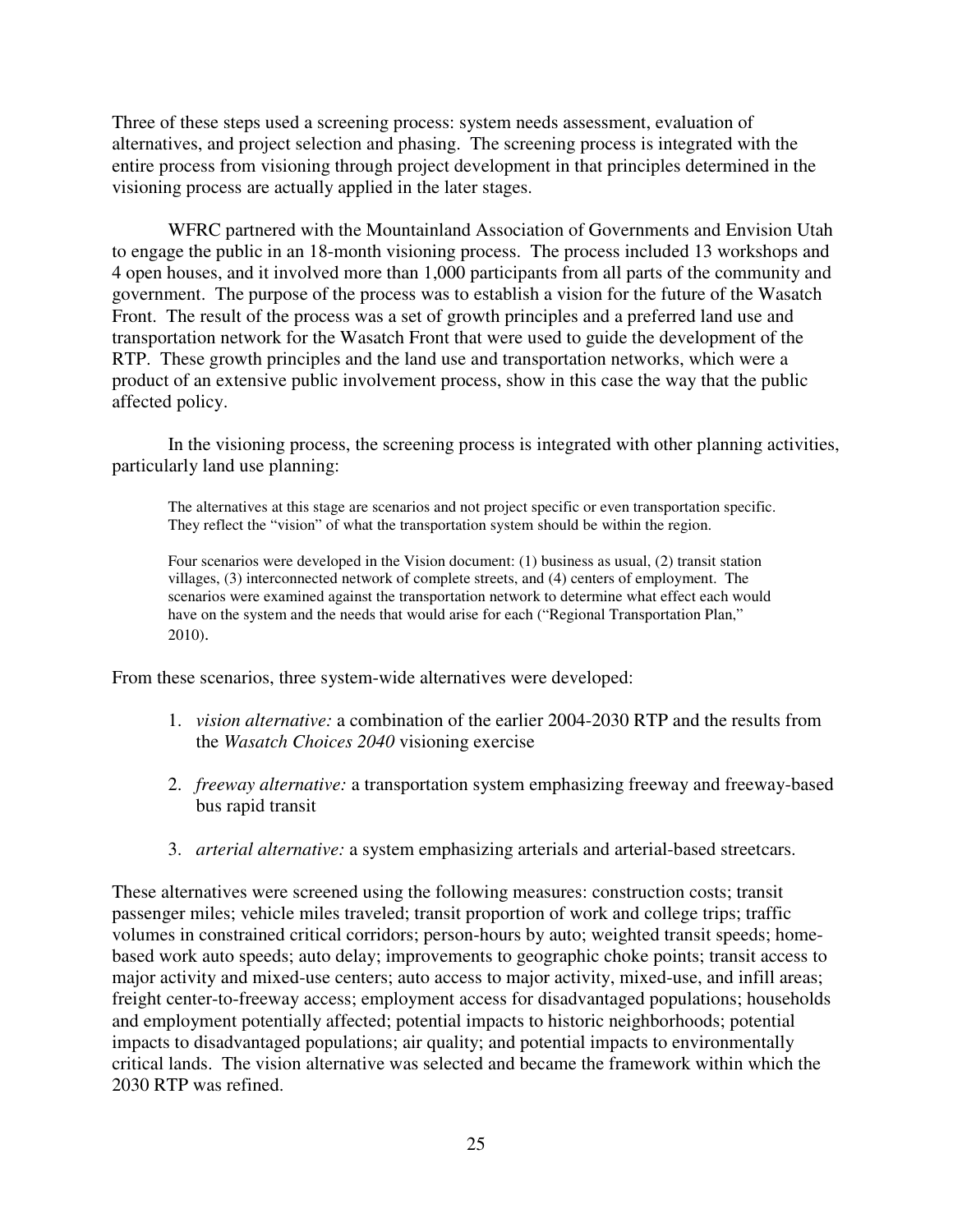Three of these steps used a screening process: system needs assessment, evaluation of alternatives, and project selection and phasing. The screening process is integrated with the entire process from visioning through project development in that principles determined in the visioning process are actually applied in the later stages.

WFRC partnered with the Mountainland Association of Governments and Envision Utah to engage the public in an 18-month visioning process. The process included 13 workshops and 4 open houses, and it involved more than 1,000 participants from all parts of the community and government. The purpose of the process was to establish a vision for the future of the Wasatch Front. The result of the process was a set of growth principles and a preferred land use and transportation network for the Wasatch Front that were used to guide the development of the RTP. These growth principles and the land use and transportation networks, which were a product of an extensive public involvement process, show in this case the way that the public affected policy.

In the visioning process, the screening process is integrated with other planning activities, particularly land use planning:

The alternatives at this stage are scenarios and not project specific or even transportation specific. They reflect the "vision" of what the transportation system should be within the region.

Four scenarios were developed in the Vision document: (1) business as usual, (2) transit station villages, (3) interconnected network of complete streets, and (4) centers of employment. The scenarios were examined against the transportation network to determine what effect each would have on the system and the needs that would arise for each ("Regional Transportation Plan," 2010).

From these scenarios, three system-wide alternatives were developed:

- 1. *vision alternative:* a combination of the earlier 2004-2030 RTP and the results from the *Wasatch Choices 2040* visioning exercise
- 2. *freeway alternative:* a transportation system emphasizing freeway and freeway-based bus rapid transit
- 3. *arterial alternative:* a system emphasizing arterials and arterial-based streetcars.

These alternatives were screened using the following measures: construction costs; transit passenger miles; vehicle miles traveled; transit proportion of work and college trips; traffic volumes in constrained critical corridors; person-hours by auto; weighted transit speeds; homebased work auto speeds; auto delay; improvements to geographic choke points; transit access to major activity and mixed-use centers; auto access to major activity, mixed-use, and infill areas; freight center-to-freeway access; employment access for disadvantaged populations; households and employment potentially affected; potential impacts to historic neighborhoods; potential impacts to disadvantaged populations; air quality; and potential impacts to environmentally critical lands. The vision alternative was selected and became the framework within which the 2030 RTP was refined.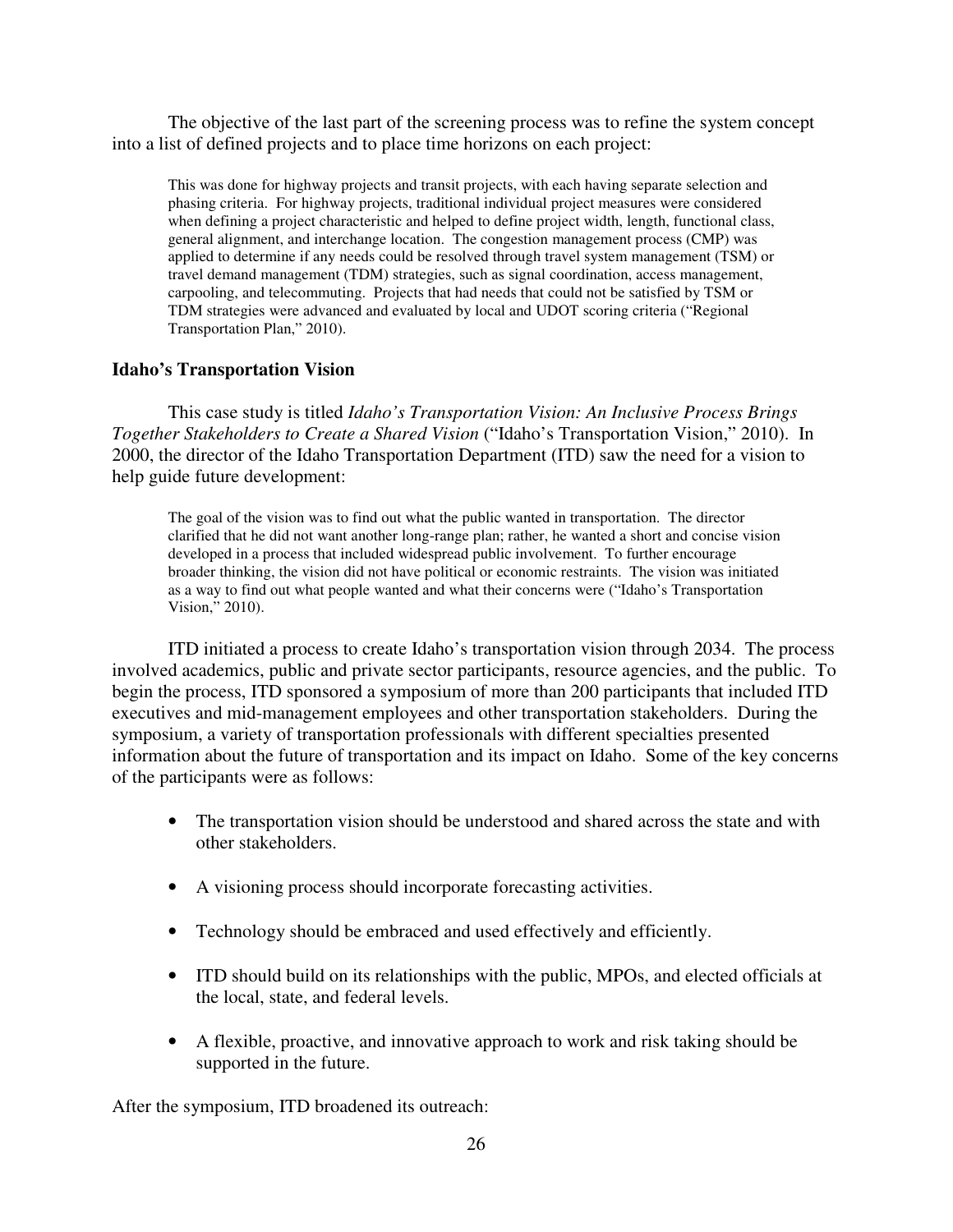The objective of the last part of the screening process was to refine the system concept into a list of defined projects and to place time horizons on each project:

This was done for highway projects and transit projects, with each having separate selection and phasing criteria. For highway projects, traditional individual project measures were considered when defining a project characteristic and helped to define project width, length, functional class, general alignment, and interchange location. The congestion management process (CMP) was applied to determine if any needs could be resolved through travel system management (TSM) or travel demand management (TDM) strategies, such as signal coordination, access management, carpooling, and telecommuting. Projects that had needs that could not be satisfied by TSM or TDM strategies were advanced and evaluated by local and UDOT scoring criteria ("Regional Transportation Plan," 2010).

#### **Idaho's Transportation Vision**

This case study is titled *Idaho's Transportation Vision: An Inclusive Process Brings Together Stakeholders to Create a Shared Vision* ("Idaho's Transportation Vision," 2010). In 2000, the director of the Idaho Transportation Department (ITD) saw the need for a vision to help guide future development:

The goal of the vision was to find out what the public wanted in transportation. The director clarified that he did not want another long-range plan; rather, he wanted a short and concise vision developed in a process that included widespread public involvement. To further encourage broader thinking, the vision did not have political or economic restraints. The vision was initiated as a way to find out what people wanted and what their concerns were ("Idaho's Transportation Vision," 2010).

ITD initiated a process to create Idaho's transportation vision through 2034. The process involved academics, public and private sector participants, resource agencies, and the public. To begin the process, ITD sponsored a symposium of more than 200 participants that included ITD executives and mid-management employees and other transportation stakeholders. During the symposium, a variety of transportation professionals with different specialties presented information about the future of transportation and its impact on Idaho. Some of the key concerns of the participants were as follows:

- The transportation vision should be understood and shared across the state and with other stakeholders.
- A visioning process should incorporate forecasting activities.
- Technology should be embraced and used effectively and efficiently.
- ITD should build on its relationships with the public, MPOs, and elected officials at the local, state, and federal levels.
- A flexible, proactive, and innovative approach to work and risk taking should be supported in the future.

After the symposium, ITD broadened its outreach: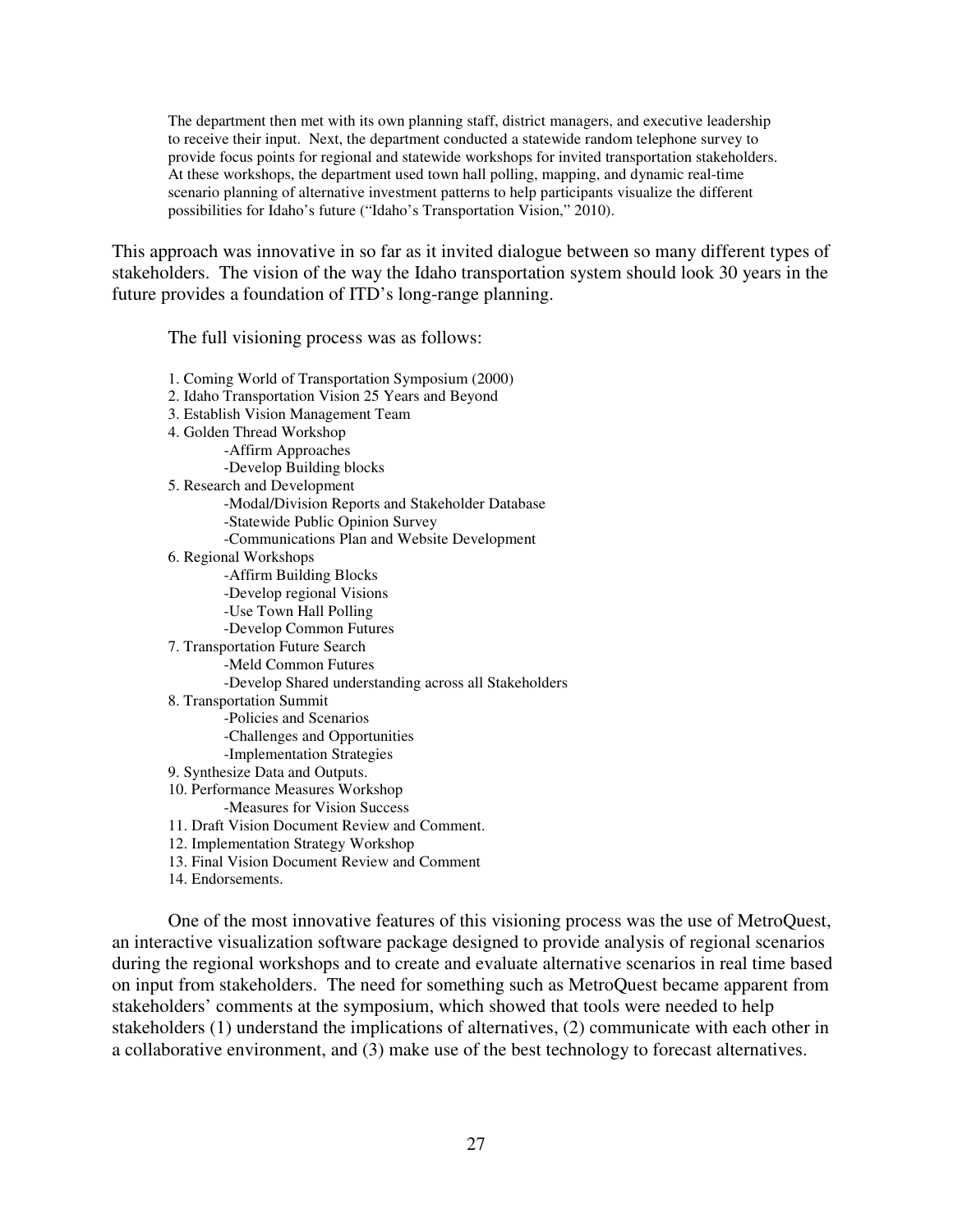The department then met with its own planning staff, district managers, and executive leadership to receive their input. Next, the department conducted a statewide random telephone survey to provide focus points for regional and statewide workshops for invited transportation stakeholders. At these workshops, the department used town hall polling, mapping, and dynamic real-time scenario planning of alternative investment patterns to help participants visualize the different possibilities for Idaho's future ("Idaho's Transportation Vision," 2010).

This approach was innovative in so far as it invited dialogue between so many different types of stakeholders. The vision of the way the Idaho transportation system should look 30 years in the future provides a foundation of ITD's long-range planning.

The full visioning process was as follows:

1. Coming World of Transportation Symposium (2000) 2. Idaho Transportation Vision 25 Years and Beyond 3. Establish Vision Management Team 4. Golden Thread Workshop -Affirm Approaches -Develop Building blocks 5. Research and Development -Modal/Division Reports and Stakeholder Database -Statewide Public Opinion Survey -Communications Plan and Website Development 6. Regional Workshops -Affirm Building Blocks -Develop regional Visions -Use Town Hall Polling -Develop Common Futures 7. Transportation Future Search -Meld Common Futures -Develop Shared understanding across all Stakeholders 8. Transportation Summit -Policies and Scenarios -Challenges and Opportunities -Implementation Strategies 9. Synthesize Data and Outputs. 10. Performance Measures Workshop -Measures for Vision Success 11. Draft Vision Document Review and Comment. 12. Implementation Strategy Workshop 13. Final Vision Document Review and Comment 14. Endorsements.

One of the most innovative features of this visioning process was the use of MetroQuest, an interactive visualization software package designed to provide analysis of regional scenarios during the regional workshops and to create and evaluate alternative scenarios in real time based on input from stakeholders. The need for something such as MetroQuest became apparent from stakeholders' comments at the symposium, which showed that tools were needed to help stakeholders (1) understand the implications of alternatives, (2) communicate with each other in a collaborative environment, and (3) make use of the best technology to forecast alternatives.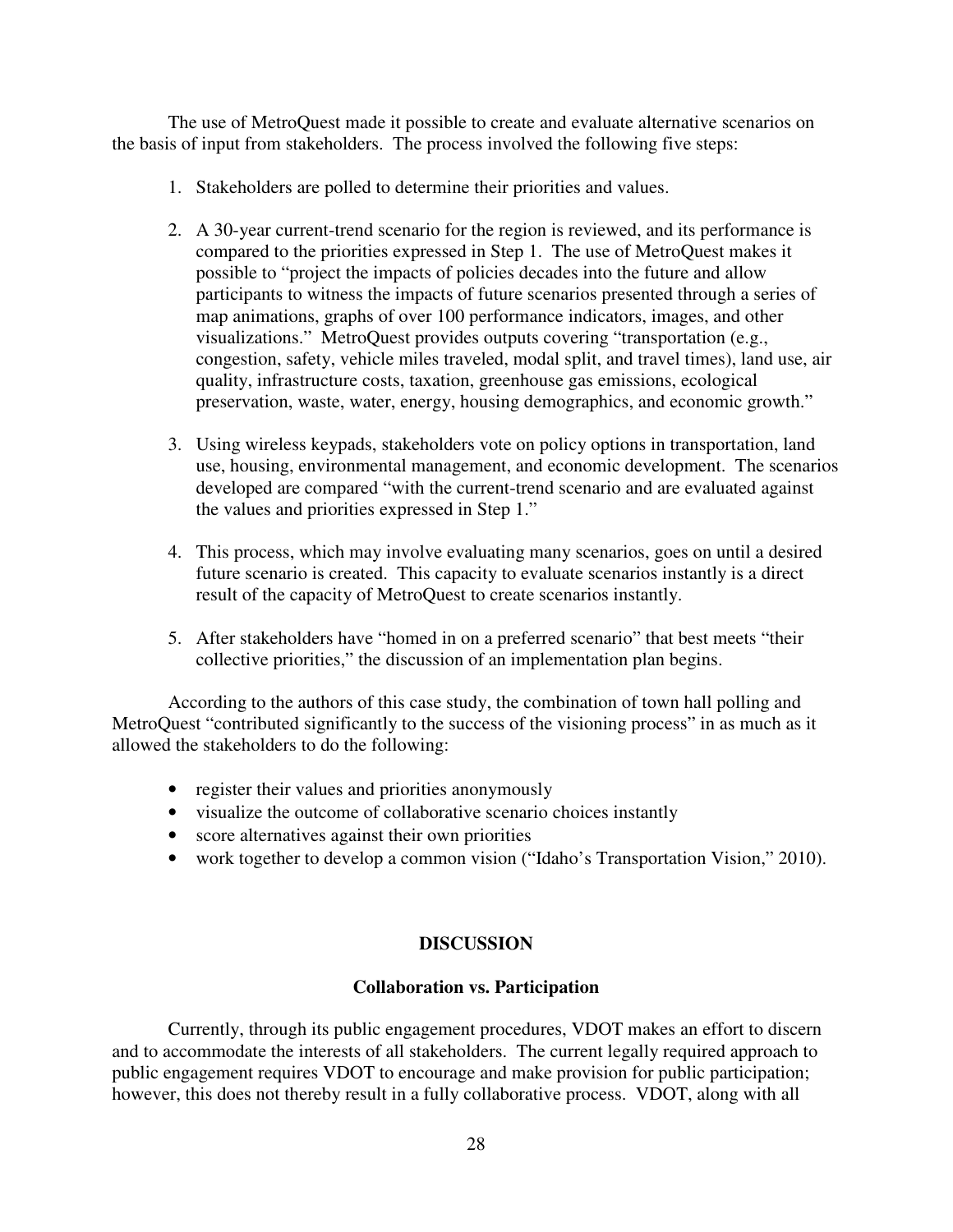The use of MetroQuest made it possible to create and evaluate alternative scenarios on the basis of input from stakeholders. The process involved the following five steps:

- 1. Stakeholders are polled to determine their priorities and values.
- 2. A 30-year current-trend scenario for the region is reviewed, and its performance is compared to the priorities expressed in Step 1. The use of MetroQuest makes it possible to "project the impacts of policies decades into the future and allow participants to witness the impacts of future scenarios presented through a series of map animations, graphs of over 100 performance indicators, images, and other visualizations." MetroQuest provides outputs covering "transportation (e.g., congestion, safety, vehicle miles traveled, modal split, and travel times), land use, air quality, infrastructure costs, taxation, greenhouse gas emissions, ecological preservation, waste, water, energy, housing demographics, and economic growth."
- 3. Using wireless keypads, stakeholders vote on policy options in transportation, land use, housing, environmental management, and economic development. The scenarios developed are compared "with the current-trend scenario and are evaluated against the values and priorities expressed in Step 1."
- 4. This process, which may involve evaluating many scenarios, goes on until a desired future scenario is created. This capacity to evaluate scenarios instantly is a direct result of the capacity of MetroQuest to create scenarios instantly.
- 5. After stakeholders have "homed in on a preferred scenario" that best meets "their collective priorities," the discussion of an implementation plan begins.

According to the authors of this case study, the combination of town hall polling and MetroQuest "contributed significantly to the success of the visioning process" in as much as it allowed the stakeholders to do the following:

- register their values and priorities anonymously
- visualize the outcome of collaborative scenario choices instantly
- score alternatives against their own priorities
- work together to develop a common vision ("Idaho's Transportation Vision," 2010).

## **DISCUSSION**

## **Collaboration vs. Participation**

 Currently, through its public engagement procedures, VDOT makes an effort to discern and to accommodate the interests of all stakeholders. The current legally required approach to public engagement requires VDOT to encourage and make provision for public participation; however, this does not thereby result in a fully collaborative process. VDOT, along with all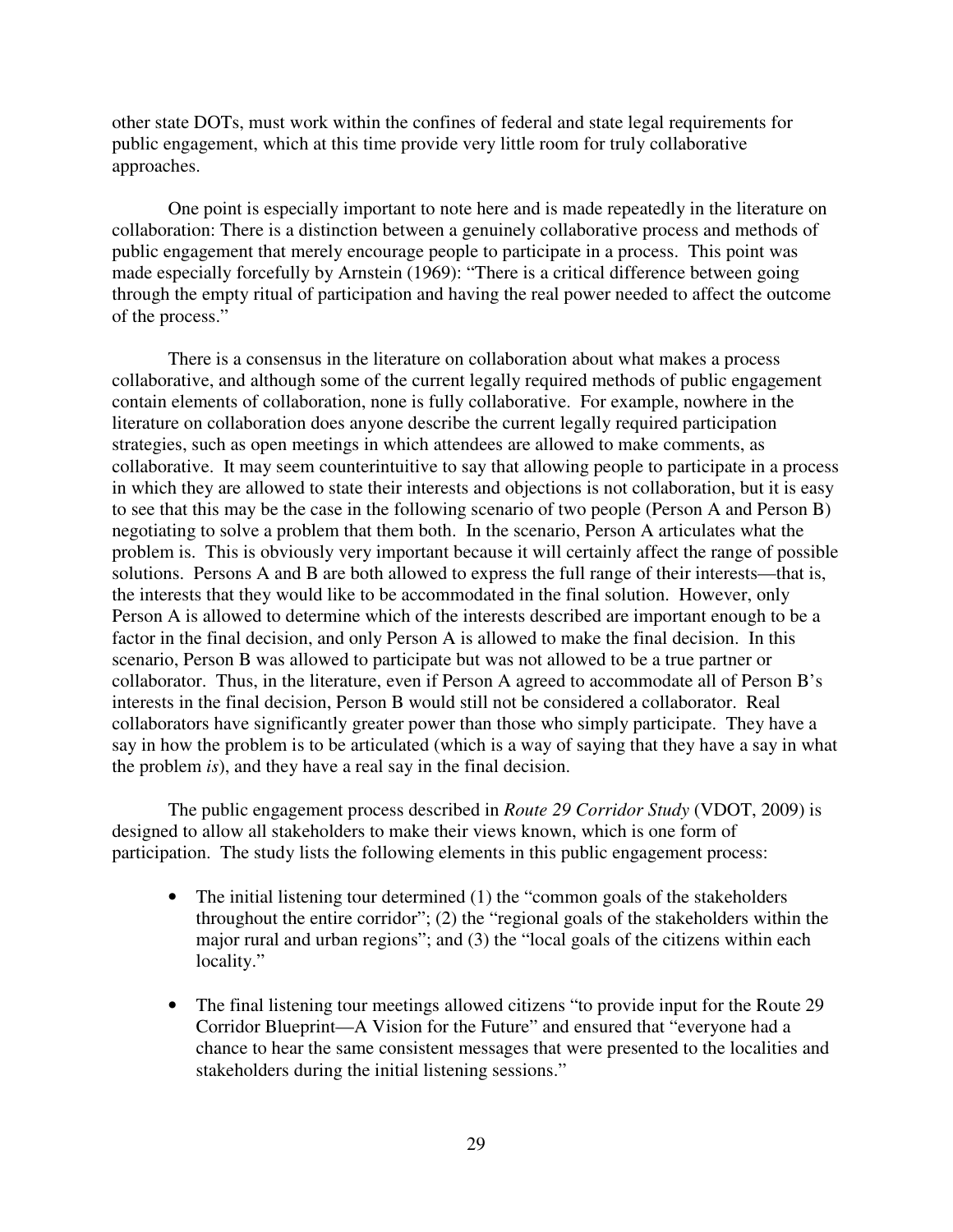other state DOTs, must work within the confines of federal and state legal requirements for public engagement, which at this time provide very little room for truly collaborative approaches.

 One point is especially important to note here and is made repeatedly in the literature on collaboration: There is a distinction between a genuinely collaborative process and methods of public engagement that merely encourage people to participate in a process. This point was made especially forcefully by Arnstein (1969): "There is a critical difference between going through the empty ritual of participation and having the real power needed to affect the outcome of the process."

There is a consensus in the literature on collaboration about what makes a process collaborative, and although some of the current legally required methods of public engagement contain elements of collaboration, none is fully collaborative. For example, nowhere in the literature on collaboration does anyone describe the current legally required participation strategies, such as open meetings in which attendees are allowed to make comments, as collaborative. It may seem counterintuitive to say that allowing people to participate in a process in which they are allowed to state their interests and objections is not collaboration, but it is easy to see that this may be the case in the following scenario of two people (Person A and Person B) negotiating to solve a problem that them both. In the scenario, Person A articulates what the problem is. This is obviously very important because it will certainly affect the range of possible solutions. Persons A and B are both allowed to express the full range of their interests—that is, the interests that they would like to be accommodated in the final solution. However, only Person A is allowed to determine which of the interests described are important enough to be a factor in the final decision, and only Person A is allowed to make the final decision. In this scenario, Person B was allowed to participate but was not allowed to be a true partner or collaborator. Thus, in the literature, even if Person A agreed to accommodate all of Person B's interests in the final decision, Person B would still not be considered a collaborator. Real collaborators have significantly greater power than those who simply participate. They have a say in how the problem is to be articulated (which is a way of saying that they have a say in what the problem *is*), and they have a real say in the final decision.

 The public engagement process described in *Route 29 Corridor Study* (VDOT, 2009) is designed to allow all stakeholders to make their views known, which is one form of participation. The study lists the following elements in this public engagement process:

- The initial listening tour determined (1) the "common goals of the stakeholders throughout the entire corridor"; (2) the "regional goals of the stakeholders within the major rural and urban regions"; and (3) the "local goals of the citizens within each locality."
- The final listening tour meetings allowed citizens "to provide input for the Route 29 Corridor Blueprint—A Vision for the Future" and ensured that "everyone had a chance to hear the same consistent messages that were presented to the localities and stakeholders during the initial listening sessions."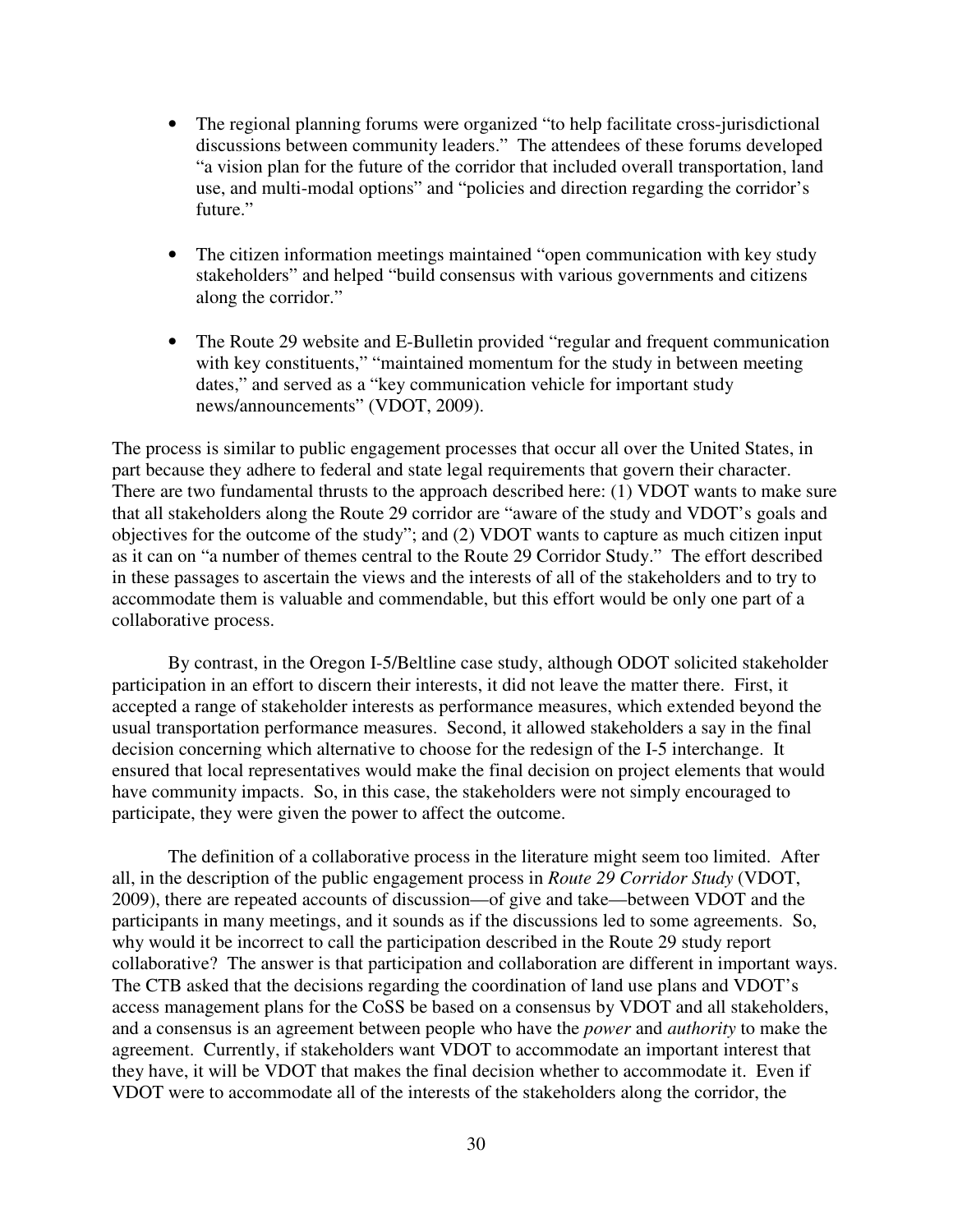- The regional planning forums were organized "to help facilitate cross-jurisdictional discussions between community leaders." The attendees of these forums developed "a vision plan for the future of the corridor that included overall transportation, land use, and multi-modal options" and "policies and direction regarding the corridor's future."
- The citizen information meetings maintained "open communication with key study stakeholders" and helped "build consensus with various governments and citizens along the corridor."
- The Route 29 website and E-Bulletin provided "regular and frequent communication with key constituents," "maintained momentum for the study in between meeting dates," and served as a "key communication vehicle for important study news/announcements" (VDOT, 2009).

The process is similar to public engagement processes that occur all over the United States, in part because they adhere to federal and state legal requirements that govern their character. There are two fundamental thrusts to the approach described here: (1) VDOT wants to make sure that all stakeholders along the Route 29 corridor are "aware of the study and VDOT's goals and objectives for the outcome of the study"; and (2) VDOT wants to capture as much citizen input as it can on "a number of themes central to the Route 29 Corridor Study." The effort described in these passages to ascertain the views and the interests of all of the stakeholders and to try to accommodate them is valuable and commendable, but this effort would be only one part of a collaborative process.

By contrast, in the Oregon I-5/Beltline case study, although ODOT solicited stakeholder participation in an effort to discern their interests, it did not leave the matter there. First, it accepted a range of stakeholder interests as performance measures, which extended beyond the usual transportation performance measures. Second, it allowed stakeholders a say in the final decision concerning which alternative to choose for the redesign of the I-5 interchange. It ensured that local representatives would make the final decision on project elements that would have community impacts. So, in this case, the stakeholders were not simply encouraged to participate, they were given the power to affect the outcome.

The definition of a collaborative process in the literature might seem too limited. After all, in the description of the public engagement process in *Route 29 Corridor Study* (VDOT, 2009), there are repeated accounts of discussion—of give and take—between VDOT and the participants in many meetings, and it sounds as if the discussions led to some agreements. So, why would it be incorrect to call the participation described in the Route 29 study report collaborative? The answer is that participation and collaboration are different in important ways. The CTB asked that the decisions regarding the coordination of land use plans and VDOT's access management plans for the CoSS be based on a consensus by VDOT and all stakeholders, and a consensus is an agreement between people who have the *power* and *authority* to make the agreement. Currently, if stakeholders want VDOT to accommodate an important interest that they have, it will be VDOT that makes the final decision whether to accommodate it. Even if VDOT were to accommodate all of the interests of the stakeholders along the corridor, the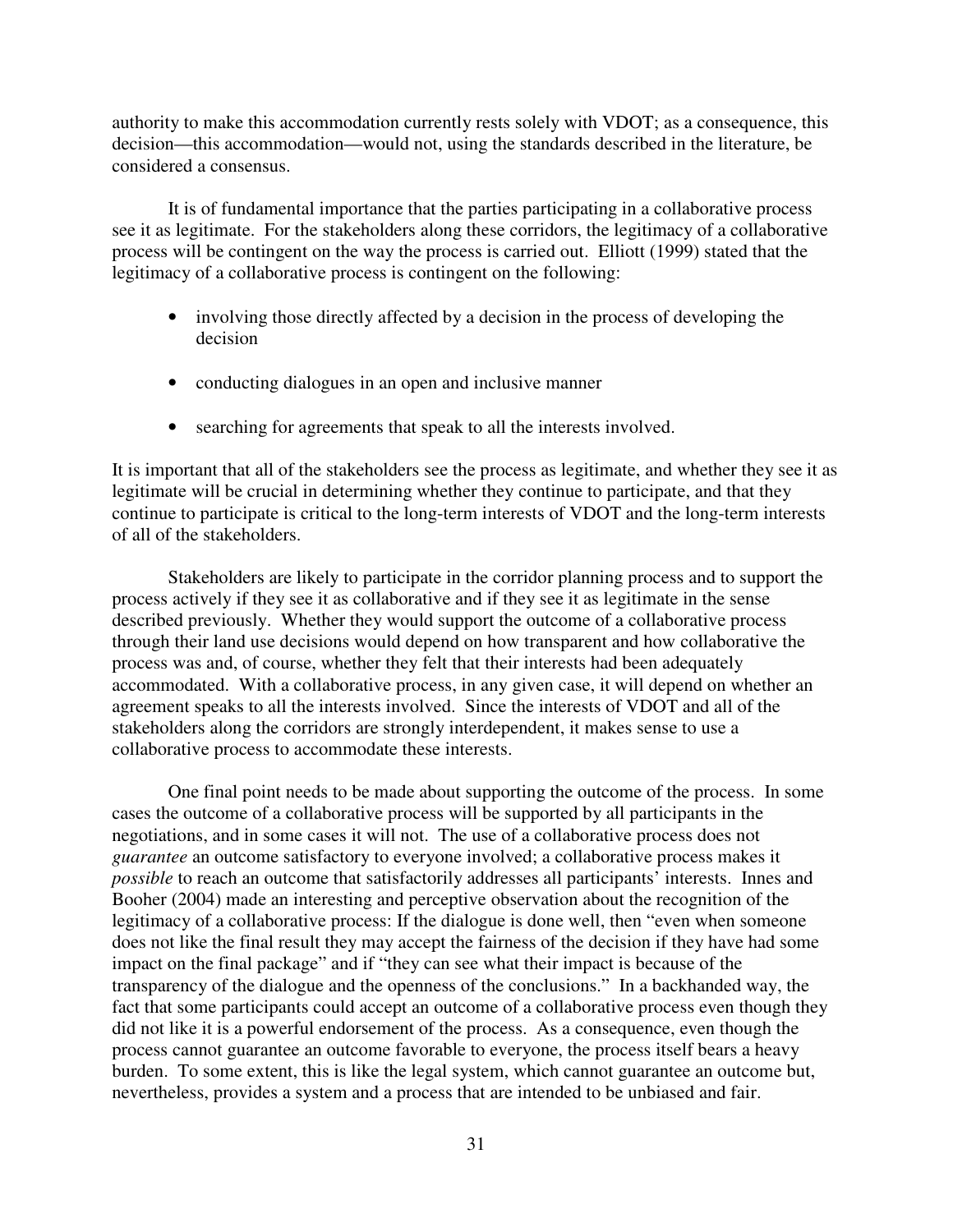authority to make this accommodation currently rests solely with VDOT; as a consequence, this decision—this accommodation—would not, using the standards described in the literature, be considered a consensus.

 It is of fundamental importance that the parties participating in a collaborative process see it as legitimate. For the stakeholders along these corridors, the legitimacy of a collaborative process will be contingent on the way the process is carried out. Elliott (1999) stated that the legitimacy of a collaborative process is contingent on the following:

- involving those directly affected by a decision in the process of developing the decision
- conducting dialogues in an open and inclusive manner
- searching for agreements that speak to all the interests involved.

It is important that all of the stakeholders see the process as legitimate, and whether they see it as legitimate will be crucial in determining whether they continue to participate, and that they continue to participate is critical to the long-term interests of VDOT and the long-term interests of all of the stakeholders.

 Stakeholders are likely to participate in the corridor planning process and to support the process actively if they see it as collaborative and if they see it as legitimate in the sense described previously. Whether they would support the outcome of a collaborative process through their land use decisions would depend on how transparent and how collaborative the process was and, of course, whether they felt that their interests had been adequately accommodated. With a collaborative process, in any given case, it will depend on whether an agreement speaks to all the interests involved. Since the interests of VDOT and all of the stakeholders along the corridors are strongly interdependent, it makes sense to use a collaborative process to accommodate these interests.

 One final point needs to be made about supporting the outcome of the process. In some cases the outcome of a collaborative process will be supported by all participants in the negotiations, and in some cases it will not. The use of a collaborative process does not *guarantee* an outcome satisfactory to everyone involved; a collaborative process makes it *possible* to reach an outcome that satisfactorily addresses all participants' interests. Innes and Booher (2004) made an interesting and perceptive observation about the recognition of the legitimacy of a collaborative process: If the dialogue is done well, then "even when someone does not like the final result they may accept the fairness of the decision if they have had some impact on the final package" and if "they can see what their impact is because of the transparency of the dialogue and the openness of the conclusions." In a backhanded way, the fact that some participants could accept an outcome of a collaborative process even though they did not like it is a powerful endorsement of the process. As a consequence, even though the process cannot guarantee an outcome favorable to everyone, the process itself bears a heavy burden. To some extent, this is like the legal system, which cannot guarantee an outcome but, nevertheless, provides a system and a process that are intended to be unbiased and fair.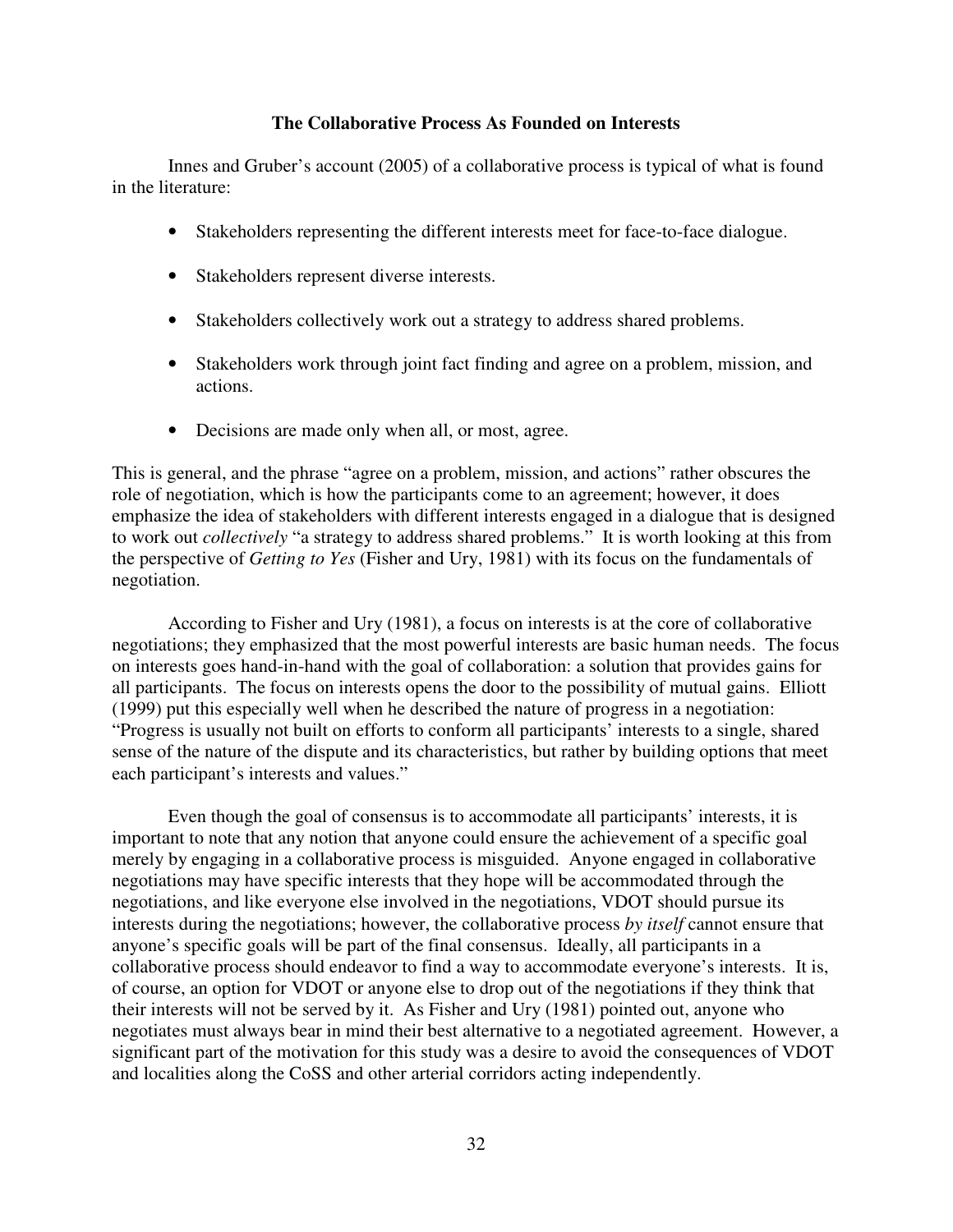## **The Collaborative Process As Founded on Interests**

 Innes and Gruber's account (2005) of a collaborative process is typical of what is found in the literature:

- Stakeholders representing the different interests meet for face-to-face dialogue.
- Stakeholders represent diverse interests.
- Stakeholders collectively work out a strategy to address shared problems.
- Stakeholders work through joint fact finding and agree on a problem, mission, and actions.
- Decisions are made only when all, or most, agree.

This is general, and the phrase "agree on a problem, mission, and actions" rather obscures the role of negotiation, which is how the participants come to an agreement; however, it does emphasize the idea of stakeholders with different interests engaged in a dialogue that is designed to work out *collectively* "a strategy to address shared problems." It is worth looking at this from the perspective of *Getting to Yes* (Fisher and Ury, 1981) with its focus on the fundamentals of negotiation.

 According to Fisher and Ury (1981), a focus on interests is at the core of collaborative negotiations; they emphasized that the most powerful interests are basic human needs. The focus on interests goes hand-in-hand with the goal of collaboration: a solution that provides gains for all participants. The focus on interests opens the door to the possibility of mutual gains. Elliott (1999) put this especially well when he described the nature of progress in a negotiation: "Progress is usually not built on efforts to conform all participants' interests to a single, shared sense of the nature of the dispute and its characteristics, but rather by building options that meet each participant's interests and values."

 Even though the goal of consensus is to accommodate all participants' interests, it is important to note that any notion that anyone could ensure the achievement of a specific goal merely by engaging in a collaborative process is misguided. Anyone engaged in collaborative negotiations may have specific interests that they hope will be accommodated through the negotiations, and like everyone else involved in the negotiations, VDOT should pursue its interests during the negotiations; however, the collaborative process *by itself* cannot ensure that anyone's specific goals will be part of the final consensus. Ideally, all participants in a collaborative process should endeavor to find a way to accommodate everyone's interests. It is, of course, an option for VDOT or anyone else to drop out of the negotiations if they think that their interests will not be served by it. As Fisher and Ury (1981) pointed out, anyone who negotiates must always bear in mind their best alternative to a negotiated agreement. However, a significant part of the motivation for this study was a desire to avoid the consequences of VDOT and localities along the CoSS and other arterial corridors acting independently.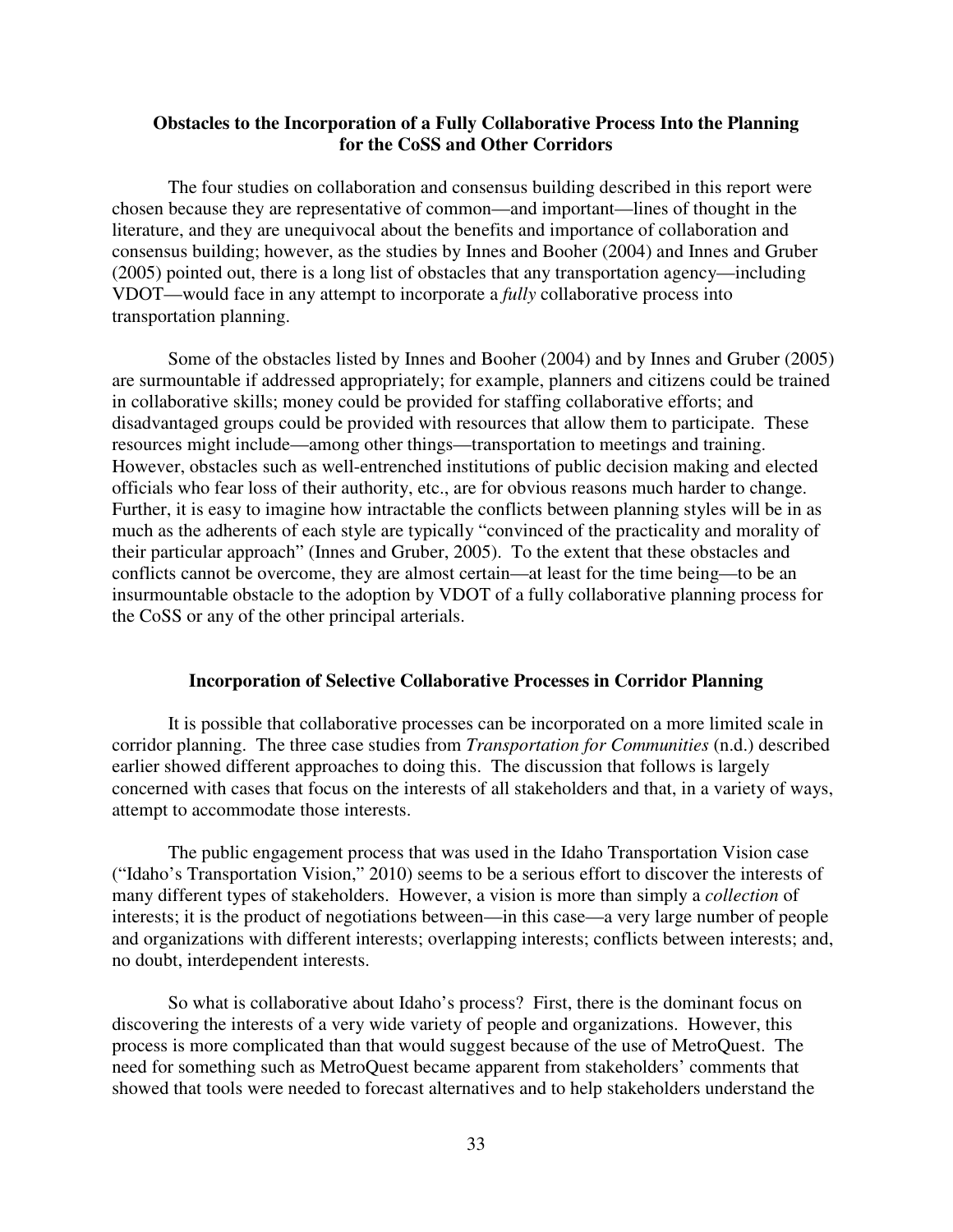## **Obstacles to the Incorporation of a Fully Collaborative Process Into the Planning for the CoSS and Other Corridors**

 The four studies on collaboration and consensus building described in this report were chosen because they are representative of common—and important—lines of thought in the literature, and they are unequivocal about the benefits and importance of collaboration and consensus building; however, as the studies by Innes and Booher (2004) and Innes and Gruber (2005) pointed out, there is a long list of obstacles that any transportation agency—including VDOT—would face in any attempt to incorporate a *fully* collaborative process into transportation planning.

Some of the obstacles listed by Innes and Booher (2004) and by Innes and Gruber (2005) are surmountable if addressed appropriately; for example, planners and citizens could be trained in collaborative skills; money could be provided for staffing collaborative efforts; and disadvantaged groups could be provided with resources that allow them to participate. These resources might include—among other things—transportation to meetings and training. However, obstacles such as well-entrenched institutions of public decision making and elected officials who fear loss of their authority, etc., are for obvious reasons much harder to change. Further, it is easy to imagine how intractable the conflicts between planning styles will be in as much as the adherents of each style are typically "convinced of the practicality and morality of their particular approach" (Innes and Gruber, 2005). To the extent that these obstacles and conflicts cannot be overcome, they are almost certain—at least for the time being—to be an insurmountable obstacle to the adoption by VDOT of a fully collaborative planning process for the CoSS or any of the other principal arterials.

#### **Incorporation of Selective Collaborative Processes in Corridor Planning**

It is possible that collaborative processes can be incorporated on a more limited scale in corridor planning. The three case studies from *Transportation for Communities* (n.d.) described earlier showed different approaches to doing this. The discussion that follows is largely concerned with cases that focus on the interests of all stakeholders and that, in a variety of ways, attempt to accommodate those interests.

 The public engagement process that was used in the Idaho Transportation Vision case ("Idaho's Transportation Vision," 2010) seems to be a serious effort to discover the interests of many different types of stakeholders. However, a vision is more than simply a *collection* of interests; it is the product of negotiations between—in this case—a very large number of people and organizations with different interests; overlapping interests; conflicts between interests; and, no doubt, interdependent interests.

 So what is collaborative about Idaho's process? First, there is the dominant focus on discovering the interests of a very wide variety of people and organizations. However, this process is more complicated than that would suggest because of the use of MetroQuest. The need for something such as MetroQuest became apparent from stakeholders' comments that showed that tools were needed to forecast alternatives and to help stakeholders understand the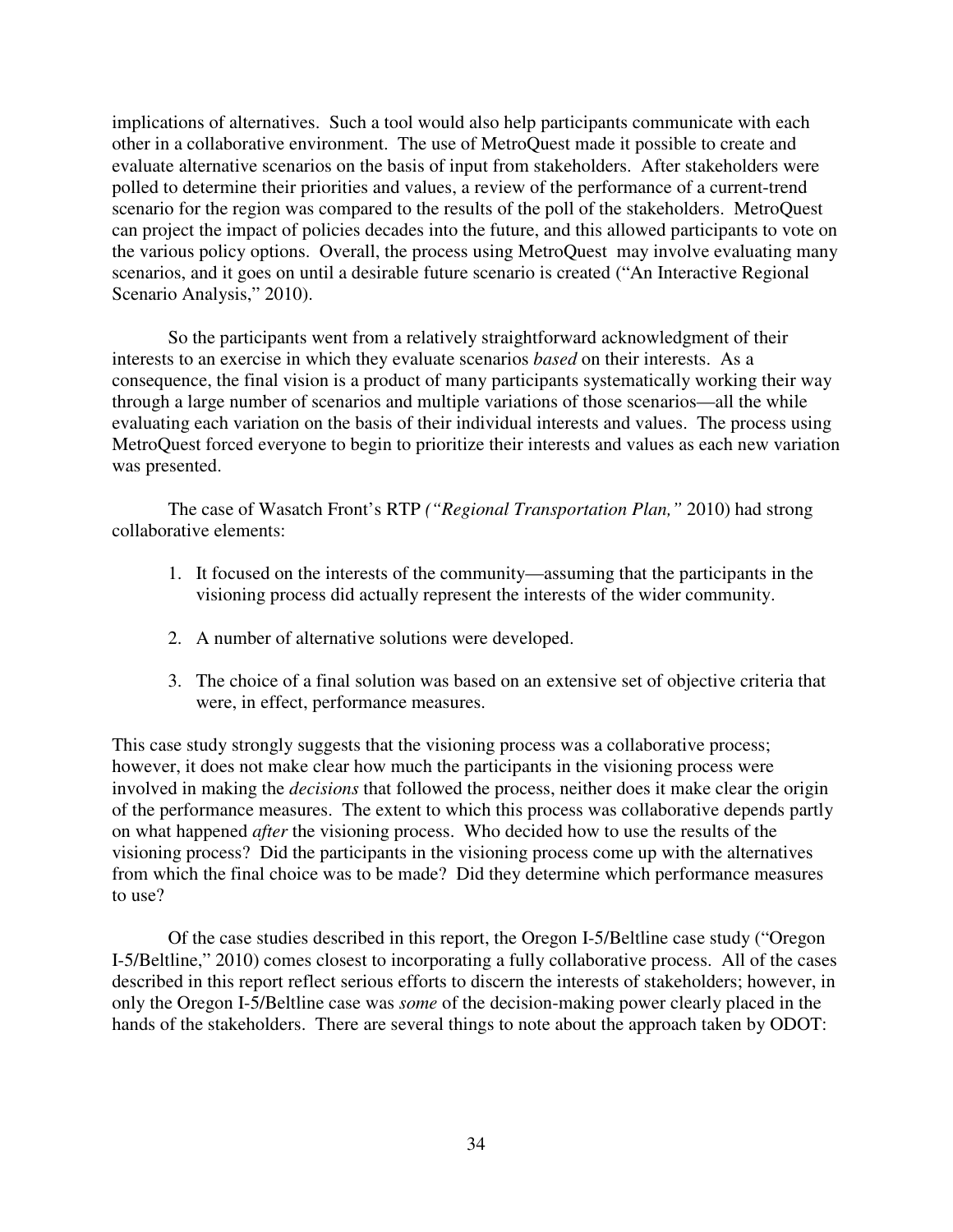implications of alternatives. Such a tool would also help participants communicate with each other in a collaborative environment. The use of MetroQuest made it possible to create and evaluate alternative scenarios on the basis of input from stakeholders. After stakeholders were polled to determine their priorities and values, a review of the performance of a current-trend scenario for the region was compared to the results of the poll of the stakeholders. MetroQuest can project the impact of policies decades into the future, and this allowed participants to vote on the various policy options. Overall, the process using MetroQuest may involve evaluating many scenarios, and it goes on until a desirable future scenario is created ("An Interactive Regional Scenario Analysis," 2010).

So the participants went from a relatively straightforward acknowledgment of their interests to an exercise in which they evaluate scenarios *based* on their interests. As a consequence, the final vision is a product of many participants systematically working their way through a large number of scenarios and multiple variations of those scenarios—all the while evaluating each variation on the basis of their individual interests and values. The process using MetroQuest forced everyone to begin to prioritize their interests and values as each new variation was presented.

 The case of Wasatch Front's RTP *("Regional Transportation Plan,"* 2010) had strong collaborative elements:

- 1. It focused on the interests of the community—assuming that the participants in the visioning process did actually represent the interests of the wider community.
- 2. A number of alternative solutions were developed.
- 3. The choice of a final solution was based on an extensive set of objective criteria that were, in effect, performance measures.

This case study strongly suggests that the visioning process was a collaborative process; however, it does not make clear how much the participants in the visioning process were involved in making the *decisions* that followed the process, neither does it make clear the origin of the performance measures. The extent to which this process was collaborative depends partly on what happened *after* the visioning process. Who decided how to use the results of the visioning process? Did the participants in the visioning process come up with the alternatives from which the final choice was to be made? Did they determine which performance measures to use?

Of the case studies described in this report, the Oregon I-5/Beltline case study ("Oregon I-5/Beltline," 2010) comes closest to incorporating a fully collaborative process. All of the cases described in this report reflect serious efforts to discern the interests of stakeholders; however, in only the Oregon I-5/Beltline case was *some* of the decision-making power clearly placed in the hands of the stakeholders. There are several things to note about the approach taken by ODOT: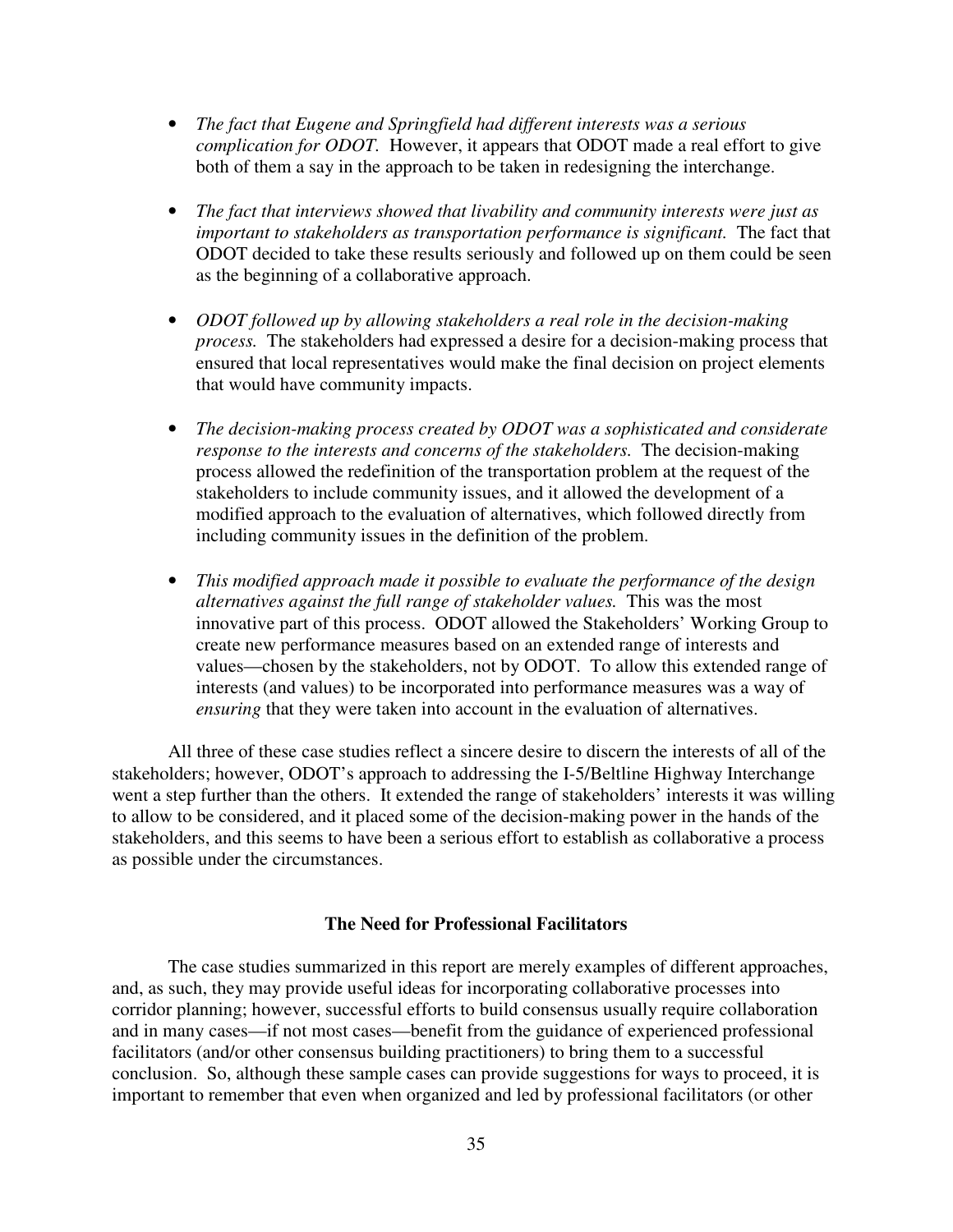- *The fact that Eugene and Springfield had different interests was a serious complication for ODOT.* However, it appears that ODOT made a real effort to give both of them a say in the approach to be taken in redesigning the interchange.
- *The fact that interviews showed that livability and community interests were just as important to stakeholders as transportation performance is significant.* The fact that ODOT decided to take these results seriously and followed up on them could be seen as the beginning of a collaborative approach.
- *ODOT followed up by allowing stakeholders a real role in the decision-making process.* The stakeholders had expressed a desire for a decision-making process that ensured that local representatives would make the final decision on project elements that would have community impacts.
- *The decision-making process created by ODOT was a sophisticated and considerate response to the interests and concerns of the stakeholders.* The decision-making process allowed the redefinition of the transportation problem at the request of the stakeholders to include community issues, and it allowed the development of a modified approach to the evaluation of alternatives, which followed directly from including community issues in the definition of the problem.
- *This modified approach made it possible to evaluate the performance of the design alternatives against the full range of stakeholder values.* This was the most innovative part of this process. ODOT allowed the Stakeholders' Working Group to create new performance measures based on an extended range of interests and values—chosen by the stakeholders, not by ODOT. To allow this extended range of interests (and values) to be incorporated into performance measures was a way of *ensuring* that they were taken into account in the evaluation of alternatives.

 All three of these case studies reflect a sincere desire to discern the interests of all of the stakeholders; however, ODOT's approach to addressing the I-5/Beltline Highway Interchange went a step further than the others. It extended the range of stakeholders' interests it was willing to allow to be considered, and it placed some of the decision-making power in the hands of the stakeholders, and this seems to have been a serious effort to establish as collaborative a process as possible under the circumstances.

## **The Need for Professional Facilitators**

The case studies summarized in this report are merely examples of different approaches, and, as such, they may provide useful ideas for incorporating collaborative processes into corridor planning; however, successful efforts to build consensus usually require collaboration and in many cases—if not most cases—benefit from the guidance of experienced professional facilitators (and/or other consensus building practitioners) to bring them to a successful conclusion. So, although these sample cases can provide suggestions for ways to proceed, it is important to remember that even when organized and led by professional facilitators (or other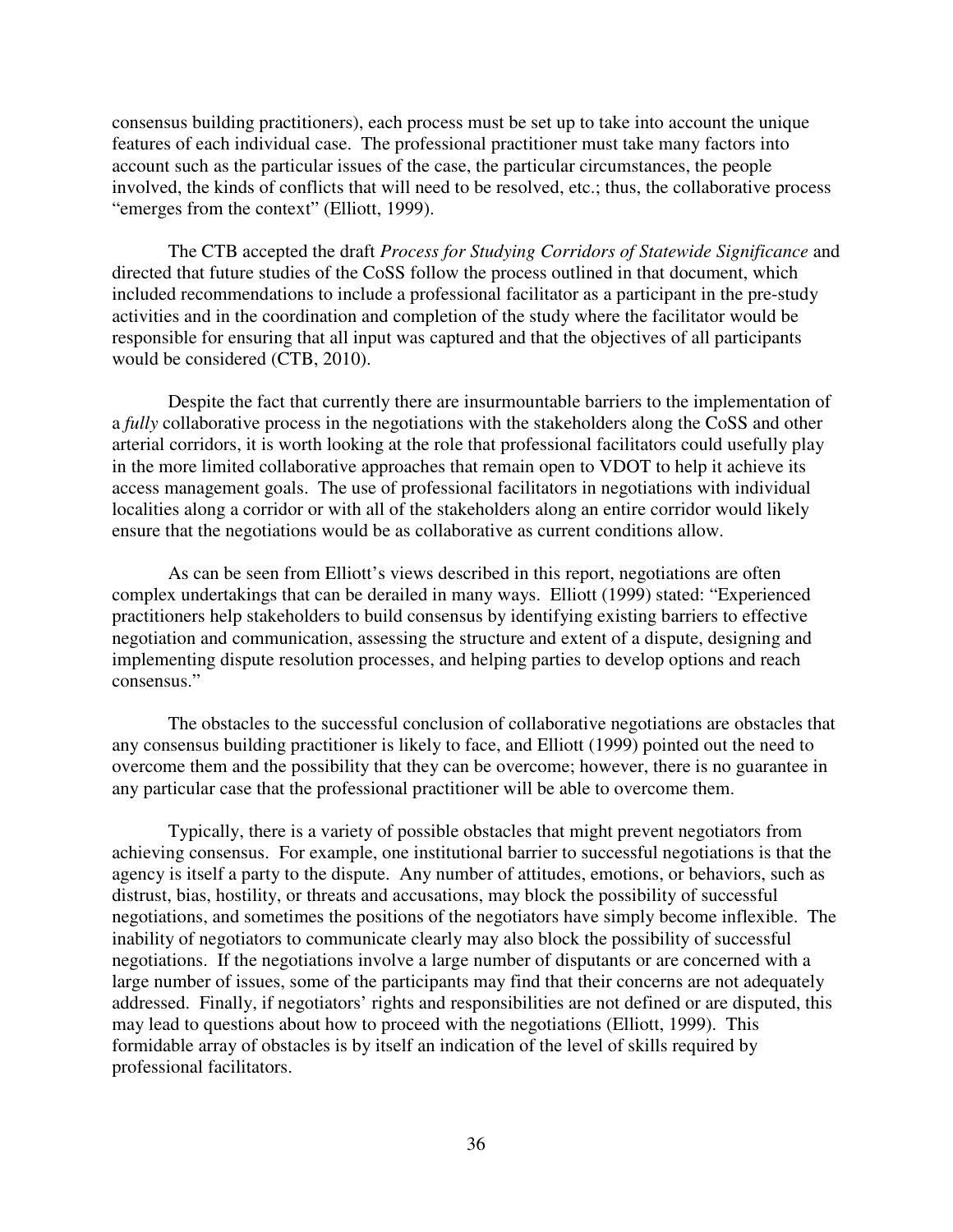consensus building practitioners), each process must be set up to take into account the unique features of each individual case. The professional practitioner must take many factors into account such as the particular issues of the case, the particular circumstances, the people involved, the kinds of conflicts that will need to be resolved, etc.; thus, the collaborative process "emerges from the context" (Elliott, 1999).

 The CTB accepted the draft *Process for Studying Corridors of Statewide Significance* and directed that future studies of the CoSS follow the process outlined in that document, which included recommendations to include a professional facilitator as a participant in the pre-study activities and in the coordination and completion of the study where the facilitator would be responsible for ensuring that all input was captured and that the objectives of all participants would be considered (CTB, 2010).

Despite the fact that currently there are insurmountable barriers to the implementation of a *fully* collaborative process in the negotiations with the stakeholders along the CoSS and other arterial corridors, it is worth looking at the role that professional facilitators could usefully play in the more limited collaborative approaches that remain open to VDOT to help it achieve its access management goals. The use of professional facilitators in negotiations with individual localities along a corridor or with all of the stakeholders along an entire corridor would likely ensure that the negotiations would be as collaborative as current conditions allow.

 As can be seen from Elliott's views described in this report, negotiations are often complex undertakings that can be derailed in many ways. Elliott (1999) stated: "Experienced practitioners help stakeholders to build consensus by identifying existing barriers to effective negotiation and communication, assessing the structure and extent of a dispute, designing and implementing dispute resolution processes, and helping parties to develop options and reach consensus."

The obstacles to the successful conclusion of collaborative negotiations are obstacles that any consensus building practitioner is likely to face, and Elliott (1999) pointed out the need to overcome them and the possibility that they can be overcome; however, there is no guarantee in any particular case that the professional practitioner will be able to overcome them.

 Typically, there is a variety of possible obstacles that might prevent negotiators from achieving consensus. For example, one institutional barrier to successful negotiations is that the agency is itself a party to the dispute. Any number of attitudes, emotions, or behaviors, such as distrust, bias, hostility, or threats and accusations, may block the possibility of successful negotiations, and sometimes the positions of the negotiators have simply become inflexible. The inability of negotiators to communicate clearly may also block the possibility of successful negotiations. If the negotiations involve a large number of disputants or are concerned with a large number of issues, some of the participants may find that their concerns are not adequately addressed. Finally, if negotiators' rights and responsibilities are not defined or are disputed, this may lead to questions about how to proceed with the negotiations (Elliott, 1999). This formidable array of obstacles is by itself an indication of the level of skills required by professional facilitators.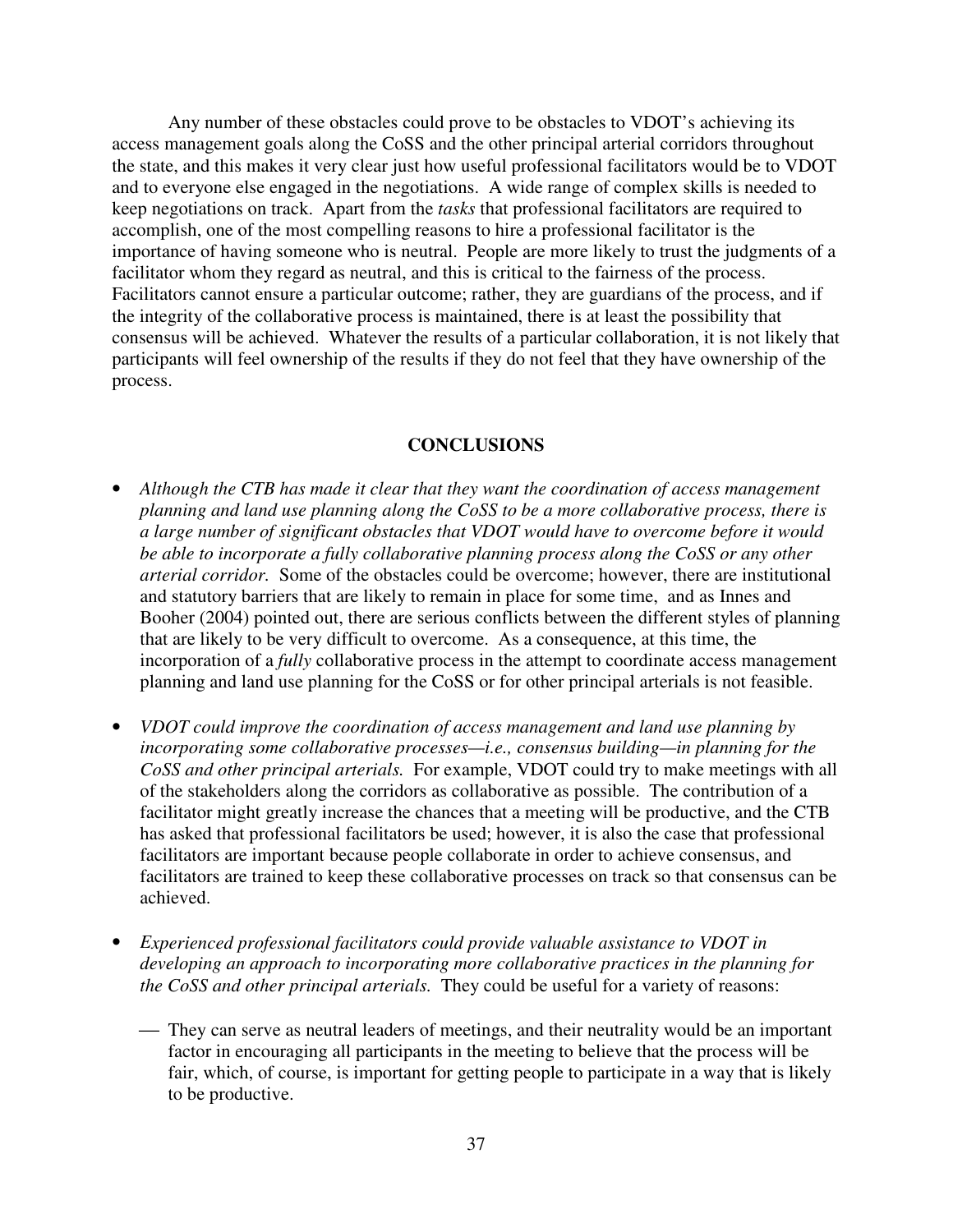Any number of these obstacles could prove to be obstacles to VDOT's achieving its access management goals along the CoSS and the other principal arterial corridors throughout the state, and this makes it very clear just how useful professional facilitators would be to VDOT and to everyone else engaged in the negotiations. A wide range of complex skills is needed to keep negotiations on track. Apart from the *tasks* that professional facilitators are required to accomplish, one of the most compelling reasons to hire a professional facilitator is the importance of having someone who is neutral. People are more likely to trust the judgments of a facilitator whom they regard as neutral, and this is critical to the fairness of the process. Facilitators cannot ensure a particular outcome; rather, they are guardians of the process, and if the integrity of the collaborative process is maintained, there is at least the possibility that consensus will be achieved. Whatever the results of a particular collaboration, it is not likely that participants will feel ownership of the results if they do not feel that they have ownership of the process.

## **CONCLUSIONS**

- *Although the CTB has made it clear that they want the coordination of access management planning and land use planning along the CoSS to be a more collaborative process, there is a large number of significant obstacles that VDOT would have to overcome before it would be able to incorporate a fully collaborative planning process along the CoSS or any other arterial corridor.* Some of the obstacles could be overcome; however, there are institutional and statutory barriers that are likely to remain in place for some time, and as Innes and Booher (2004) pointed out, there are serious conflicts between the different styles of planning that are likely to be very difficult to overcome. As a consequence, at this time, the incorporation of a *fully* collaborative process in the attempt to coordinate access management planning and land use planning for the CoSS or for other principal arterials is not feasible.
- *VDOT could improve the coordination of access management and land use planning by incorporating some collaborative processes—i.e., consensus building—in planning for the CoSS and other principal arterials.* For example, VDOT could try to make meetings with all of the stakeholders along the corridors as collaborative as possible. The contribution of a facilitator might greatly increase the chances that a meeting will be productive, and the CTB has asked that professional facilitators be used; however, it is also the case that professional facilitators are important because people collaborate in order to achieve consensus, and facilitators are trained to keep these collaborative processes on track so that consensus can be achieved.
- *Experienced professional facilitators could provide valuable assistance to VDOT in developing an approach to incorporating more collaborative practices in the planning for the CoSS and other principal arterials.* They could be useful for a variety of reasons:
	- They can serve as neutral leaders of meetings, and their neutrality would be an important factor in encouraging all participants in the meeting to believe that the process will be fair, which, of course, is important for getting people to participate in a way that is likely to be productive.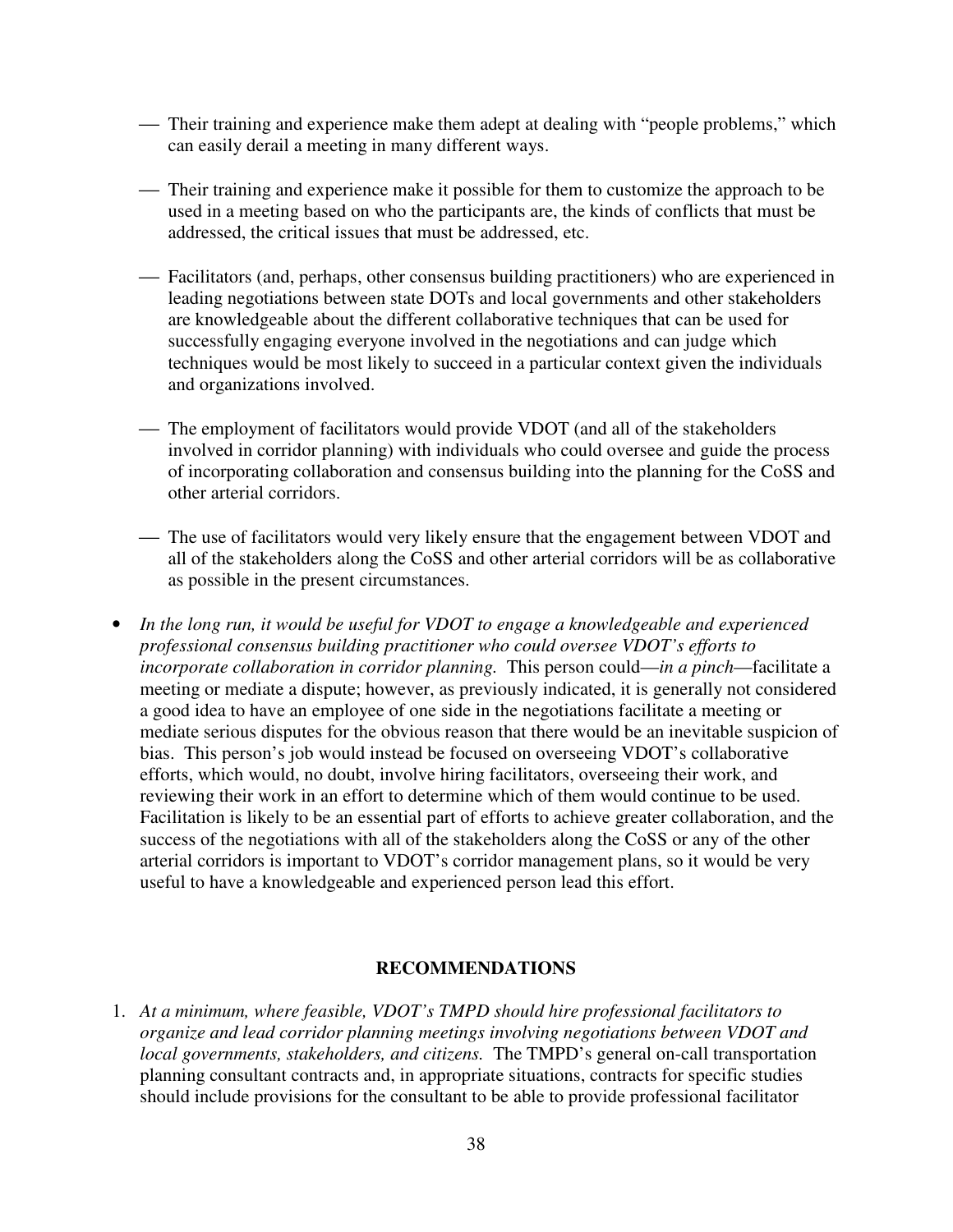- Their training and experience make them adept at dealing with "people problems," which can easily derail a meeting in many different ways.
- Their training and experience make it possible for them to customize the approach to be used in a meeting based on who the participants are, the kinds of conflicts that must be addressed, the critical issues that must be addressed, etc.
- Facilitators (and, perhaps, other consensus building practitioners) who are experienced in leading negotiations between state DOTs and local governments and other stakeholders are knowledgeable about the different collaborative techniques that can be used for successfully engaging everyone involved in the negotiations and can judge which techniques would be most likely to succeed in a particular context given the individuals and organizations involved.
- The employment of facilitators would provide VDOT (and all of the stakeholders involved in corridor planning) with individuals who could oversee and guide the process of incorporating collaboration and consensus building into the planning for the CoSS and other arterial corridors.
- The use of facilitators would very likely ensure that the engagement between VDOT and all of the stakeholders along the CoSS and other arterial corridors will be as collaborative as possible in the present circumstances.
- *In the long run, it would be useful for VDOT to engage a knowledgeable and experienced professional consensus building practitioner who could oversee VDOT's efforts to incorporate collaboration in corridor planning.* This person could—*in a pinch*—facilitate a meeting or mediate a dispute; however, as previously indicated, it is generally not considered a good idea to have an employee of one side in the negotiations facilitate a meeting or mediate serious disputes for the obvious reason that there would be an inevitable suspicion of bias. This person's job would instead be focused on overseeing VDOT's collaborative efforts, which would, no doubt, involve hiring facilitators, overseeing their work, and reviewing their work in an effort to determine which of them would continue to be used. Facilitation is likely to be an essential part of efforts to achieve greater collaboration, and the success of the negotiations with all of the stakeholders along the CoSS or any of the other arterial corridors is important to VDOT's corridor management plans, so it would be very useful to have a knowledgeable and experienced person lead this effort.

#### **RECOMMENDATIONS**

1. *At a minimum, where feasible, VDOT's TMPD should hire professional facilitators to organize and lead corridor planning meetings involving negotiations between VDOT and local governments, stakeholders, and citizens.* The TMPD's general on-call transportation planning consultant contracts and, in appropriate situations, contracts for specific studies should include provisions for the consultant to be able to provide professional facilitator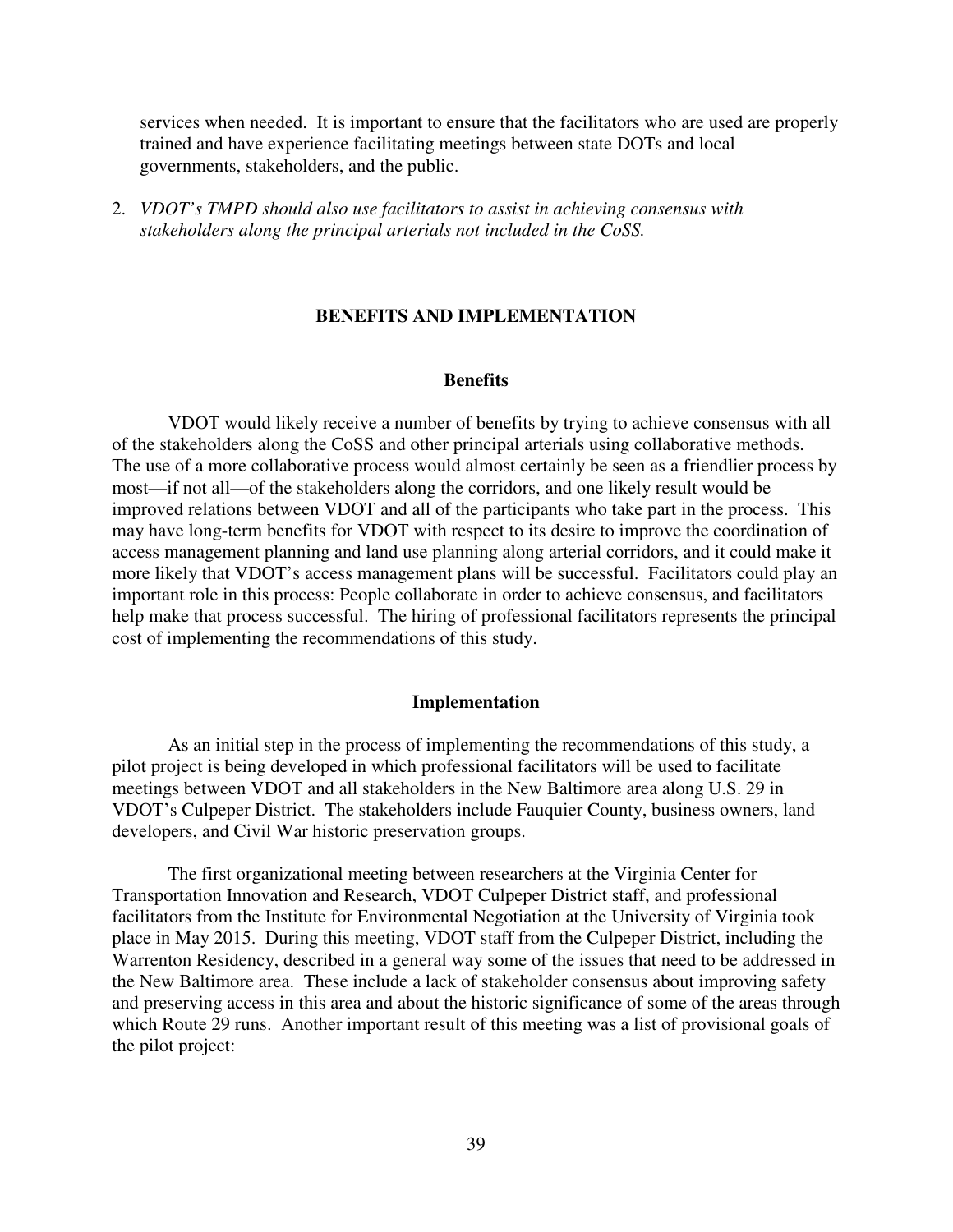services when needed. It is important to ensure that the facilitators who are used are properly trained and have experience facilitating meetings between state DOTs and local governments, stakeholders, and the public.

2. *VDOT's TMPD should also use facilitators to assist in achieving consensus with stakeholders along the principal arterials not included in the CoSS.* 

## **BENEFITS AND IMPLEMENTATION**

#### **Benefits**

 VDOT would likely receive a number of benefits by trying to achieve consensus with all of the stakeholders along the CoSS and other principal arterials using collaborative methods. The use of a more collaborative process would almost certainly be seen as a friendlier process by most—if not all—of the stakeholders along the corridors, and one likely result would be improved relations between VDOT and all of the participants who take part in the process. This may have long-term benefits for VDOT with respect to its desire to improve the coordination of access management planning and land use planning along arterial corridors, and it could make it more likely that VDOT's access management plans will be successful. Facilitators could play an important role in this process: People collaborate in order to achieve consensus, and facilitators help make that process successful. The hiring of professional facilitators represents the principal cost of implementing the recommendations of this study.

#### **Implementation**

As an initial step in the process of implementing the recommendations of this study, a pilot project is being developed in which professional facilitators will be used to facilitate meetings between VDOT and all stakeholders in the New Baltimore area along U.S. 29 in VDOT's Culpeper District. The stakeholders include Fauquier County, business owners, land developers, and Civil War historic preservation groups.

The first organizational meeting between researchers at the Virginia Center for Transportation Innovation and Research, VDOT Culpeper District staff, and professional facilitators from the Institute for Environmental Negotiation at the University of Virginia took place in May 2015. During this meeting, VDOT staff from the Culpeper District, including the Warrenton Residency, described in a general way some of the issues that need to be addressed in the New Baltimore area. These include a lack of stakeholder consensus about improving safety and preserving access in this area and about the historic significance of some of the areas through which Route 29 runs. Another important result of this meeting was a list of provisional goals of the pilot project: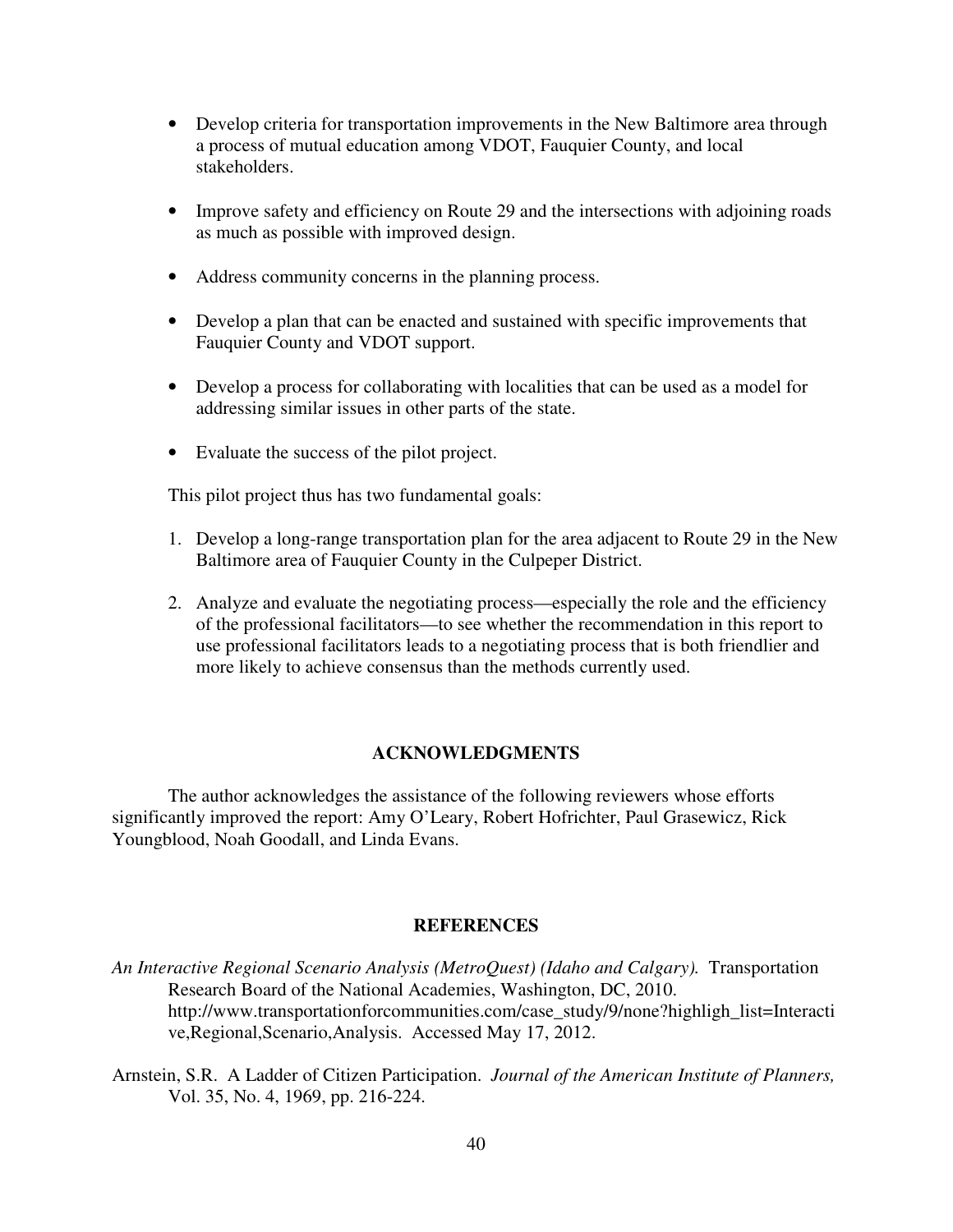- Develop criteria for transportation improvements in the New Baltimore area through a process of mutual education among VDOT, Fauquier County, and local stakeholders.
- Improve safety and efficiency on Route 29 and the intersections with adjoining roads as much as possible with improved design.
- Address community concerns in the planning process.
- Develop a plan that can be enacted and sustained with specific improvements that Fauquier County and VDOT support.
- Develop a process for collaborating with localities that can be used as a model for addressing similar issues in other parts of the state.
- Evaluate the success of the pilot project.

This pilot project thus has two fundamental goals:

- 1. Develop a long-range transportation plan for the area adjacent to Route 29 in the New Baltimore area of Fauquier County in the Culpeper District.
- 2. Analyze and evaluate the negotiating process—especially the role and the efficiency of the professional facilitators—to see whether the recommendation in this report to use professional facilitators leads to a negotiating process that is both friendlier and more likely to achieve consensus than the methods currently used.

#### **ACKNOWLEDGMENTS**

The author acknowledges the assistance of the following reviewers whose efforts significantly improved the report: Amy O'Leary, Robert Hofrichter, Paul Grasewicz, Rick Youngblood, Noah Goodall, and Linda Evans.

#### **REFERENCES**

- *An Interactive Regional Scenario Analysis (MetroQuest) (Idaho and Calgary).* Transportation Research Board of the National Academies, Washington, DC, 2010. http://www.transportationforcommunities.com/case\_study/9/none?highligh\_list=Interacti ve,Regional,Scenario,Analysis. Accessed May 17, 2012.
- Arnstein, S.R. A Ladder of Citizen Participation. *Journal of the American Institute of Planners,* Vol. 35, No. 4, 1969, pp. 216-224.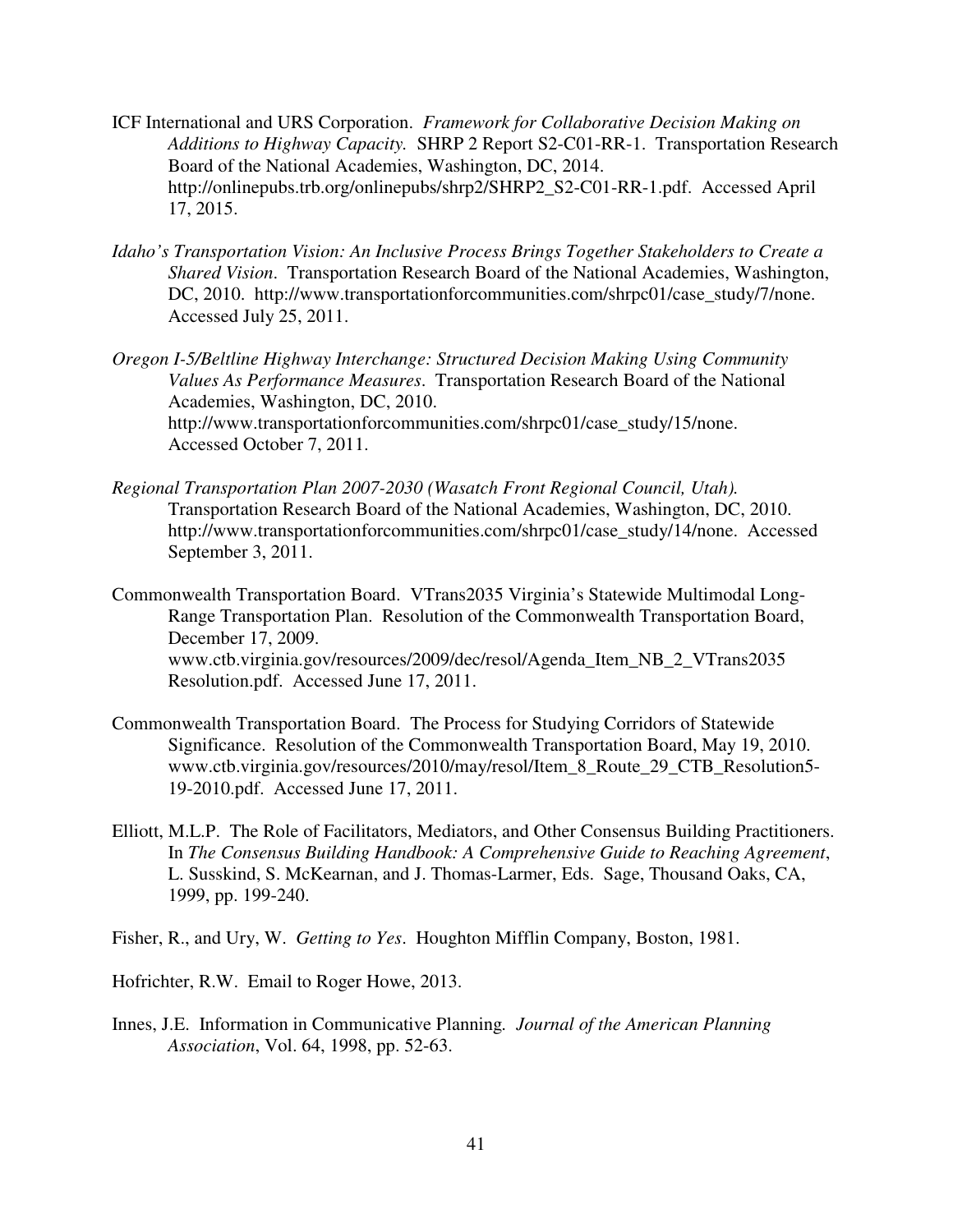- ICF International and URS Corporation. *Framework for Collaborative Decision Making on Additions to Highway Capacity.* SHRP 2 Report S2-C01-RR-1. Transportation Research Board of the National Academies, Washington, DC, 2014. http://onlinepubs.trb.org/onlinepubs/shrp2/SHRP2\_S2-C01-RR-1.pdf. Accessed April 17, 2015.
- *Idaho's Transportation Vision: An Inclusive Process Brings Together Stakeholders to Create a Shared Vision*. Transportation Research Board of the National Academies, Washington, DC, 2010. http://www.transportationforcommunities.com/shrpc01/case\_study/7/none. Accessed July 25, 2011.

*Oregon I-5/Beltline Highway Interchange: Structured Decision Making Using Community Values As Performance Measures*. Transportation Research Board of the National Academies, Washington, DC, 2010. http://www.transportationforcommunities.com/shrpc01/case\_study/15/none. Accessed October 7, 2011.

- *Regional Transportation Plan 2007-2030 (Wasatch Front Regional Council, Utah).* Transportation Research Board of the National Academies, Washington, DC, 2010. http://www.transportationforcommunities.com/shrpc01/case\_study/14/none. Accessed September 3, 2011.
- Commonwealth Transportation Board. VTrans2035 Virginia's Statewide Multimodal Long-Range Transportation Plan. Resolution of the Commonwealth Transportation Board, December 17, 2009. www.ctb.virginia.gov/resources/2009/dec/resol/Agenda\_Item\_NB\_2\_VTrans2035 Resolution.pdf. Accessed June 17, 2011.
- Commonwealth Transportation Board. The Process for Studying Corridors of Statewide Significance. Resolution of the Commonwealth Transportation Board, May 19, 2010. www.ctb.virginia.gov/resources/2010/may/resol/Item\_8\_Route\_29\_CTB\_Resolution5- 19-2010.pdf. Accessed June 17, 2011.
- Elliott, M.L.P. The Role of Facilitators, Mediators, and Other Consensus Building Practitioners. In *The Consensus Building Handbook: A Comprehensive Guide to Reaching Agreement*, L. Susskind, S. McKearnan, and J. Thomas-Larmer, Eds. Sage, Thousand Oaks, CA, 1999, pp. 199-240.
- Fisher, R., and Ury, W. *Getting to Yes*. Houghton Mifflin Company, Boston, 1981.

Hofrichter, R.W. Email to Roger Howe, 2013.

Innes, J.E. Information in Communicative Planning*. Journal of the American Planning Association*, Vol. 64, 1998, pp. 52-63.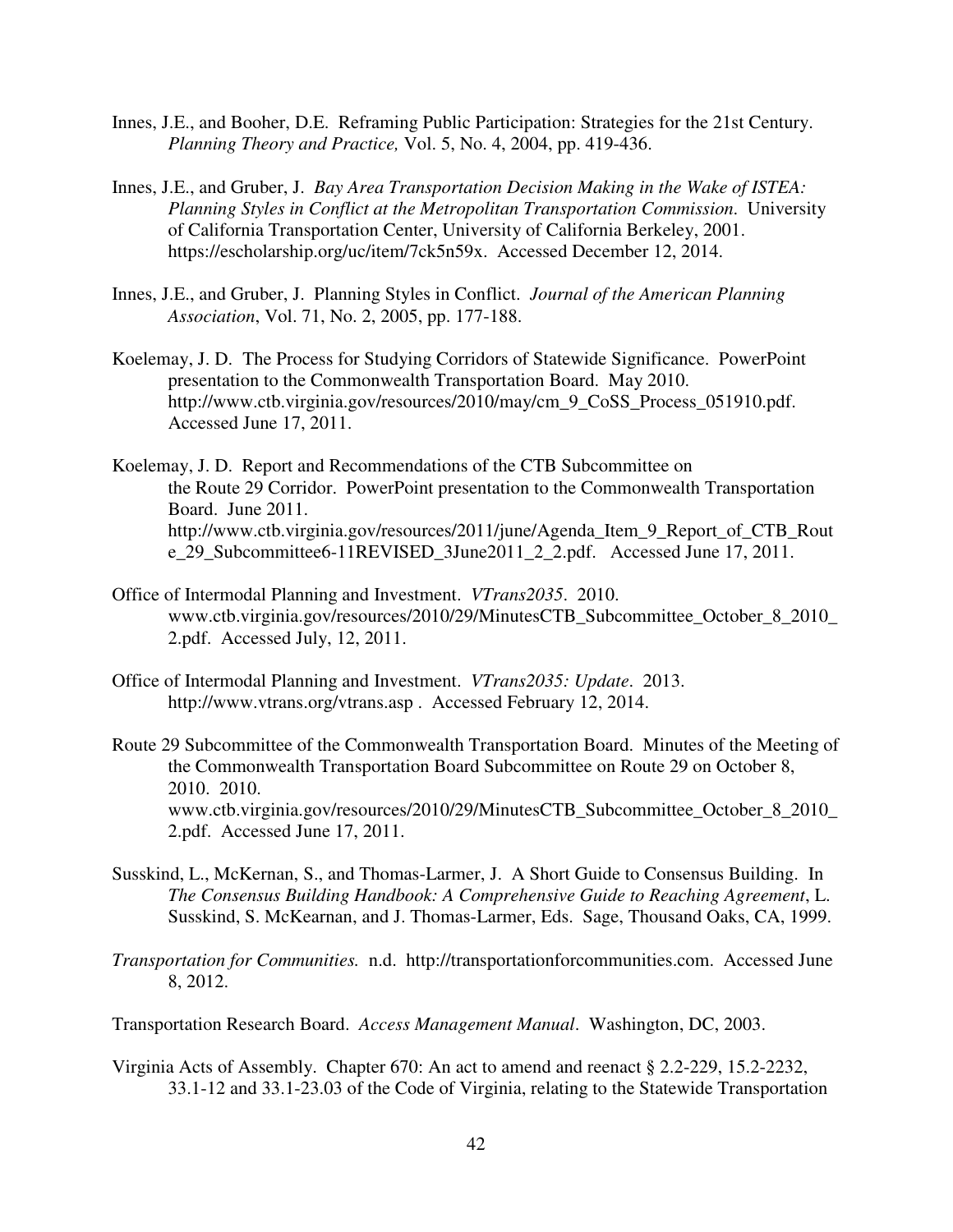- Innes, J.E., and Booher, D.E. Reframing Public Participation: Strategies for the 21st Century. *Planning Theory and Practice,* Vol. 5, No. 4, 2004, pp. 419-436.
- Innes, J.E., and Gruber, J. *Bay Area Transportation Decision Making in the Wake of ISTEA: Planning Styles in Conflict at the Metropolitan Transportation Commission*. University of California Transportation Center, University of California Berkeley, 2001. https://escholarship.org/uc/item/7ck5n59x. Accessed December 12, 2014.
- Innes, J.E., and Gruber, J. Planning Styles in Conflict. *Journal of the American Planning Association*, Vol. 71, No. 2, 2005, pp. 177-188.
- Koelemay, J. D. The Process for Studying Corridors of Statewide Significance. PowerPoint presentation to the Commonwealth Transportation Board. May 2010. http://www.ctb.virginia.gov/resources/2010/may/cm\_9\_CoSS\_Process\_051910.pdf. Accessed June 17, 2011.
- Koelemay, J. D. Report and Recommendations of the CTB Subcommittee on the Route 29 Corridor. PowerPoint presentation to the Commonwealth Transportation Board. June 2011. http://www.ctb.virginia.gov/resources/2011/june/Agenda\_Item\_9\_Report\_of\_CTB\_Rout e\_29\_Subcommittee6-11REVISED\_3June2011\_2\_2.pdf. Accessed June 17, 2011.
- Office of Intermodal Planning and Investment. *VTrans2035*. 2010. www.ctb.virginia.gov/resources/2010/29/MinutesCTB\_Subcommittee\_October\_8\_2010\_ 2.pdf. Accessed July, 12, 2011.
- Office of Intermodal Planning and Investment. *VTrans2035: Update*. 2013. http://www.vtrans.org/vtrans.asp . Accessed February 12, 2014.
- Route 29 Subcommittee of the Commonwealth Transportation Board. Minutes of the Meeting of the Commonwealth Transportation Board Subcommittee on Route 29 on October 8, 2010. 2010. www.ctb.virginia.gov/resources/2010/29/MinutesCTB\_Subcommittee\_October\_8\_2010\_ 2.pdf. Accessed June 17, 2011.
- Susskind, L., McKernan, S., and Thomas-Larmer, J. A Short Guide to Consensus Building. In *The Consensus Building Handbook: A Comprehensive Guide to Reaching Agreement*, L. Susskind, S. McKearnan, and J. Thomas-Larmer, Eds. Sage, Thousand Oaks, CA, 1999.
- *Transportation for Communities.* n.d. http://transportationforcommunities.com. Accessed June 8, 2012.
- Transportation Research Board. *Access Management Manual*. Washington, DC, 2003.
- Virginia Acts of Assembly. Chapter 670: An act to amend and reenact § 2.2-229, 15.2-2232, 33.1-12 and 33.1-23.03 of the Code of Virginia, relating to the Statewide Transportation